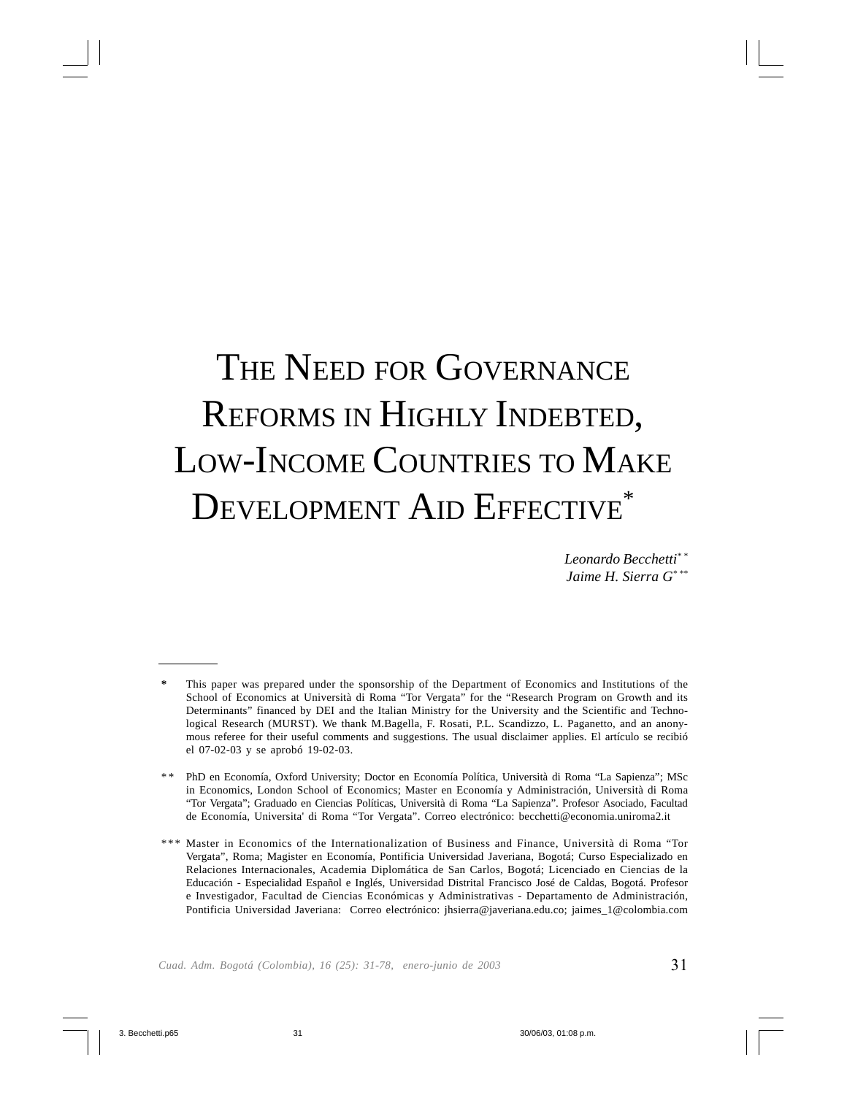# THE NEED FOR GOVERNANCE REFORMS IN HIGHLY INDEBTED, LOW-INCOME COUNTRIES TO MAKE DEVELOPMENT AID EFFECTIVE\*

*Leonardo Becchetti\* \* Jaime H. Sierra G\* \*\**

This paper was prepared under the sponsorship of the Department of Economics and Institutions of the School of Economics at Università di Roma "Tor Vergata" for the "Research Program on Growth and its Determinants" financed by DEI and the Italian Ministry for the University and the Scientific and Technological Research (MURST). We thank M.Bagella, F. Rosati, P.L. Scandizzo, L. Paganetto, and an anonymous referee for their useful comments and suggestions. The usual disclaimer applies. El artículo se recibió el 07-02-03 y se aprobó 19-02-03.

<sup>\* \*</sup> PhD en Economía, Oxford University; Doctor en Economía Política, Università di Roma "La Sapienza"; MSc in Economics, London School of Economics; Master en Economía y Administración, Università di Roma "Tor Vergata"; Graduado en Ciencias Políticas, Università di Roma "La Sapienza". Profesor Asociado, Facultad de Economía, Universita' di Roma "Tor Vergata". Correo electrónico: becchetti@economia.uniroma2.it

<sup>\*\*\*</sup> Master in Economics of the Internationalization of Business and Finance, Università di Roma "Tor Vergata", Roma; Magister en Economía, Pontificia Universidad Javeriana, Bogotá; Curso Especializado en Relaciones Internacionales, Academia Diplomática de San Carlos, Bogotá; Licenciado en Ciencias de la Educación - Especialidad Español e Inglés, Universidad Distrital Francisco José de Caldas, Bogotá. Profesor e Investigador, Facultad de Ciencias Económicas y Administrativas - Departamento de Administración, Pontificia Universidad Javeriana: Correo electrónico: jhsierra@javeriana.edu.co; jaimes\_1@colombia.com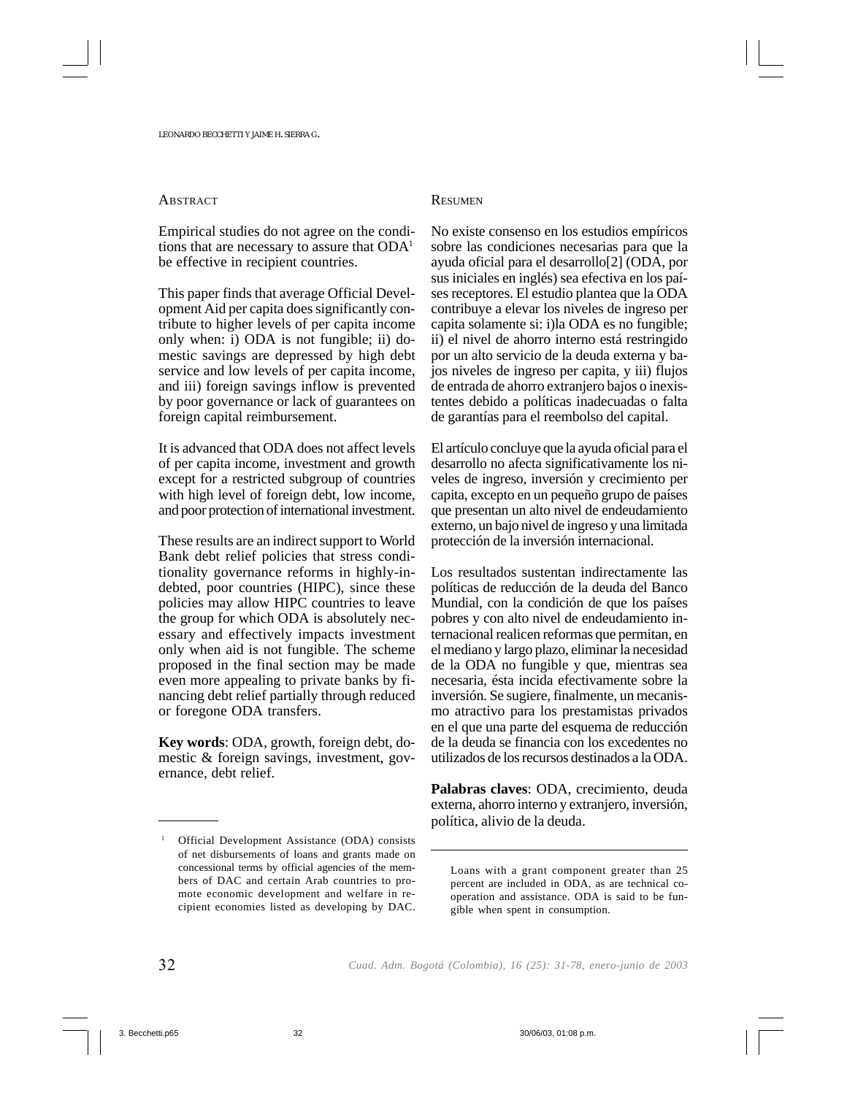#### **ABSTRACT**

Empirical studies do not agree on the conditions that are necessary to assure that  $ODA<sup>1</sup>$ be effective in recipient countries.

This paper finds that average Official Development Aid per capita does significantly contribute to higher levels of per capita income only when: i) ODA is not fungible; ii) domestic savings are depressed by high debt service and low levels of per capita income, and iii) foreign savings inflow is prevented by poor governance or lack of guarantees on foreign capital reimbursement.

It is advanced that ODA does not affect levels of per capita income, investment and growth except for a restricted subgroup of countries with high level of foreign debt, low income, and poor protection of international investment.

These results are an indirect support to World Bank debt relief policies that stress conditionality governance reforms in highly-indebted, poor countries (HIPC), since these policies may allow HIPC countries to leave the group for which ODA is absolutely necessary and effectively impacts investment only when aid is not fungible. The scheme proposed in the final section may be made even more appealing to private banks by financing debt relief partially through reduced or foregone ODA transfers.

**Key words**: ODA, growth, foreign debt, domestic & foreign savings, investment, governance, debt relief.

#### **RESUMEN**

No existe consenso en los estudios empíricos sobre las condiciones necesarias para que la ayuda oficial para el desarrollo[2] (ODA, por sus iniciales en inglés) sea efectiva en los países receptores. El estudio plantea que la ODA contribuye a elevar los niveles de ingreso per capita solamente si: i)la ODA es no fungible; ii) el nivel de ahorro interno está restringido por un alto servicio de la deuda externa y bajos niveles de ingreso per capita, y iii) flujos de entrada de ahorro extranjero bajos o inexistentes debido a políticas inadecuadas o falta de garantías para el reembolso del capital.

El artículo concluye que la ayuda oficial para el desarrollo no afecta significativamente los niveles de ingreso, inversión y crecimiento per capita, excepto en un pequeño grupo de países que presentan un alto nivel de endeudamiento externo, un bajo nivel de ingreso y una limitada protección de la inversión internacional.

Los resultados sustentan indirectamente las políticas de reducción de la deuda del Banco Mundial, con la condición de que los países pobres y con alto nivel de endeudamiento internacional realicen reformas que permitan, en el mediano y largo plazo, eliminar la necesidad de la ODA no fungible y que, mientras sea necesaria, ésta incida efectivamente sobre la inversión. Se sugiere, finalmente, un mecanismo atractivo para los prestamistas privados en el que una parte del esquema de reducción de la deuda se financia con los excedentes no utilizados de los recursos destinados a la ODA.

**Palabras claves**: ODA, crecimiento, deuda externa, ahorro interno y extranjero, inversión, política, alivio de la deuda.

Loans with a grant component greater than 25 percent are included in ODA, as are technical cooperation and assistance. ODA is said to be fungible when spent in consumption.

<sup>1</sup> Official Development Assistance (ODA) consists of net disbursements of loans and grants made on concessional terms by official agencies of the members of DAC and certain Arab countries to promote economic development and welfare in recipient economies listed as developing by DAC.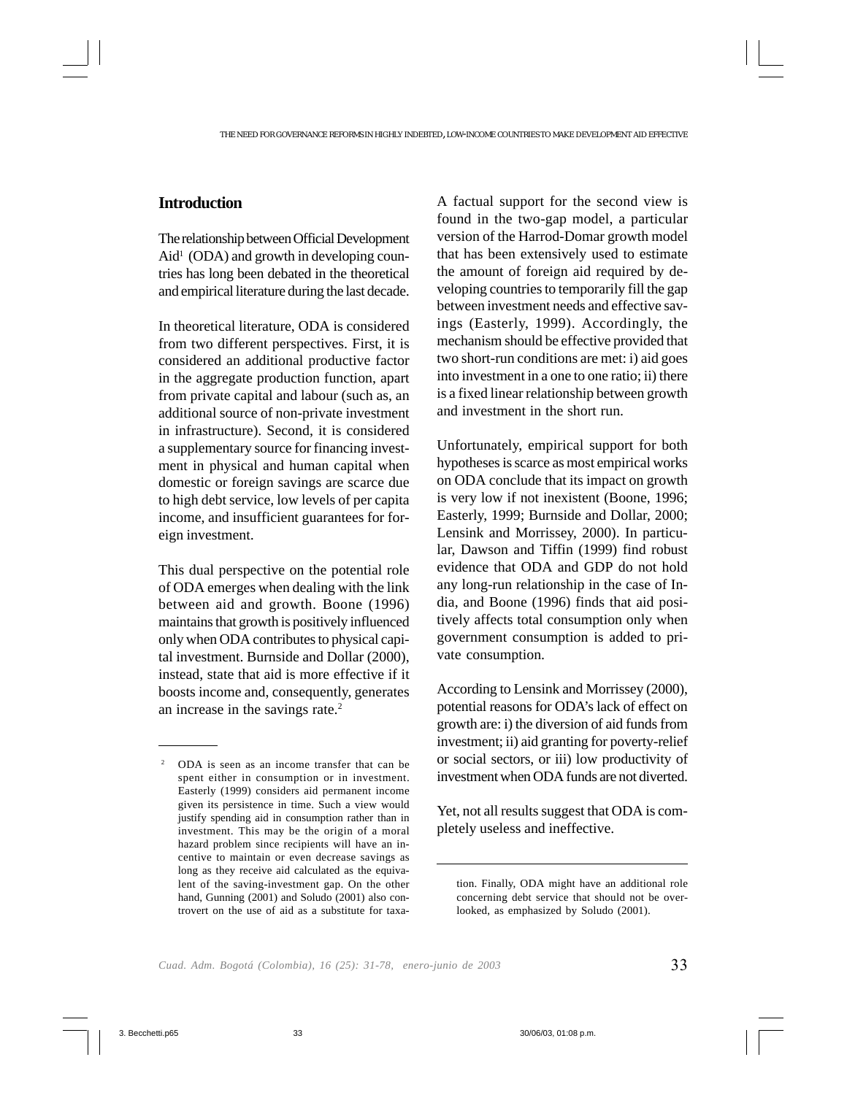### **Introduction**

The relationship between Official Development  $\text{Aid}^1$  (ODA) and growth in developing countries has long been debated in the theoretical and empirical literature during the last decade.

In theoretical literature, ODA is considered from two different perspectives. First, it is considered an additional productive factor in the aggregate production function, apart from private capital and labour (such as, an additional source of non-private investment in infrastructure). Second, it is considered a supplementary source for financing investment in physical and human capital when domestic or foreign savings are scarce due to high debt service, low levels of per capita income, and insufficient guarantees for foreign investment.

This dual perspective on the potential role of ODA emerges when dealing with the link between aid and growth. Boone (1996) maintains that growth is positively influenced only when ODA contributes to physical capital investment. Burnside and Dollar (2000), instead, state that aid is more effective if it boosts income and, consequently, generates an increase in the savings rate.2

A factual support for the second view is found in the two-gap model, a particular version of the Harrod-Domar growth model that has been extensively used to estimate the amount of foreign aid required by developing countries to temporarily fill the gap between investment needs and effective savings (Easterly, 1999). Accordingly, the mechanism should be effective provided that two short-run conditions are met: i) aid goes into investment in a one to one ratio; ii) there is a fixed linear relationship between growth and investment in the short run.

Unfortunately, empirical support for both hypotheses is scarce as most empirical works on ODA conclude that its impact on growth is very low if not inexistent (Boone, 1996; Easterly, 1999; Burnside and Dollar, 2000; Lensink and Morrissey, 2000). In particular, Dawson and Tiffin (1999) find robust evidence that ODA and GDP do not hold any long-run relationship in the case of India, and Boone (1996) finds that aid positively affects total consumption only when government consumption is added to private consumption.

According to Lensink and Morrissey (2000), potential reasons for ODA's lack of effect on growth are: i) the diversion of aid funds from investment; ii) aid granting for poverty-relief or social sectors, or iii) low productivity of investment when ODA funds are not diverted.

Yet, not all results suggest that ODA is completely useless and ineffective.

<sup>2</sup> ODA is seen as an income transfer that can be spent either in consumption or in investment. Easterly (1999) considers aid permanent income given its persistence in time. Such a view would justify spending aid in consumption rather than in investment. This may be the origin of a moral hazard problem since recipients will have an incentive to maintain or even decrease savings as long as they receive aid calculated as the equivalent of the saving-investment gap. On the other hand, Gunning (2001) and Soludo (2001) also controvert on the use of aid as a substitute for taxa-

tion. Finally, ODA might have an additional role concerning debt service that should not be overlooked, as emphasized by Soludo (2001).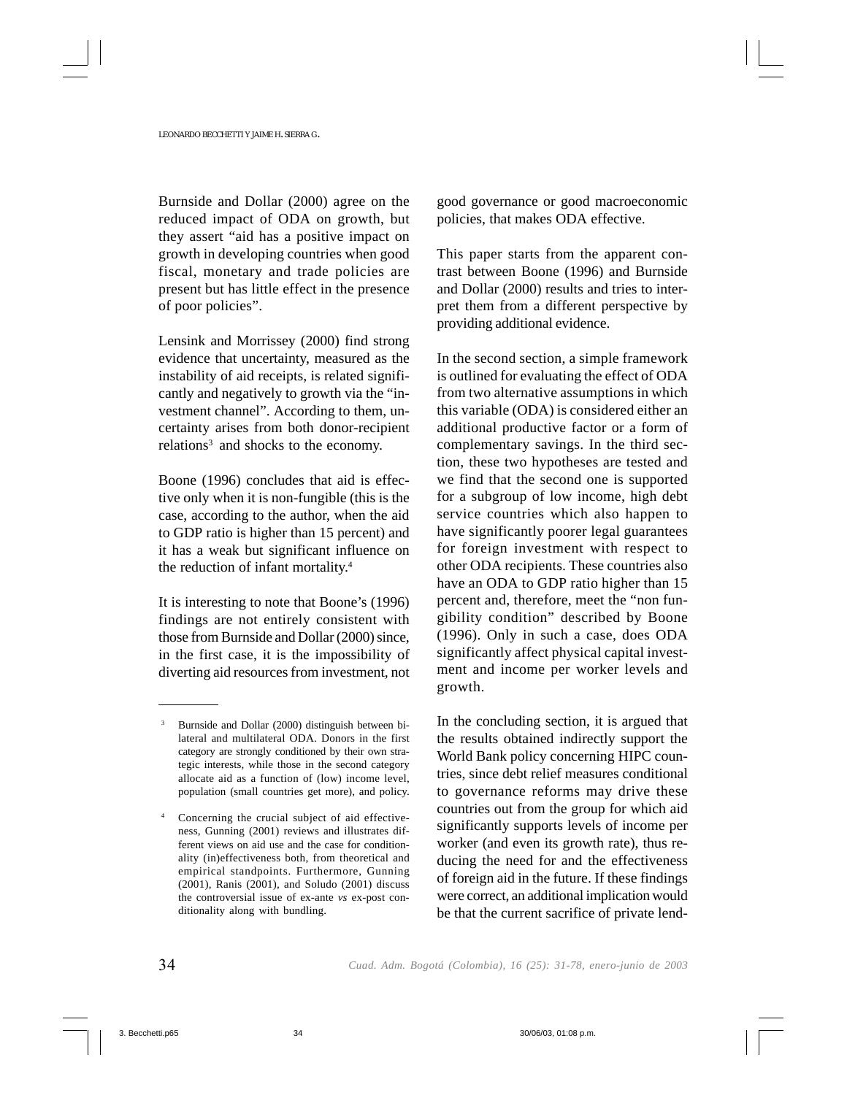Burnside and Dollar (2000) agree on the reduced impact of ODA on growth, but they assert "aid has a positive impact on growth in developing countries when good fiscal, monetary and trade policies are present but has little effect in the presence of poor policies".

Lensink and Morrissey (2000) find strong evidence that uncertainty, measured as the instability of aid receipts, is related significantly and negatively to growth via the "investment channel". According to them, uncertainty arises from both donor-recipient relations<sup>3</sup> and shocks to the economy.

Boone (1996) concludes that aid is effective only when it is non-fungible (this is the case, according to the author, when the aid to GDP ratio is higher than 15 percent) and it has a weak but significant influence on the reduction of infant mortality.4

It is interesting to note that Boone's (1996) findings are not entirely consistent with those from Burnside and Dollar (2000) since, in the first case, it is the impossibility of diverting aid resources from investment, not good governance or good macroeconomic policies, that makes ODA effective.

This paper starts from the apparent contrast between Boone (1996) and Burnside and Dollar (2000) results and tries to interpret them from a different perspective by providing additional evidence.

In the second section, a simple framework is outlined for evaluating the effect of ODA from two alternative assumptions in which this variable (ODA) is considered either an additional productive factor or a form of complementary savings. In the third section, these two hypotheses are tested and we find that the second one is supported for a subgroup of low income, high debt service countries which also happen to have significantly poorer legal guarantees for foreign investment with respect to other ODA recipients. These countries also have an ODA to GDP ratio higher than 15 percent and, therefore, meet the "non fungibility condition" described by Boone (1996). Only in such a case, does ODA significantly affect physical capital investment and income per worker levels and growth.

In the concluding section, it is argued that the results obtained indirectly support the World Bank policy concerning HIPC countries, since debt relief measures conditional to governance reforms may drive these countries out from the group for which aid significantly supports levels of income per worker (and even its growth rate), thus reducing the need for and the effectiveness of foreign aid in the future. If these findings were correct, an additional implication would be that the current sacrifice of private lend-

Burnside and Dollar (2000) distinguish between bilateral and multilateral ODA. Donors in the first category are strongly conditioned by their own strategic interests, while those in the second category allocate aid as a function of (low) income level, population (small countries get more), and policy.

Concerning the crucial subject of aid effectiveness, Gunning (2001) reviews and illustrates different views on aid use and the case for conditionality (in)effectiveness both, from theoretical and empirical standpoints. Furthermore, Gunning (2001), Ranis (2001), and Soludo (2001) discuss the controversial issue of ex-ante *vs* ex-post conditionality along with bundling.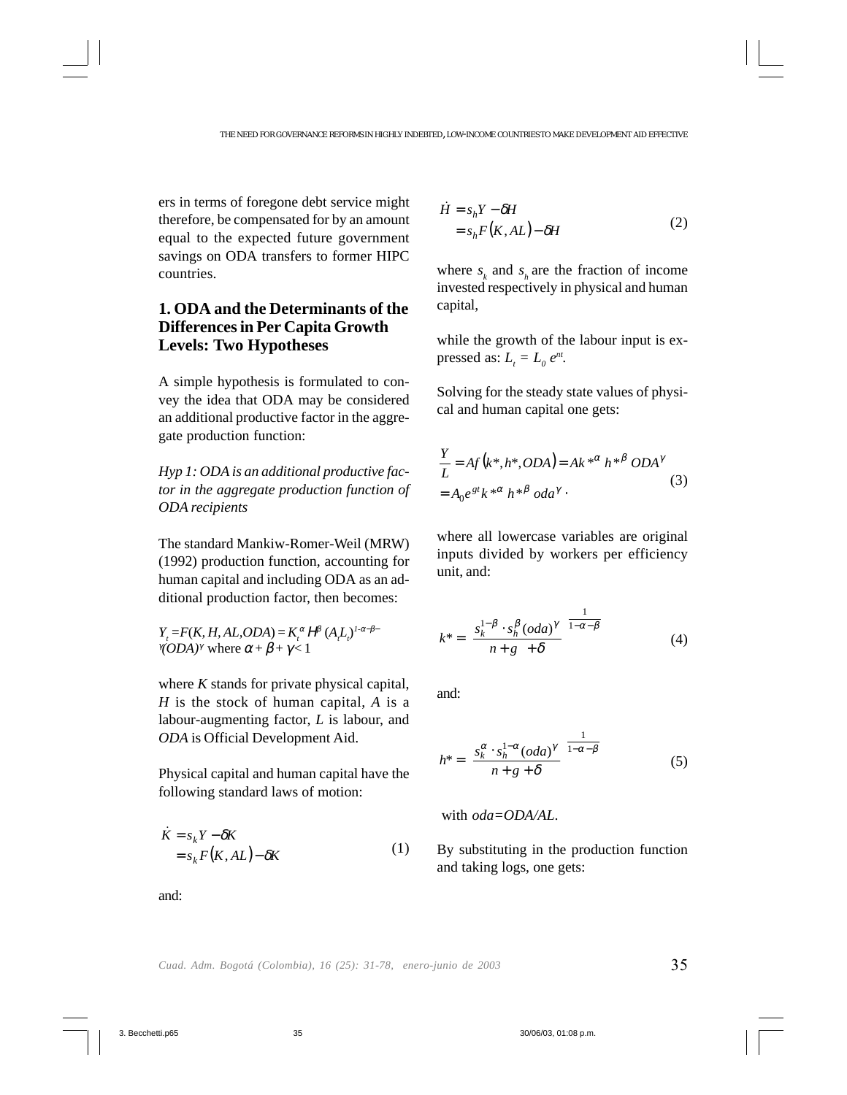ers in terms of foregone debt service might therefore, be compensated for by an amount equal to the expected future government savings on ODA transfers to former HIPC countries.

# **1. ODA and the Determinants of the Differences in Per Capita Growth Levels: Two Hypotheses**

A simple hypothesis is formulated to convey the idea that ODA may be considered an additional productive factor in the aggregate production function:

*Hyp 1: ODA is an additional productive factor in the aggregate production function of ODA recipients*

The standard Mankiw-Romer-Weil (MRW) (1992) production function, accounting for human capital and including ODA as an additional production factor, then becomes:

 $Y_t = F(K, H, AL, ODA) = K_t^{\alpha} H^{\beta} (A_t L_t)^{1-\alpha-\beta-1}$  $\gamma$ (*ODA*)<sup>γ</sup> where  $\alpha + \beta + \gamma < 1$ 

where *K* stands for private physical capital, *H* is the stock of human capital, *A* is a labour-augmenting factor, *L* is labour, and *ODA* is Official Development Aid.

Physical capital and human capital have the following standard laws of motion:

$$
\dot{K} = s_k Y - \delta K
$$
  
=  $s_k F(K, AL) - \delta K$  (1)

$$
\dot{H} = s_h Y - \delta H
$$
  
=  $s_h F(K, AL) - \delta H$  (2)

where  $s_k$  and  $s_k$  are the fraction of income invested respectively in physical and human capital,

while the growth of the labour input is expressed as:  $L_t = L_0 e^{nt}$ .

Solving for the steady state values of physical and human capital one gets:

$$
\frac{Y}{L} = Af(k^*, h^*, ODA) = Ak^{*\alpha} h^{*\beta} ODA^{\gamma}
$$
  
=  $A_0 e^{gt} k^{*\alpha} h^{*\beta} oda^{\gamma}$ . (3)

where all lowercase variables are original inputs divided by workers per efficiency unit, and:

$$
k^* = \left(\frac{s_k^{1-\beta} \cdot s_h^{\beta} (oda)^{\gamma}}{n+g+\delta}\right)^{\frac{1}{1-\alpha-\beta}}
$$
(4)

and:

$$
h^* = \left(\frac{s_k^{\alpha} \cdot s_h^{1-\alpha} (odd)^{\gamma}}{n+g+\delta}\right)^{\frac{1}{1-\alpha-\beta}}
$$
(5)

with *oda=ODA/AL*.

By substituting in the production function and taking logs, one gets:

and: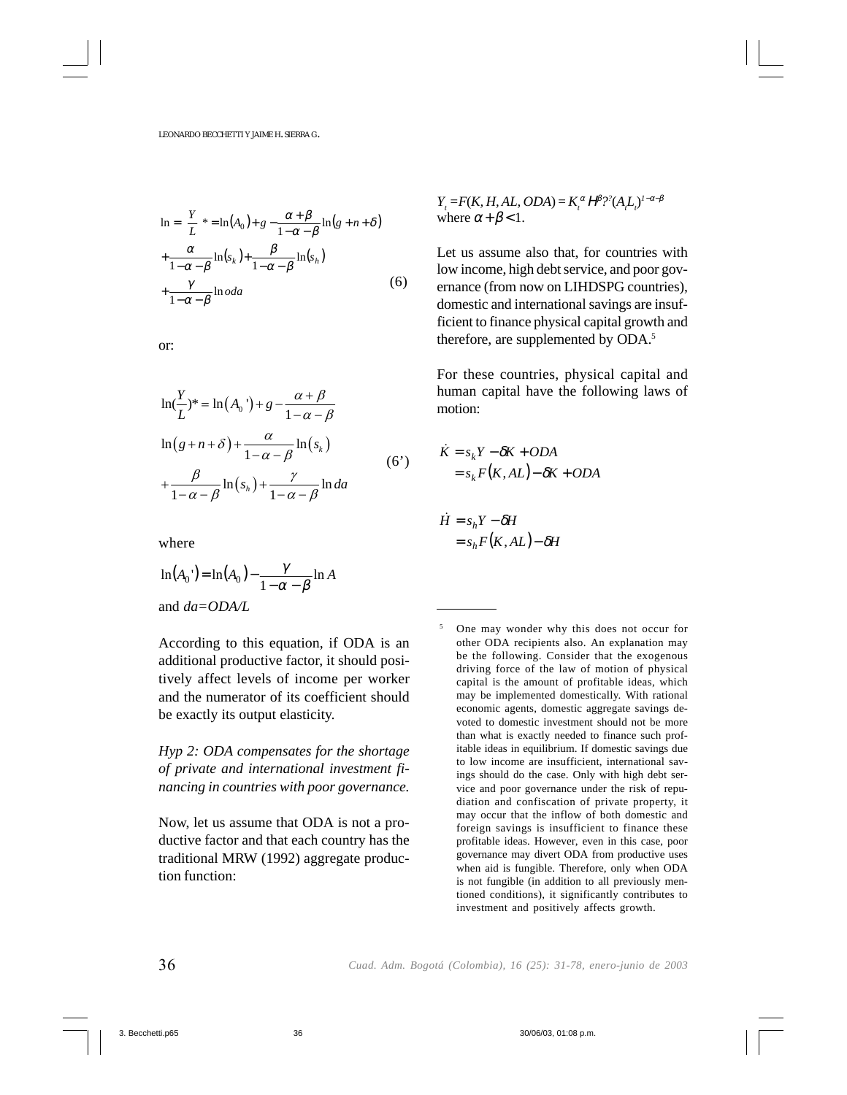$$
\ln = \left(\frac{Y}{L}\right)^{k} = \ln(A_{0}) + g - \frac{\alpha + \beta}{1 - \alpha - \beta} \ln(g + n + \delta)
$$
  
+ 
$$
\frac{\alpha}{1 - \alpha - \beta} \ln(s_{k}) + \frac{\beta}{1 - \alpha - \beta} \ln(s_{h})
$$
  
+ 
$$
\frac{\gamma}{1 - \alpha - \beta} \ln o da
$$
 (6)

or:

$$
\ln(\frac{Y}{L})^* = \ln(A_0^{\prime}) + g - \frac{\alpha + \beta}{1 - \alpha - \beta}
$$
  

$$
\ln(g + n + \delta) + \frac{\alpha}{1 - \alpha - \beta} \ln(s_k)
$$
  

$$
+ \frac{\beta}{1 - \alpha - \beta} \ln(s_h) + \frac{\gamma}{1 - \alpha - \beta} \ln da
$$
 (6')

where

$$
\ln(A_0) = \ln(A_0) - \frac{\gamma}{1 - \alpha - \beta} \ln A
$$
  
and  $da = ODA/L$ 

According to this equation, if ODA is an additional productive factor, it should positively affect levels of income per worker and the numerator of its coefficient should be exactly its output elasticity.

*Hyp 2: ODA compensates for the shortage of private and international investment financing in countries with poor governance.*

Now, let us assume that ODA is not a productive factor and that each country has the traditional MRW (1992) aggregate production function:

 $Y_t = F(K, H, AL, ODA) = K_t^{\alpha} H^{\beta}$ ?<sup>2</sup> $(A_t L_t)^{1-\alpha-\beta}$ where  $\alpha + \beta < 1$ .

Let us assume also that, for countries with low income, high debt service, and poor governance (from now on LIHDSPG countries), domestic and international savings are insufficient to finance physical capital growth and therefore, are supplemented by ODA.<sup>5</sup>

For these countries, physical capital and human capital have the following laws of motion:

$$
\dot{K} = s_k Y - \delta K + ODA
$$
  
=  $s_k F(K, AL) - \delta K + ODA$ 

 $= s_h F(K, AL) - \delta H$  $\dot{H} = s_h Y - \delta H$ 

<sup>5</sup> One may wonder why this does not occur for other ODA recipients also. An explanation may be the following. Consider that the exogenous driving force of the law of motion of physical capital is the amount of profitable ideas, which may be implemented domestically. With rational economic agents, domestic aggregate savings devoted to domestic investment should not be more than what is exactly needed to finance such profitable ideas in equilibrium. If domestic savings due to low income are insufficient, international savings should do the case. Only with high debt service and poor governance under the risk of repudiation and confiscation of private property, it may occur that the inflow of both domestic and foreign savings is insufficient to finance these profitable ideas. However, even in this case, poor governance may divert ODA from productive uses when aid is fungible. Therefore, only when ODA is not fungible (in addition to all previously mentioned conditions), it significantly contributes to investment and positively affects growth.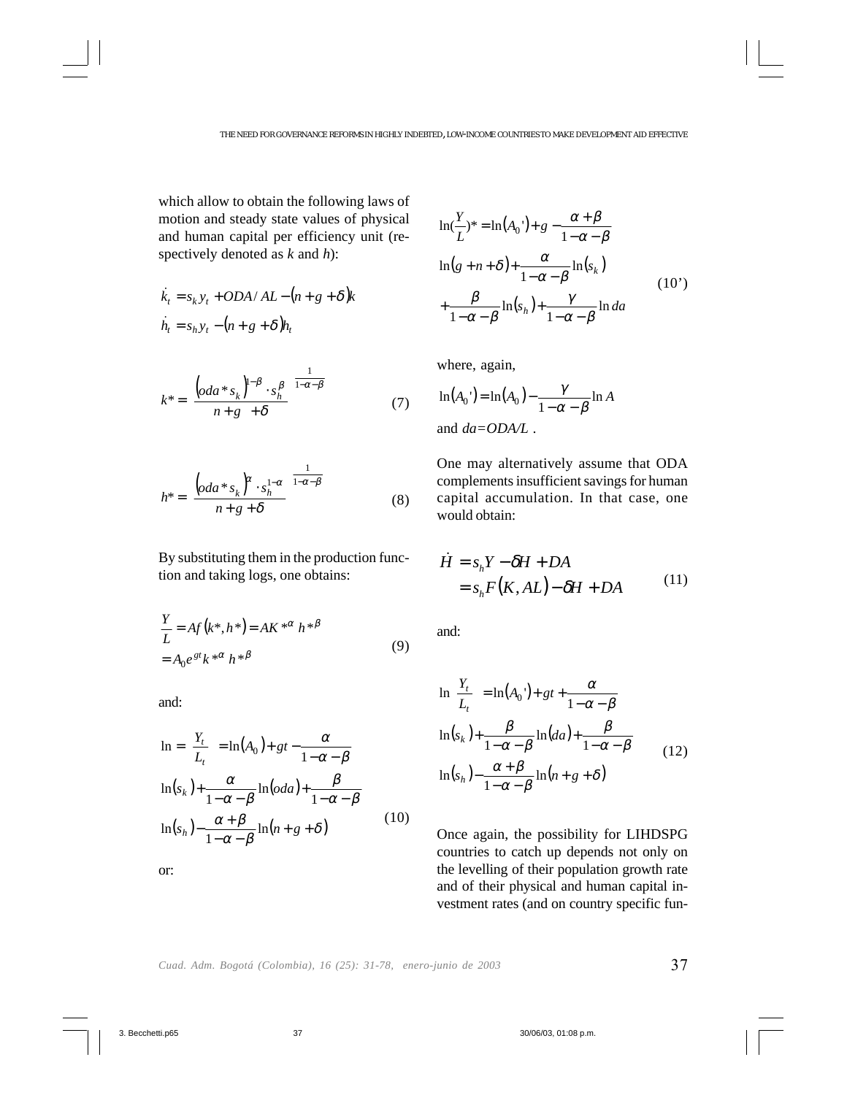which allow to obtain the following laws of motion and steady state values of physical and human capital per efficiency unit (respectively denoted as *k* and *h*):

$$
\dot{k}_t = s_k y_t + ODA/AL - (n + g + \delta)k
$$
  

$$
\dot{h}_t = s_h y_t - (n + g + \delta)h_t
$$

$$
k^* = \left(\frac{\left(\operatorname{oda}^* s_k\right)^{1-\beta} \cdot s_h^{\beta}}{n+g+\delta}\right)^{\frac{1}{1-\alpha-\beta}}
$$
(7)

$$
h^* = \left(\frac{\left(oda * s_k\right)^{\alpha} \cdot s_h^{1-\alpha}}{n+g+\delta}\right)^{\frac{1}{1-\alpha-\beta}}
$$
(8)

By substituting them in the production function and taking logs, one obtains:

$$
\frac{Y}{L} = Af(k^*, h^*) = AK^{*\alpha} h^{*\beta}
$$
  
=  $A_0 e^{st} k^{*\alpha} h^{*\beta}$  (9)

and:

or:

$$
\ln = \left(\frac{Y_t}{L_t}\right) = \ln(A_0) + gt - \frac{\alpha}{1 - \alpha - \beta}
$$
  

$$
\ln(s_k) + \frac{\alpha}{1 - \alpha - \beta} \ln(\alpha da) + \frac{\beta}{1 - \alpha - \beta}
$$
  

$$
\ln(s_h) - \frac{\alpha + \beta}{1 - \alpha - \beta} \ln(n + g + \delta)
$$
 (10)

 $\ln(\frac{Y}{L})^* = \ln(A_0') + g - \frac{\alpha + \beta}{1 - \alpha - \beta}$  $\ln(g+n+\delta)+\frac{\alpha}{1-\alpha-\beta}\ln(s_k)$  $\frac{P}{1-\alpha-\beta}\ln(s_h) + \frac{I}{1-\alpha-\beta}\ln da$ γ  $\alpha-\beta$  $+\frac{\beta}{1-\alpha-\beta}\ln(s_h)+\frac{\gamma}{1-\alpha-\beta}$  $\alpha-\beta$  $(n + \delta) + \frac{\alpha}{1 - \alpha - \epsilon}$  $\alpha + \beta$  $=\ln(A_0') + g - \frac{\alpha + \beta}{1 - \alpha - \beta}$  $(10')$ 

where, again,

$$
\ln(A_0') = \ln(A_0) - \frac{\gamma}{1 - \alpha - \beta} \ln A
$$
  
and  $da = ODA/L$ .

One may alternatively assume that ODA complements insufficient savings for human capital accumulation. In that case, one would obtain:

$$
\dot{H} = s_h Y - \delta H + DA
$$
  
=  $s_h F(K, AL) - \delta H + DA$  (11)

and:

$$
\ln\left(\frac{Y_t}{L_t}\right) = \ln(A_0') + gt + \frac{\alpha}{1 - \alpha - \beta}
$$
  

$$
\ln(s_k) + \frac{\beta}{1 - \alpha - \beta} \ln(da) + \frac{\beta}{1 - \alpha - \beta}
$$
  

$$
\ln(s_h) - \frac{\alpha + \beta}{1 - \alpha - \beta} \ln(n + g + \delta)
$$
 (12)

Once again, the possibility for LIHDSPG countries to catch up depends not only on the levelling of their population growth rate and of their physical and human capital investment rates (and on country specific fun-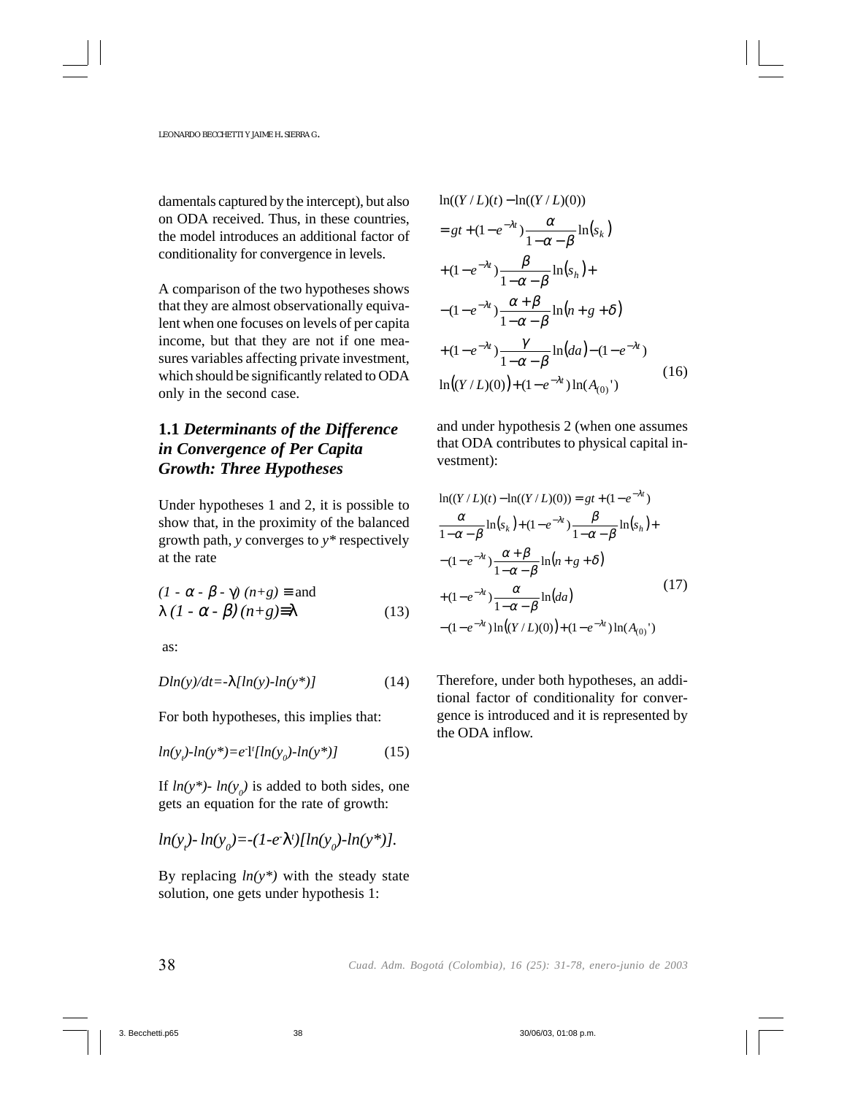damentals captured by the intercept), but also on ODA received. Thus, in these countries, the model introduces an additional factor of conditionality for convergence in levels.

A comparison of the two hypotheses shows that they are almost observationally equivalent when one focuses on levels of per capita income, but that they are not if one measures variables affecting private investment, which should be significantly related to ODA only in the second case.

# **1.1** *Determinants of the Difference in Convergence of Per Capita Growth: Three Hypotheses*

Under hypotheses 1 and 2, it is possible to show that, in the proximity of the balanced growth path, *y* converges to *y\** respectively at the rate

$$
(1 - \alpha - \beta - \gamma) (n + g) \equiv \text{and}
$$
  
 
$$
\lambda (1 - \alpha - \beta) (n + g) \equiv \lambda
$$
 (13)

as:

$$
Dln(y)/dt = \lambda [ln(y) - ln(y^*)]
$$
 (14)

For both hypotheses, this implies that:

$$
ln(yr) - ln(y*) = e-1 [ln(y0) - ln(y*)]
$$
 (15)

If  $ln(y^*)$ -  $ln(y_0)$  is added to both sides, one gets an equation for the rate of growth:

$$
ln(y_i) - ln(y_0) = -(1 - e^2 \lambda^t) [ln(y_0) - ln(y^*)].
$$

By replacing  $ln(y^*)$  with the steady state solution, one gets under hypothesis 1:

$$
\ln((Y/L)(t) - \ln((Y/L)(0)))
$$
\n
$$
= gt + (1 - e^{-\lambda t}) \frac{\alpha}{1 - \alpha - \beta} \ln(s_k)
$$
\n
$$
+ (1 - e^{-\lambda t}) \frac{\beta}{1 - \alpha - \beta} \ln(s_h) +
$$
\n
$$
- (1 - e^{-\lambda t}) \frac{\alpha + \beta}{1 - \alpha - \beta} \ln(n + g + \delta)
$$
\n
$$
+ (1 - e^{-\lambda t}) \frac{\gamma}{1 - \alpha - \beta} \ln(da) - (1 - e^{-\lambda t})
$$
\n
$$
\ln((Y/L)(0)) + (1 - e^{-\lambda t}) \ln(A_{(0)}')
$$
\n(16)

and under hypothesis 2 (when one assumes that ODA contributes to physical capital investment):

$$
\ln((Y/L)(t) - \ln((Y/L)(0)) = gt + (1 - e^{-\lambda t})
$$
\n
$$
\frac{\alpha}{1 - \alpha - \beta} \ln(s_k) + (1 - e^{-\lambda t}) \frac{\beta}{1 - \alpha - \beta} \ln(s_h) + (-1 - e^{-\lambda t}) \frac{\alpha + \beta}{1 - \alpha - \beta} \ln(n + g + \delta)
$$
\n
$$
+ (1 - e^{-\lambda t}) \frac{\alpha}{1 - \alpha - \beta} \ln(da) \tag{17}
$$
\n
$$
- (1 - e^{-\lambda t}) \ln((Y/L)(0)) + (1 - e^{-\lambda t}) \ln(A_{(0)})
$$

Therefore, under both hypotheses, an additional factor of conditionality for convergence is introduced and it is represented by the ODA inflow.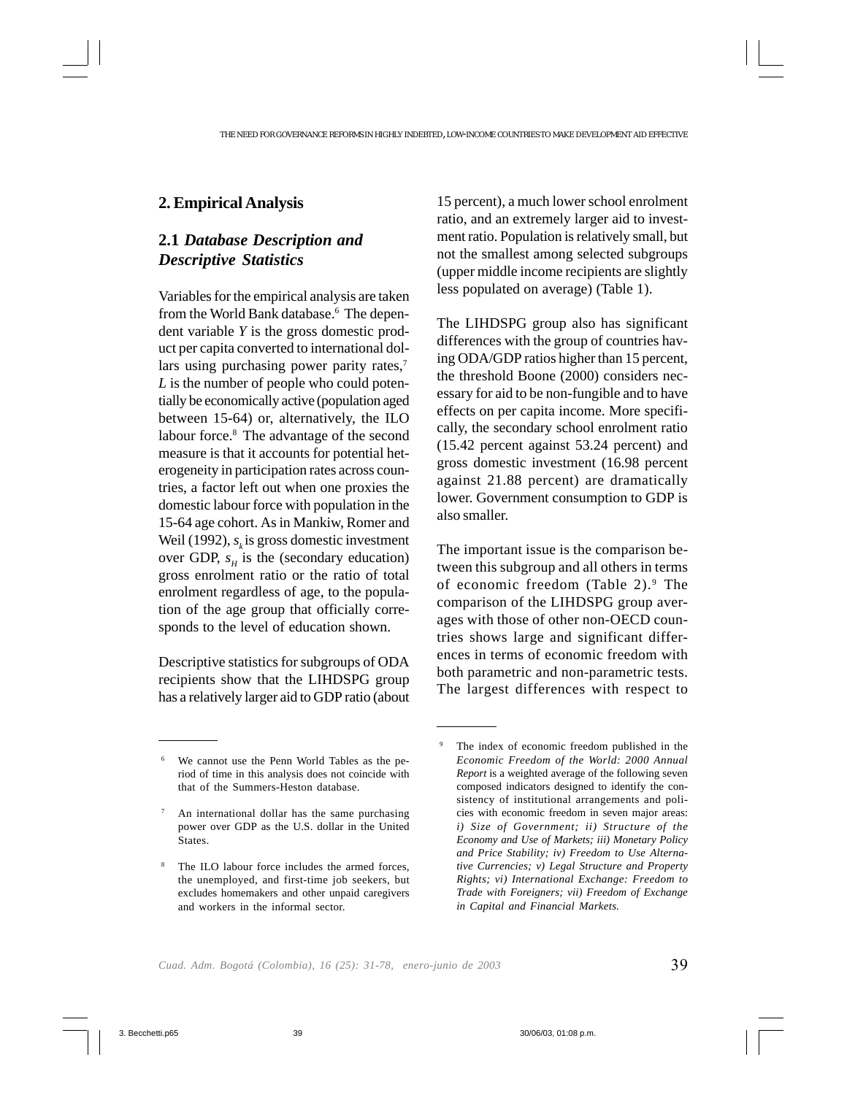### **2. Empirical Analysis**

# **2.1** *Database Description and Descriptive Statistics*

Variables for the empirical analysis are taken from the World Bank database.6 The dependent variable *Y* is the gross domestic product per capita converted to international dollars using purchasing power parity rates,<sup>7</sup> *L* is the number of people who could potentially be economically active (population aged between 15-64) or, alternatively, the ILO labour force.<sup>8</sup> The advantage of the second measure is that it accounts for potential heterogeneity in participation rates across countries, a factor left out when one proxies the domestic labour force with population in the 15-64 age cohort. As in Mankiw, Romer and Weil (1992),  $s_k$  is gross domestic investment over GDP,  $s_H$  is the (secondary education) gross enrolment ratio or the ratio of total enrolment regardless of age, to the population of the age group that officially corresponds to the level of education shown.

Descriptive statistics for subgroups of ODA recipients show that the LIHDSPG group has a relatively larger aid to GDP ratio (about 15 percent), a much lower school enrolment ratio, and an extremely larger aid to investment ratio. Population is relatively small, but not the smallest among selected subgroups (upper middle income recipients are slightly less populated on average) (Table 1).

The LIHDSPG group also has significant differences with the group of countries having ODA/GDP ratios higher than 15 percent, the threshold Boone (2000) considers necessary for aid to be non-fungible and to have effects on per capita income. More specifically, the secondary school enrolment ratio (15.42 percent against 53.24 percent) and gross domestic investment (16.98 percent against 21.88 percent) are dramatically lower. Government consumption to GDP is also smaller.

The important issue is the comparison between this subgroup and all others in terms of economic freedom (Table 2).<sup>9</sup> The comparison of the LIHDSPG group averages with those of other non-OECD countries shows large and significant differences in terms of economic freedom with both parametric and non-parametric tests. The largest differences with respect to

We cannot use the Penn World Tables as the period of time in this analysis does not coincide with that of the Summers-Heston database.

<sup>7</sup> An international dollar has the same purchasing power over GDP as the U.S. dollar in the United States.

The ILO labour force includes the armed forces, the unemployed, and first-time job seekers, but excludes homemakers and other unpaid caregivers and workers in the informal sector.

The index of economic freedom published in the *Economic Freedom of the World: 2000 Annual Report* is a weighted average of the following seven composed indicators designed to identify the consistency of institutional arrangements and policies with economic freedom in seven major areas: *i) Size of Government; ii) Structure of the Economy and Use of Markets; iii) Monetary Policy and Price Stability; iv) Freedom to Use Alternative Currencies; v) Legal Structure and Property Rights; vi) International Exchange: Freedom to Trade with Foreigners; vii) Freedom of Exchange in Capital and Financial Markets.*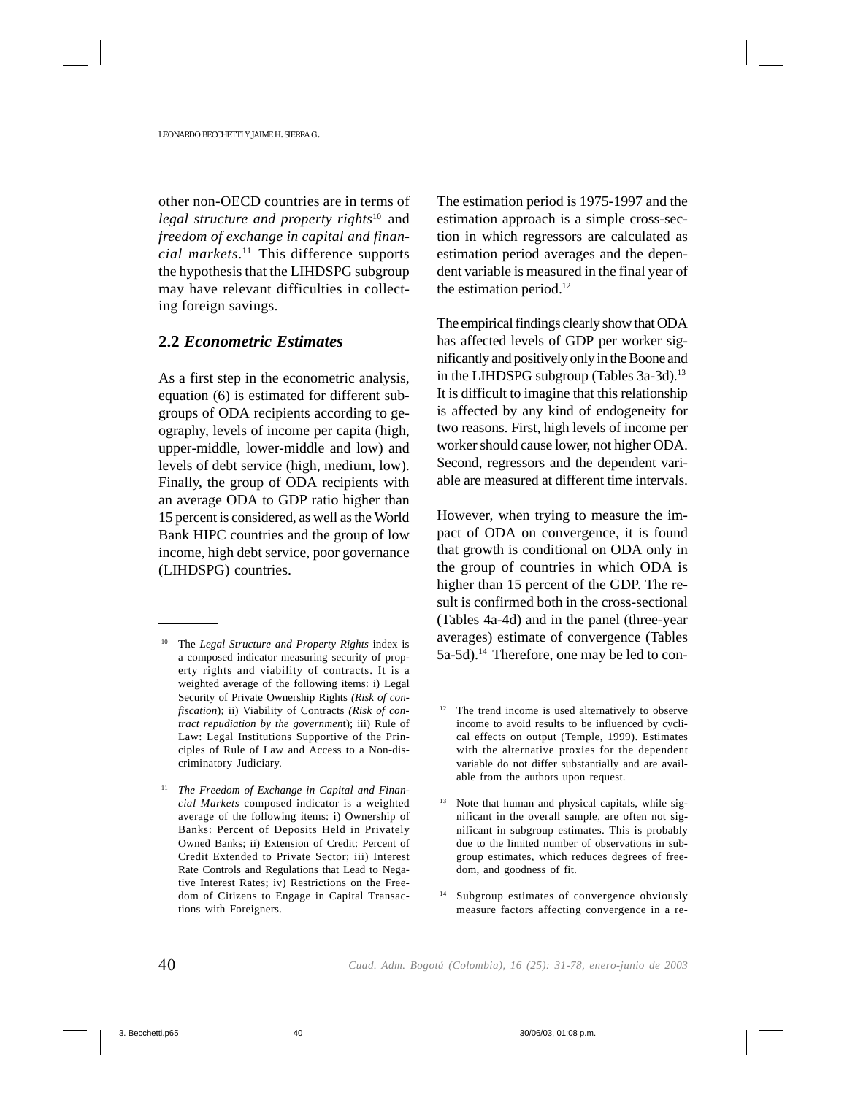other non-OECD countries are in terms of *legal structure and property rights*10 and *freedom of exchange in capital and financial markets*. 11 This difference supports the hypothesis that the LIHDSPG subgroup may have relevant difficulties in collecting foreign savings.

#### **2.2** *Econometric Estimates*

As a first step in the econometric analysis, equation (6) is estimated for different subgroups of ODA recipients according to geography, levels of income per capita (high, upper-middle, lower-middle and low) and levels of debt service (high, medium, low). Finally, the group of ODA recipients with an average ODA to GDP ratio higher than 15 percent is considered, as well as the World Bank HIPC countries and the group of low income, high debt service, poor governance (LIHDSPG) countries.

The estimation period is 1975-1997 and the estimation approach is a simple cross-section in which regressors are calculated as estimation period averages and the dependent variable is measured in the final year of the estimation period.<sup>12</sup>

The empirical findings clearly show that ODA has affected levels of GDP per worker significantly and positively only in the Boone and in the LIHDSPG subgroup (Tables 3a-3d).<sup>13</sup> It is difficult to imagine that this relationship is affected by any kind of endogeneity for two reasons. First, high levels of income per worker should cause lower, not higher ODA. Second, regressors and the dependent variable are measured at different time intervals.

However, when trying to measure the impact of ODA on convergence, it is found that growth is conditional on ODA only in the group of countries in which ODA is higher than 15 percent of the GDP. The result is confirmed both in the cross-sectional (Tables 4a-4d) and in the panel (three-year averages) estimate of convergence (Tables 5a-5d).<sup>14</sup> Therefore, one may be led to con-

<sup>14</sup> Subgroup estimates of convergence obviously measure factors affecting convergence in a re-

<sup>10</sup> The *Legal Structure and Property Rights* index is a composed indicator measuring security of property rights and viability of contracts. It is a weighted average of the following items: i) Legal Security of Private Ownership Rights *(Risk of confiscation*); ii) Viability of Contracts *(Risk of contract repudiation by the governmen*t); iii) Rule of Law: Legal Institutions Supportive of the Principles of Rule of Law and Access to a Non-discriminatory Judiciary.

<sup>11</sup> *The Freedom of Exchange in Capital and Financial Markets* composed indicator is a weighted average of the following items: i) Ownership of Banks: Percent of Deposits Held in Privately Owned Banks; ii) Extension of Credit: Percent of Credit Extended to Private Sector; iii) Interest Rate Controls and Regulations that Lead to Negative Interest Rates; iv) Restrictions on the Freedom of Citizens to Engage in Capital Transactions with Foreigners.

<sup>&</sup>lt;sup>12</sup> The trend income is used alternatively to observe income to avoid results to be influenced by cyclical effects on output (Temple, 1999). Estimates with the alternative proxies for the dependent variable do not differ substantially and are available from the authors upon request.

<sup>13</sup> Note that human and physical capitals, while significant in the overall sample, are often not significant in subgroup estimates. This is probably due to the limited number of observations in subgroup estimates, which reduces degrees of freedom, and goodness of fit.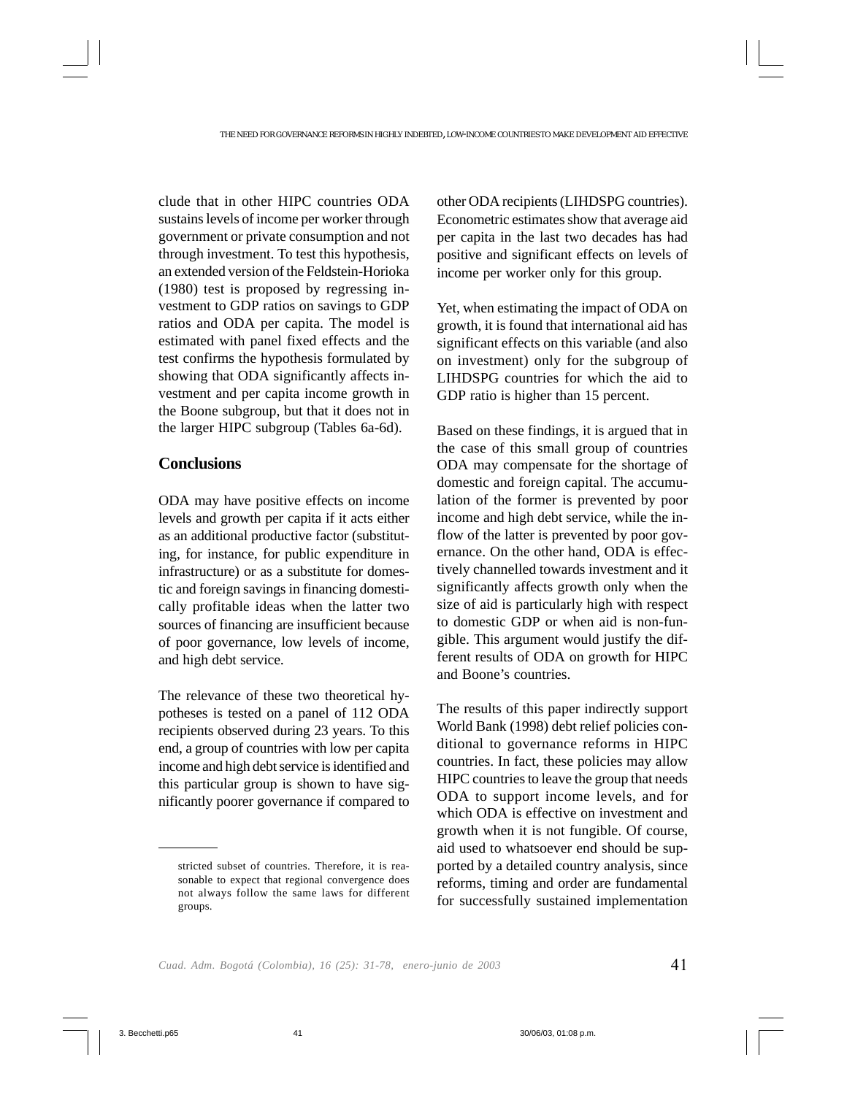clude that in other HIPC countries ODA sustains levels of income per worker through government or private consumption and not through investment. To test this hypothesis, an extended version of the Feldstein-Horioka (1980) test is proposed by regressing investment to GDP ratios on savings to GDP ratios and ODA per capita. The model is estimated with panel fixed effects and the test confirms the hypothesis formulated by showing that ODA significantly affects investment and per capita income growth in the Boone subgroup, but that it does not in the larger HIPC subgroup (Tables 6a-6d).

#### **Conclusions**

ODA may have positive effects on income levels and growth per capita if it acts either as an additional productive factor (substituting, for instance, for public expenditure in infrastructure) or as a substitute for domestic and foreign savings in financing domestically profitable ideas when the latter two sources of financing are insufficient because of poor governance, low levels of income, and high debt service.

The relevance of these two theoretical hypotheses is tested on a panel of 112 ODA recipients observed during 23 years. To this end, a group of countries with low per capita income and high debt service is identified and this particular group is shown to have significantly poorer governance if compared to other ODA recipients (LIHDSPG countries). Econometric estimates show that average aid per capita in the last two decades has had positive and significant effects on levels of income per worker only for this group.

Yet, when estimating the impact of ODA on growth, it is found that international aid has significant effects on this variable (and also on investment) only for the subgroup of LIHDSPG countries for which the aid to GDP ratio is higher than 15 percent.

Based on these findings, it is argued that in the case of this small group of countries ODA may compensate for the shortage of domestic and foreign capital. The accumulation of the former is prevented by poor income and high debt service, while the inflow of the latter is prevented by poor governance. On the other hand, ODA is effectively channelled towards investment and it significantly affects growth only when the size of aid is particularly high with respect to domestic GDP or when aid is non-fungible. This argument would justify the different results of ODA on growth for HIPC and Boone's countries.

The results of this paper indirectly support World Bank (1998) debt relief policies conditional to governance reforms in HIPC countries. In fact, these policies may allow HIPC countries to leave the group that needs ODA to support income levels, and for which ODA is effective on investment and growth when it is not fungible. Of course, aid used to whatsoever end should be supported by a detailed country analysis, since reforms, timing and order are fundamental for successfully sustained implementation

stricted subset of countries. Therefore, it is reasonable to expect that regional convergence does not always follow the same laws for different groups.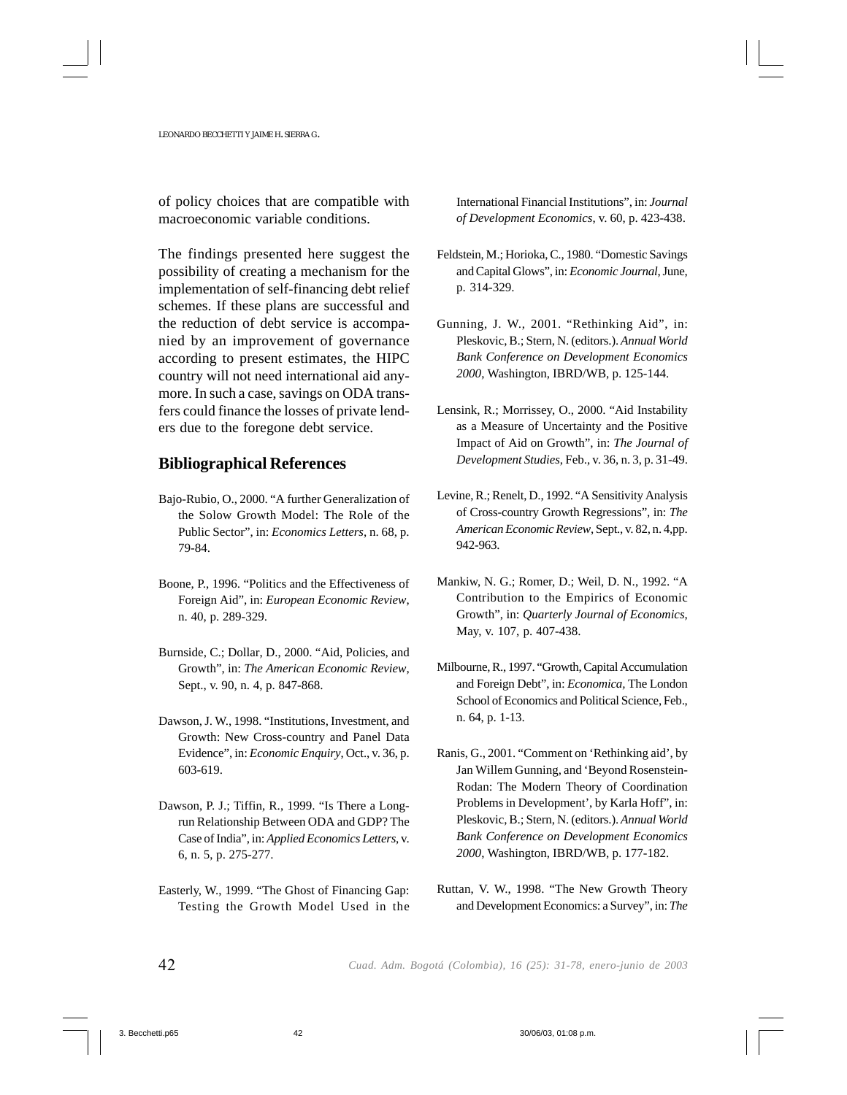of policy choices that are compatible with macroeconomic variable conditions.

The findings presented here suggest the possibility of creating a mechanism for the implementation of self-financing debt relief schemes. If these plans are successful and the reduction of debt service is accompanied by an improvement of governance according to present estimates, the HIPC country will not need international aid anymore. In such a case, savings on ODA transfers could finance the losses of private lenders due to the foregone debt service.

#### **Bibliographical References**

- Bajo-Rubio, O., 2000. "A further Generalization of the Solow Growth Model: The Role of the Public Sector", in: *Economics Letters*, n. 68, p. 79-84.
- Boone, P., 1996. "Politics and the Effectiveness of Foreign Aid", in: *European Economic Review*, n. 40, p. 289-329.
- Burnside, C.; Dollar, D., 2000. "Aid, Policies, and Growth", in: *The American Economic Review*, Sept., v. 90, n. 4, p. 847-868.
- Dawson, J. W., 1998. "Institutions, Investment, and Growth: New Cross-country and Panel Data Evidence", in: *Economic Enquiry*, Oct., v. 36, p. 603-619.
- Dawson, P. J.; Tiffin, R., 1999. "Is There a Longrun Relationship Between ODA and GDP? The Case of India", in: *Applied Economics Letters*, v. 6, n. 5, p. 275-277.
- Easterly, W., 1999. "The Ghost of Financing Gap: Testing the Growth Model Used in the

International Financial Institutions", in: *Journal of Development Economics*, v. 60, p. 423-438.

- Feldstein, M.; Horioka, C., 1980. "Domestic Savings and Capital Glows", in: *Economic Journal*, June, p. 314-329.
- Gunning, J. W., 2001. "Rethinking Aid", in: Pleskovic, B.; Stern, N. (editors.). *Annual World Bank Conference on Development Economics 2000*, Washington, IBRD/WB, p. 125-144.
- Lensink, R.; Morrissey, O., 2000. "Aid Instability as a Measure of Uncertainty and the Positive Impact of Aid on Growth", in: *The Journal of Development Studies*, Feb., v. 36, n. 3, p. 31-49.
- Levine, R.; Renelt, D., 1992. "A Sensitivity Analysis of Cross-country Growth Regressions", in: *The American Economic Review*, Sept., v. 82, n. 4,pp. 942-963.
- Mankiw, N. G.; Romer, D.; Weil, D. N., 1992. "A Contribution to the Empirics of Economic Growth", in: *Quarterly Journal of Economics*, May, v. 107, p. 407-438.
- Milbourne, R., 1997. "Growth, Capital Accumulation and Foreign Debt", in: *Economica,* The London School of Economics and Political Science, Feb., n. 64, p. 1-13.
- Ranis, G., 2001. "Comment on 'Rethinking aid', by Jan Willem Gunning, and 'Beyond Rosenstein-Rodan: The Modern Theory of Coordination Problems in Development', by Karla Hoff", in: Pleskovic, B.; Stern, N. (editors.). *Annual World Bank Conference on Development Economics 2000*, Washington, IBRD/WB, p. 177-182.
- Ruttan, V. W., 1998. "The New Growth Theory and Development Economics: a Survey", in: *The*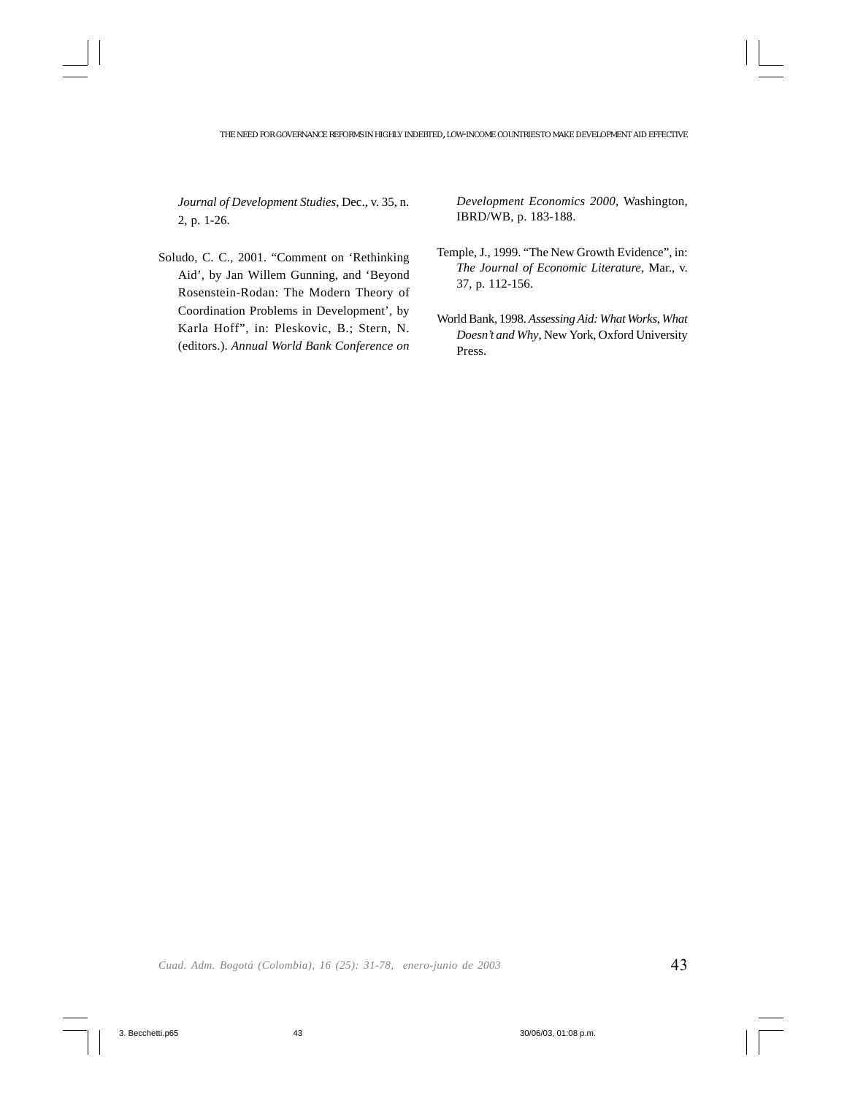*Journal of Development Studies*, Dec., v. 35, n. 2, p. 1-26.

Soludo, C. C., 2001. "Comment on 'Rethinking Aid', by Jan Willem Gunning, and 'Beyond Rosenstein-Rodan: The Modern Theory of Coordination Problems in Development', by Karla Hoff", in: Pleskovic, B.; Stern, N. (editors.). *Annual World Bank Conference on*

*Development Economics 2000*, Washington, IBRD/WB, p. 183-188.

- Temple, J., 1999. "The New Growth Evidence", in: *The Journal of Economic Literature*, Mar., v. 37, p. 112-156.
- World Bank, 1998. *Assessing Aid: What Works, What Doesn't and Why*, New York, Oxford University Press.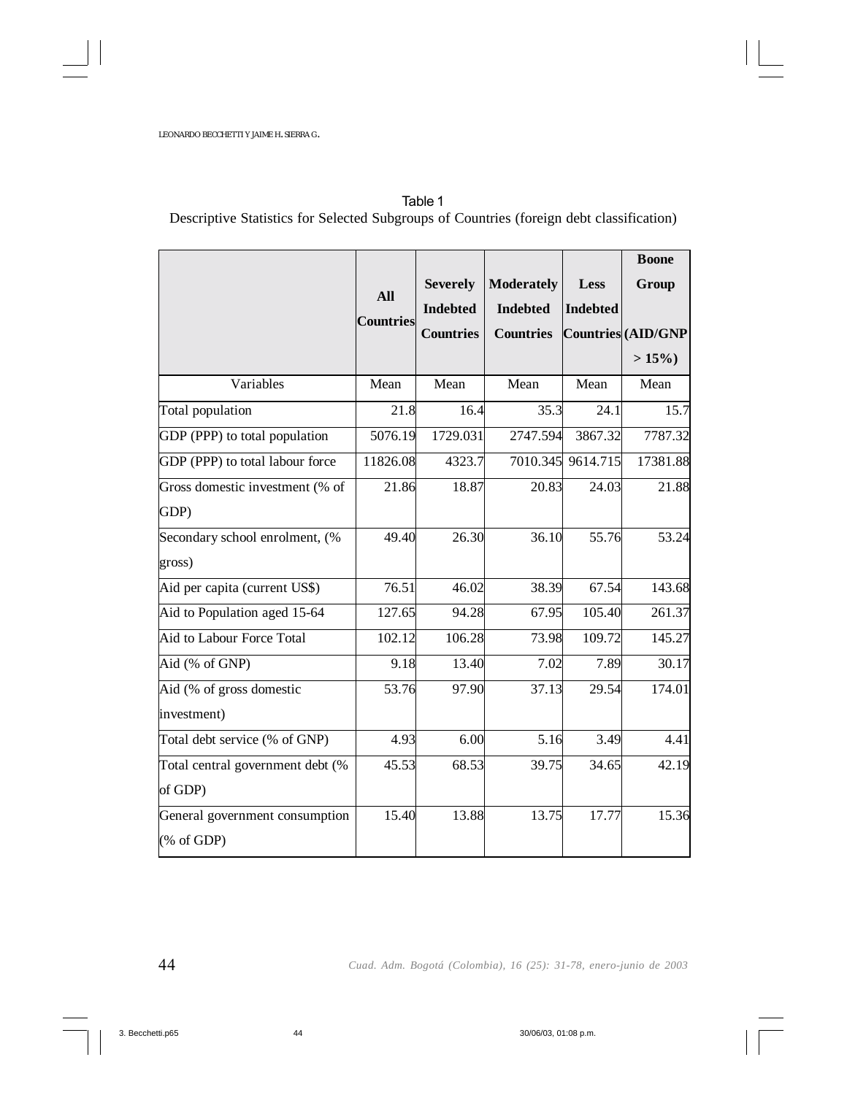|                                  |                  |                  |                   |                   | <b>Boone</b>       |
|----------------------------------|------------------|------------------|-------------------|-------------------|--------------------|
|                                  |                  | <b>Severely</b>  | <b>Moderately</b> | <b>Less</b>       | Group              |
|                                  | All              | <b>Indebted</b>  | <b>Indebted</b>   | <b>Indebted</b>   |                    |
|                                  | <b>Countries</b> | <b>Countries</b> | <b>Countries</b>  |                   | Countries (AID/GNP |
|                                  |                  |                  |                   |                   | $>15\%$            |
| Variables                        | Mean             | Mean             | Mean              | Mean              | Mean               |
| Total population                 | 21.8             | 16.4             | 35.3              | 24.1              | 15.7               |
| GDP (PPP) to total population    | 5076.19          | 1729.031         | 2747.594          | 3867.32           | 7787.32            |
| GDP (PPP) to total labour force  | 11826.08         | 4323.7           |                   | 7010.345 9614.715 | 17381.88           |
| Gross domestic investment (% of  | 21.86            | 18.87            | 20.83             | 24.03             | 21.88              |
| GDP)                             |                  |                  |                   |                   |                    |
| Secondary school enrolment, (%   | 49.40            | 26.30            | 36.10             | 55.76             | 53.24              |
| gross)                           |                  |                  |                   |                   |                    |
| Aid per capita (current US\$)    | 76.51            | 46.02            | 38.39             | 67.54             | 143.68             |
| Aid to Population aged 15-64     | 127.65           | 94.28            | 67.95             | 105.40            | 261.37             |
| Aid to Labour Force Total        | 102.12           | 106.28           | 73.98             | 109.72            | 145.27             |
| Aid (% of GNP)                   | 9.18             | 13.40            | 7.02              | 7.89              | 30.17              |
| Aid (% of gross domestic         | 53.76            | 97.90            | 37.13             | 29.54             | 174.01             |
| investment)                      |                  |                  |                   |                   |                    |
| Total debt service (% of GNP)    | 4.93             | 6.00             | 5.16              | 3.49              | 4.41               |
| Total central government debt (% | 45.53            | 68.53            | 39.75             | 34.65             | 42.19              |
| of GDP)                          |                  |                  |                   |                   |                    |
| General government consumption   | 15.40            | 13.88            | 13.75             | 17.77             | 15.36              |
| (% of GDP)                       |                  |                  |                   |                   |                    |

Table 1 Descriptive Statistics for Selected Subgroups of Countries (foreign debt classification)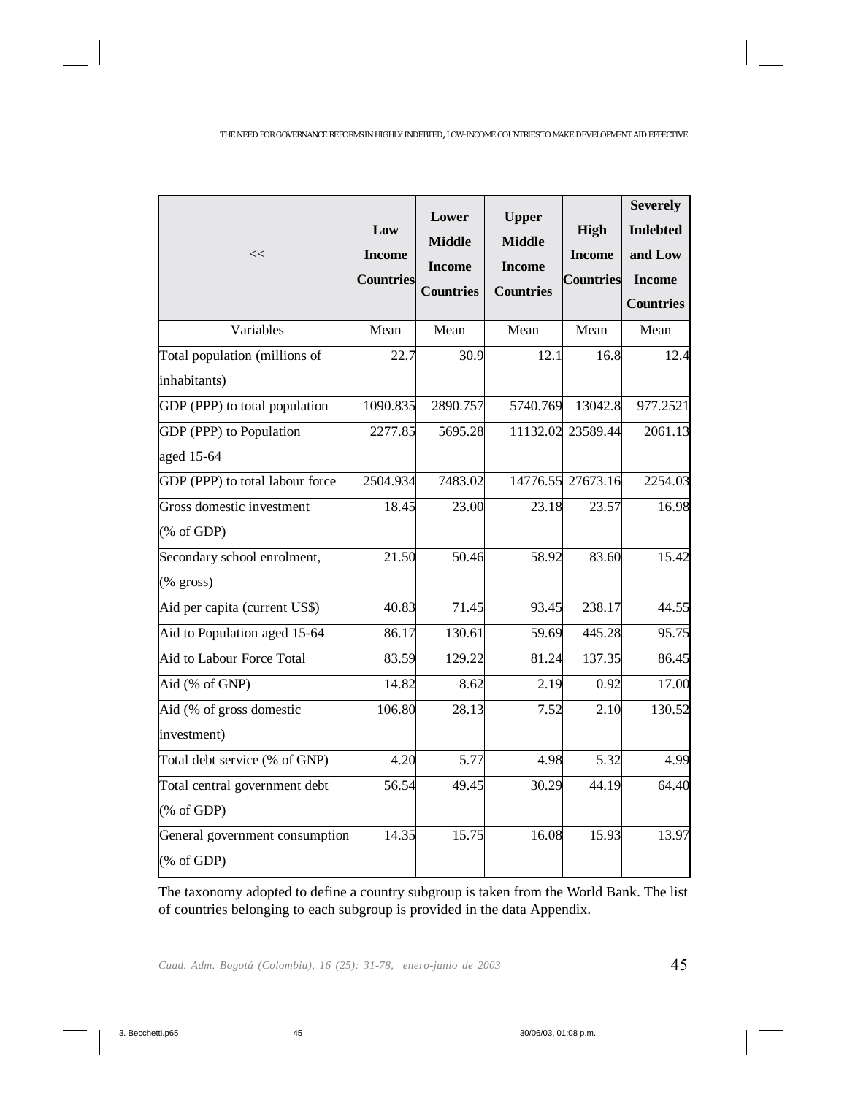#### THE NEED FOR GOVERNANCE REFORMS IN HIGHLY INDEBTED, LOW-INCOME COUNTRIES TO MAKE DEVELOPMENT AID EFFECTIVE

| <<                                           | Low<br><b>Income</b><br><b>Countries</b> | Lower<br><b>Middle</b><br><b>Income</b><br><b>Countries</b> | <b>Upper</b><br><b>Middle</b><br><b>Income</b><br><b>Countries</b> | High<br><b>Income</b><br><b>Countries</b> | <b>Severely</b><br><b>Indebted</b><br>and Low<br><b>Income</b><br><b>Countries</b> |
|----------------------------------------------|------------------------------------------|-------------------------------------------------------------|--------------------------------------------------------------------|-------------------------------------------|------------------------------------------------------------------------------------|
| Variables                                    | Mean                                     | Mean                                                        | Mean                                                               | Mean                                      | Mean                                                                               |
| Total population (millions of                | 22.7                                     | 30.9                                                        | 12.1                                                               | 16.8                                      | 12.4                                                                               |
| inhabitants)                                 |                                          |                                                             |                                                                    |                                           |                                                                                    |
| GDP (PPP) to total population                | 1090.835                                 | 2890.757                                                    | 5740.769                                                           | 13042.8                                   | 977.2521                                                                           |
| GDP (PPP) to Population                      | 2277.85                                  | 5695.28                                                     | 11132.02                                                           | 23589.44                                  | 2061.13                                                                            |
| aged 15-64                                   |                                          |                                                             |                                                                    |                                           |                                                                                    |
| GDP (PPP) to total labour force              | 2504.934                                 | 7483.02                                                     |                                                                    | 14776.55 27673.16                         | 2254.03                                                                            |
| Gross domestic investment                    | 18.45                                    | 23.00                                                       | 23.18                                                              | 23.57                                     | 16.98                                                                              |
| (% of GDP)                                   |                                          |                                                             |                                                                    |                                           |                                                                                    |
| Secondary school enrolment,                  | 21.50                                    | 50.46                                                       | 58.92                                                              | 83.60                                     | 15.42                                                                              |
| $(% \mathcal{L}_{0}^{\infty})$ (% gross)     |                                          |                                                             |                                                                    |                                           |                                                                                    |
| Aid per capita (current US\$)                | 40.83                                    | 71.45                                                       | 93.45                                                              | 238.17                                    | 44.55                                                                              |
| Aid to Population aged 15-64                 | 86.17                                    | 130.61                                                      | 59.69                                                              | 445.28                                    | 95.75                                                                              |
| Aid to Labour Force Total                    | 83.59                                    | 129.22                                                      | 81.24                                                              | 137.35                                    | 86.45                                                                              |
| Aid (% of GNP)                               | 14.82                                    | 8.62                                                        | 2.19                                                               | 0.92                                      | 17.00                                                                              |
| Aid (% of gross domestic                     | 106.80                                   | 28.13                                                       | 7.52                                                               | 2.10                                      | 130.52                                                                             |
| investment)                                  |                                          |                                                             |                                                                    |                                           |                                                                                    |
| Total debt service (% of GNP)                | 4.20                                     | 5.77                                                        | 4.98                                                               | 5.32                                      | 4.99                                                                               |
| Total central government debt                | 56.54                                    | 49.45                                                       | 30.29                                                              | 44.19                                     | 64.40                                                                              |
| (% of GDP)                                   |                                          |                                                             |                                                                    |                                           |                                                                                    |
| General government consumption<br>(% of GDP) | 14.35                                    | 15.75                                                       | 16.08                                                              | 15.93                                     | 13.97                                                                              |

The taxonomy adopted to define a country subgroup is taken from the World Bank. The list of countries belonging to each subgroup is provided in the data Appendix.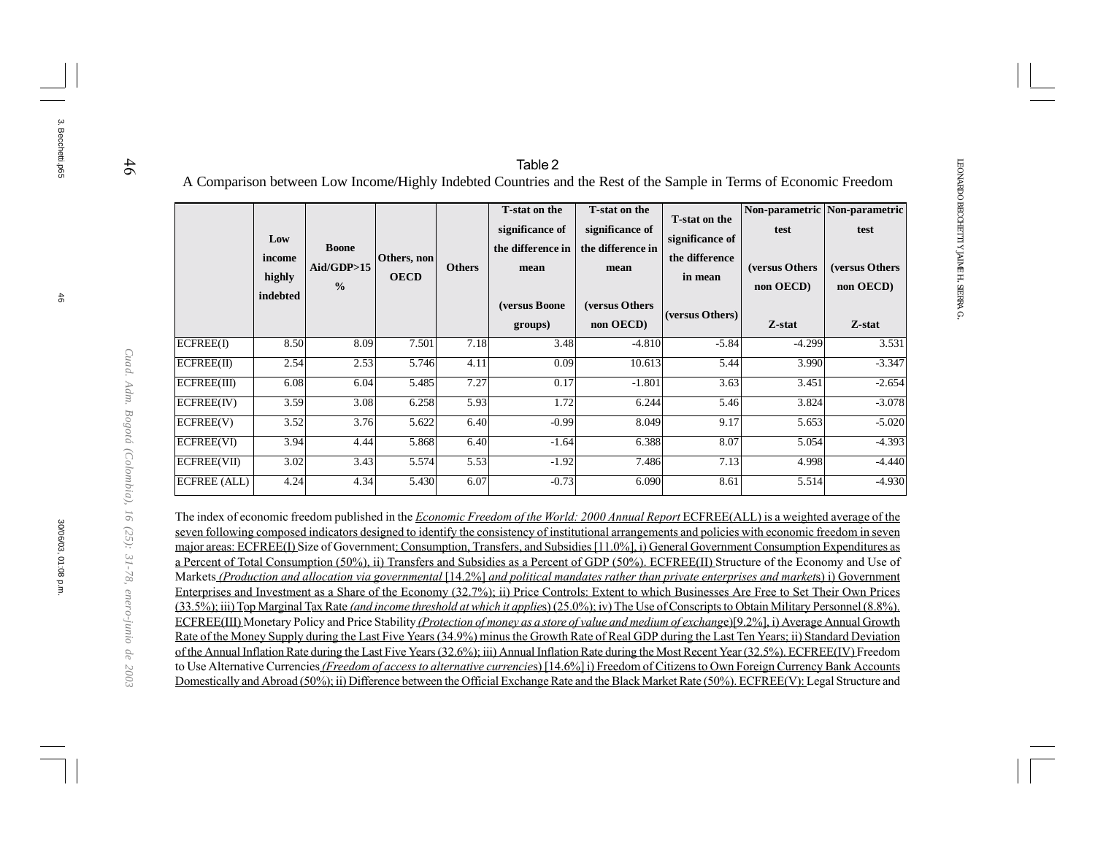46

30/06/03, 01:08 p.m. 46

30/06/03, 01:08 p.m

3. Becchetti.p65

3. Becchetti.p65

*Cuad. Adm. Bogotá (Colombia), 16 (25): 31-78, enero-junio de 2003*

Cuad. Adm. Bogotá (Colombia), 16 (25): 31-78, enero-junio de 2003

### Table 2A Comparison between Low Income/Highly Indebted Countries and the Rest of the Sample in Terms of Economic Freedom

|              | Low<br>income<br>highly<br>indebted | <b>Boone</b><br>Ai d/GDP > 15<br>$\frac{0}{0}$ | Others, non<br><b>OECD</b> | <b>Others</b> | T-stat on the<br>significance of<br>the difference in<br>mean<br>(versus Boone)<br>groups) | <b>T-stat on the</b><br>significance of<br>the difference in<br>mean<br>(versus Others)<br>non OECD) | <b>T-stat on the</b><br>significance of<br>the difference<br>in mean<br>(versus Others) | test<br>(versus Others)<br>non OECD)<br>Z-stat | Non-parametric Non-parametric<br>test<br>(versus Others)<br>non OECD)<br>Z-stat |
|--------------|-------------------------------------|------------------------------------------------|----------------------------|---------------|--------------------------------------------------------------------------------------------|------------------------------------------------------------------------------------------------------|-----------------------------------------------------------------------------------------|------------------------------------------------|---------------------------------------------------------------------------------|
| ECFREE(I)    | 8.50                                | 8.09                                           | 7.501                      | 7.18          | 3.48                                                                                       | $-4.810$                                                                                             | $-5.84$                                                                                 | $-4.299$                                       | 3.531                                                                           |
| ECFREE(II)   | 2.54                                | 2.53                                           | 5.746                      | 4.11          | 0.09                                                                                       | 10.613                                                                                               | 5.44                                                                                    | 3.990                                          | $-3.347$                                                                        |
| ECFREE(III)  | 6.08                                | 6.04                                           | 5.485                      | 7.27          | 0.17                                                                                       | $-1.801$                                                                                             | 3.63                                                                                    | 3.451                                          | $-2.654$                                                                        |
| ECFREE(IV)   | 3.59                                | 3.08                                           | 6.258                      | 5.93          | 1.72                                                                                       | 6.244                                                                                                | 5.46                                                                                    | 3.824                                          | $-3.078$                                                                        |
| ECFREE(V)    | 3.52                                | 3.76                                           | 5.622                      | 6.40          | $-0.99$                                                                                    | 8.049                                                                                                | 9.17                                                                                    | 5.653                                          | $-5.020$                                                                        |
| ECFREE(VI)   | 3.94                                | 4.44                                           | 5.868                      | 6.40          | $-1.64$                                                                                    | 6.388                                                                                                | 8.07                                                                                    | 5.054                                          | $-4.393$                                                                        |
| ECFREE(VII)  | 3.02                                | 3.43                                           | 5.574                      | 5.53          | $-1.92$                                                                                    | 7.486                                                                                                | 7.13                                                                                    | 4.998                                          | $-4.440$                                                                        |
| ECFREE (ALL) | 4.24                                | 4.34                                           | 5.430                      | 6.07          | $-0.73$                                                                                    | 6.090                                                                                                | 8.61                                                                                    | 5.514                                          | $-4.930$                                                                        |

The index of economic freedom published in the Economic Freedom of the World: 2000 Annual Report ECFREE(ALL) is a weighted average of the seven following composed indicators designed to identify the consistency of institutional arrangements and policies with economic freedom in seven major areas: ECFREE(I) Size of Government: Consumption, Transfers, and Subsidies [11.0%], i) General Government Consumption Expenditures as a Percent of Total Consumption (50%), ii) Transfers and Subsidies as a Percent of GDP (50%). ECFREE(II) Structure of the Economy and Use of Markets *(Production and allocation via governmental* [14.2%] *and political mandates rather than private enterprises and markets*) i) Government Enterprises and Investment as a Share of the Economy (32.7%); ii) Price Controls: Extent to which Businesses Are Free to Set Their Own Prices (33.5%); iii) Top Marginal Tax Rate (and income threshold at which it applies) (25.0%); iv) The Use of Conscripts to Obtain Military Personnel (8.8%). ECFREE(III) Monetary Policy and Price Stability (Protection of money as a store of value and medium of exchange)[9.2%], i) Average Annual Growth Rate of the Money Supply during the Last Five Years (34.9%) minus the Growth Rate of Real GDP during the Last Ten Years; ii) Standard Deviation of the Annual Inflation Rate during the Last Five Years (32.6%); iii) Annual Inflation Rate during the Most Recent Year (32.5%). ECFREE(IV) Freedom to Use Alternative Currencies (Freedom of access to alternative currencies) [14.6%] i) Freedom of Citizens to Own Foreign Currency Bank Accounts Domestically and Abroad (50%); ii) Difference between the Official Exchange Rate and the Black Market Rate (50%). ECFREE(V): Legal Structure and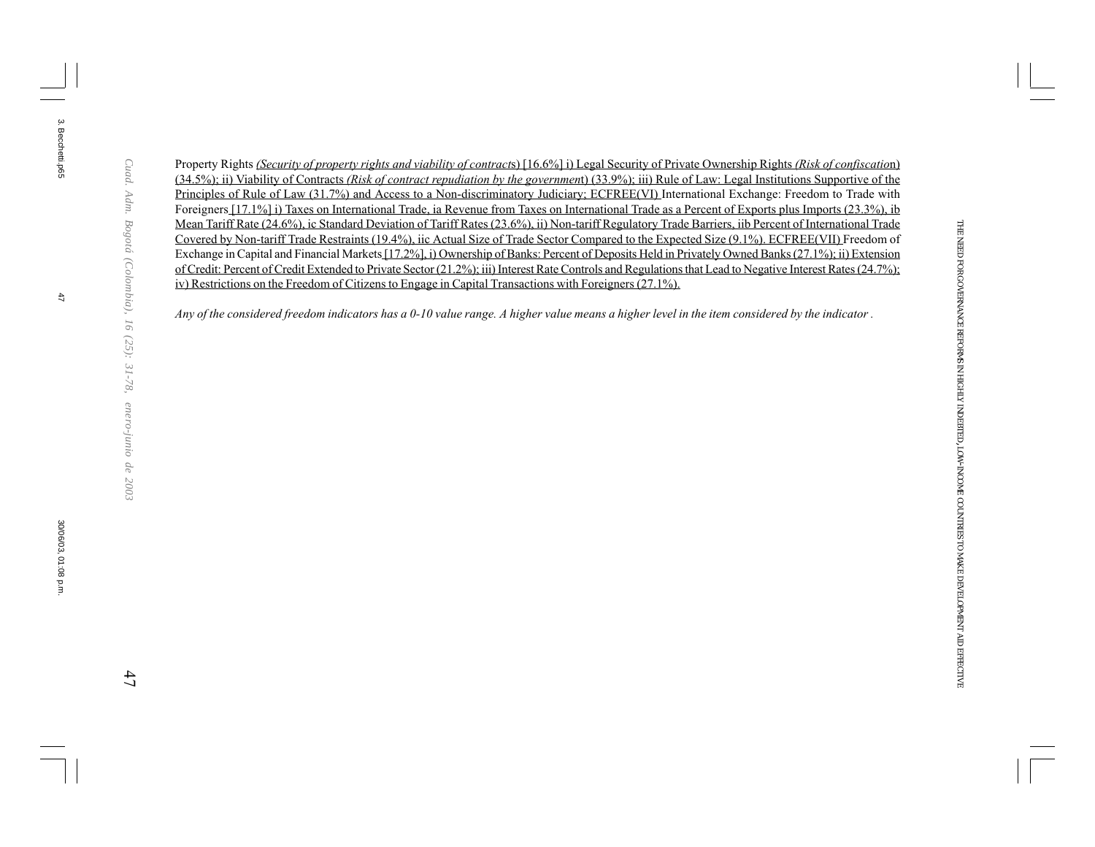Property Rights (Security of property rights and viability of contracts) [16.6%] i) Legal Security of Private Ownership Rights (Risk of confiscation) (34.5%); ii) Viability of Contracts (Risk of contract repudiation by the government) (33.9%); iii) Rule of Law: Legal Institutions Supportive of the Principles of Rule of Law (31.7%) and Access to a Non-discriminatory Judiciary; ECFREE(VI) International Exchange: Freedom to Trade with Foreigners [17.1%] i) Taxes on International Trade, ia Revenue from Taxes on International Trade as a Percent of Exports plus Imports (23.3%), ib Mean Tariff Rate (24.6%), ic Standard Deviation of Tariff Rates (23.6%), ii) Non-tariff Regulatory Trade Barriers, iib Percent of International Trade Covered by Non-tariff Trade Restraints (19.4%), iic Actual Size of Trade Sector Compared to the Expected Size (9.1%). ECFREE(VII) Freedom of Exchange in Capital and Financial Markets [17.2%], i) Ownership of Banks: Percent of Deposits Held in Privately Owned Banks (27.1%); ii) Extension of Credit: Percent of Credit Extended to Private Sector (21.2%); iii) Interest Rate Controls and Regulations that Lead to Negative Interest Rates (24.7%); iv) Restrictions on the Freedom of Citizens to Engage in Capital Transactions with Foreigners (27.1%).

Any of the considered freedom indicators has a 0-10 value range. A higher value means a higher level in the item considered by the indicator .

 $47$ 

3. Becchetti.p65

3. Becchetti.p65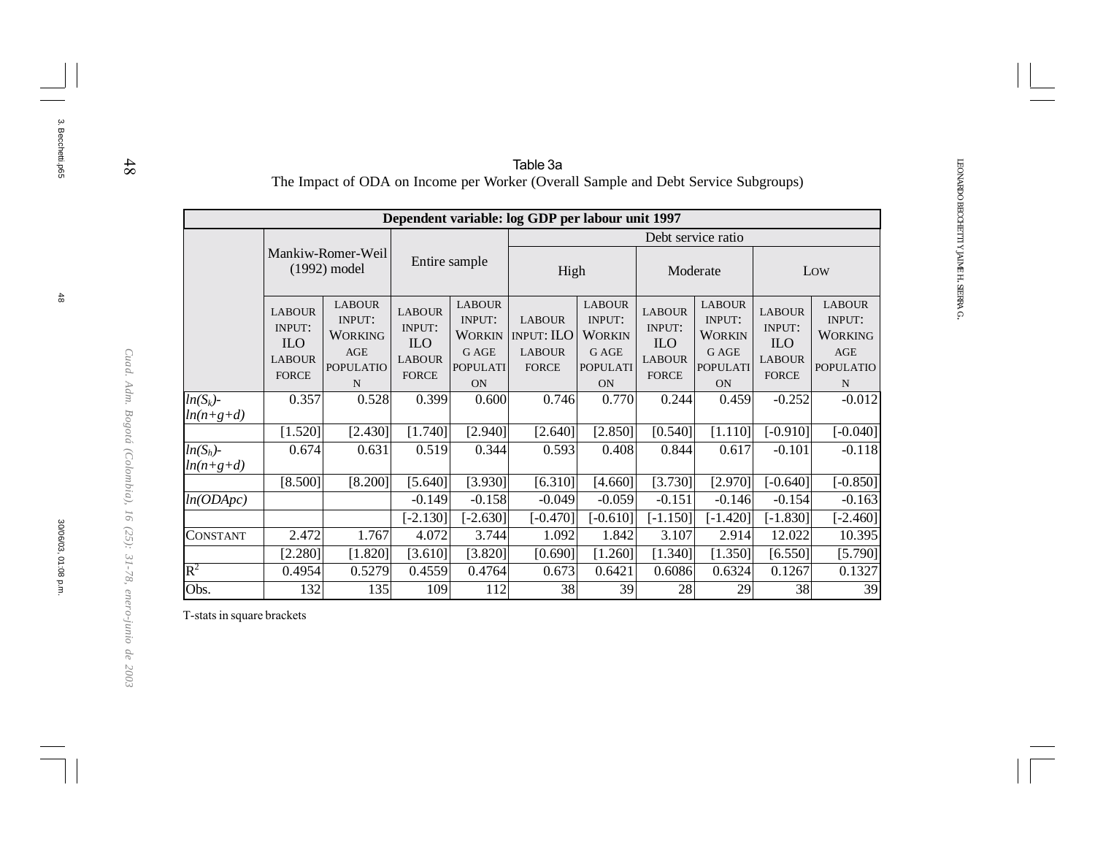|                            |                                                                               |                                                                                  |                                                                               |                                                                                          | Table 3a                                                                           |                                                                                                 |                                                                               |                                                                                          |                                                                               |                                                                                  |
|----------------------------|-------------------------------------------------------------------------------|----------------------------------------------------------------------------------|-------------------------------------------------------------------------------|------------------------------------------------------------------------------------------|------------------------------------------------------------------------------------|-------------------------------------------------------------------------------------------------|-------------------------------------------------------------------------------|------------------------------------------------------------------------------------------|-------------------------------------------------------------------------------|----------------------------------------------------------------------------------|
|                            |                                                                               |                                                                                  |                                                                               |                                                                                          | The Impact of ODA on Income per Worker (Overall Sample and Debt Service Subgroups) |                                                                                                 |                                                                               |                                                                                          |                                                                               |                                                                                  |
|                            |                                                                               |                                                                                  |                                                                               |                                                                                          | Dependent variable: log GDP per labour unit 1997                                   |                                                                                                 |                                                                               |                                                                                          |                                                                               |                                                                                  |
|                            |                                                                               |                                                                                  |                                                                               |                                                                                          |                                                                                    |                                                                                                 |                                                                               | Debt service ratio                                                                       |                                                                               |                                                                                  |
|                            | Mankiw-Romer-Weil<br>(1992) model                                             |                                                                                  | Entire sample                                                                 |                                                                                          | High                                                                               |                                                                                                 |                                                                               | Moderate                                                                                 |                                                                               | Low                                                                              |
|                            | <b>LABOUR</b><br><b>INPUT:</b><br><b>ILO</b><br><b>LABOUR</b><br><b>FORCE</b> | <b>LABOUR</b><br><b>INPUT:</b><br><b>WORKING</b><br>AGE<br><b>POPULATIO</b><br>N | <b>LABOUR</b><br><b>INPUT:</b><br><b>ILO</b><br><b>LABOUR</b><br><b>FORCE</b> | <b>LABOUR</b><br><b>INPUT:</b><br>WORKIN<br><b>G AGE</b><br><b>POPULATI</b><br><b>ON</b> | <b>LABOUR</b><br><b>INPUT: ILO</b><br><b>LABOUR</b><br><b>FORCE</b>                | <b>LABOUR</b><br><b>INPUT:</b><br><b>WORKIN</b><br><b>G AGE</b><br><b>POPULATI</b><br><b>ON</b> | <b>LABOUR</b><br><b>INPUT:</b><br><b>ILO</b><br><b>LABOUR</b><br><b>FORCE</b> | <b>LABOUR</b><br><b>INPUT:</b><br><b>WORKIN</b><br>G AGE<br><b>POPULATI</b><br><b>ON</b> | <b>LABOUR</b><br><b>INPUT:</b><br><b>ILO</b><br><b>LABOUR</b><br><b>FORCE</b> | <b>LABOUR</b><br><b>INPUT:</b><br><b>WORKING</b><br>AGE<br><b>POPULATIO</b><br>N |
| $ln(S_k)$ -                | 0.357                                                                         | 0.528                                                                            | 0.399                                                                         | 0.600                                                                                    | 0.746                                                                              | 0.770                                                                                           | 0.244                                                                         | 0.459                                                                                    | $-0.252$                                                                      | $-0.012$                                                                         |
| $ln(n+g+d)$                |                                                                               |                                                                                  |                                                                               |                                                                                          |                                                                                    |                                                                                                 |                                                                               |                                                                                          |                                                                               |                                                                                  |
|                            | [1.520]                                                                       | [2.430]                                                                          | [1.740]                                                                       | [2.940]                                                                                  | [2.640]                                                                            | [2.850]                                                                                         | [0.540]                                                                       | [1.110]                                                                                  | $[-0.910]$                                                                    | $[-0.040]$                                                                       |
| $ln(S_h)$ -<br>$ln(n+g+d)$ | 0.674                                                                         | 0.631                                                                            | 0.519                                                                         | 0.344                                                                                    | 0.593                                                                              | 0.408                                                                                           | 0.844                                                                         | 0.617                                                                                    | $-0.101$                                                                      | $-0.118$                                                                         |
|                            | [8.500]                                                                       | [8.200]                                                                          | [5.640]                                                                       | [3.930]                                                                                  | [6.310]                                                                            | [4.660]                                                                                         | [3.730]                                                                       | [2.970]                                                                                  | $[-0.640]$                                                                    | $[-0.850]$                                                                       |
| ln(ODApc)                  |                                                                               |                                                                                  | $-0.149$                                                                      | $-0.158$                                                                                 | $-0.049$                                                                           | $-0.059$                                                                                        | $-0.151$                                                                      | $-0.146$                                                                                 | $-0.154$                                                                      | $-0.163$                                                                         |
|                            |                                                                               |                                                                                  | $[-2.130]$                                                                    | $[-2.630]$                                                                               | $[-0.470]$                                                                         | $[-0.610]$                                                                                      | $[-1.150]$                                                                    | $[-1.420]$                                                                               | $[-1.830]$                                                                    | $[-2.460]$                                                                       |
| CONSTANT                   | 2.472                                                                         | 1.767                                                                            | 4.072                                                                         | 3.744                                                                                    | 1.092                                                                              | 1.842                                                                                           | 3.107                                                                         | 2.914                                                                                    | 12.022                                                                        | 10.395                                                                           |
|                            | [2.280]                                                                       | [1.820]                                                                          | [3.610]                                                                       | [3.820]                                                                                  | [0.690]                                                                            | [1.260]                                                                                         | [1.340]                                                                       | [1.350]                                                                                  | [6.550]                                                                       | [5.790]                                                                          |
| $\rm R^2$                  | 0.4954                                                                        | 0.5279                                                                           | 0.4559                                                                        | 0.4764                                                                                   | 0.673                                                                              | 0.6421                                                                                          | 0.6086                                                                        | 0.6324                                                                                   | 0.1267                                                                        | 0.1327                                                                           |
| Obs.                       | 132                                                                           | 135                                                                              | 109                                                                           | 112                                                                                      | 38                                                                                 | 39                                                                                              | 28                                                                            | 29                                                                                       | 38                                                                            | 39                                                                               |

T-stats in square brackets

48

3. Becchetti.p65

3. Becchetti.p65

*Cuad. Adm. Bogotá (Colombia), 16 (25): 31-78, enero-junio de 2003*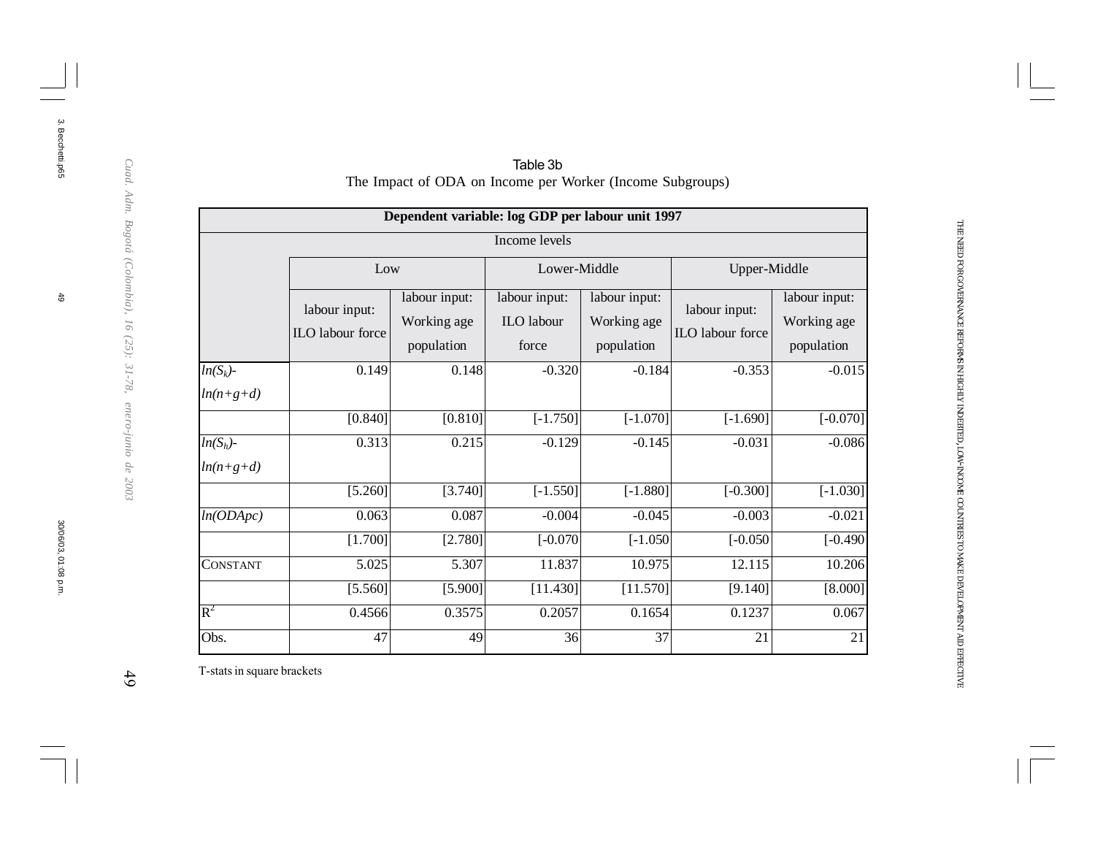|                            |                                          | Dependent variable: log GDP per labour unit 1997 |                                             |                                            |                                   |                                            |
|----------------------------|------------------------------------------|--------------------------------------------------|---------------------------------------------|--------------------------------------------|-----------------------------------|--------------------------------------------|
|                            |                                          |                                                  | Income levels                               |                                            |                                   |                                            |
|                            | Low                                      |                                                  | Lower-Middle                                |                                            | Upper-Middle                      |                                            |
|                            | labour input:<br><b>ILO</b> labour force | labour input:<br>Working age<br>population       | labour input:<br><b>ILO</b> labour<br>force | labour input:<br>Working age<br>population | labour input:<br>ILO labour force | labour input:<br>Working age<br>population |
| $ln(S_k)$ -<br>$ln(n+g+d)$ | 0.149                                    | 0.148                                            | $-0.320$                                    | $-0.184$                                   | $-0.353$                          | $-0.015$                                   |
|                            | [0.840]                                  | [0.810]                                          | $[-1.750]$                                  | $[-1.070]$                                 | $[-1.690]$                        | $[-0.070]$                                 |
| $ln(S_h)$ -<br>$ln(n+g+d)$ | 0.313                                    | 0.215                                            | $-0.129$                                    | $-0.145$                                   | $-0.031$                          | $-0.086$                                   |
|                            | [5.260]                                  | [3.740]                                          | $[-1.550]$                                  | $[-1.880]$                                 | $[-0.300]$                        | $[-1.030]$                                 |
| ln(ODApc)                  | 0.063                                    | 0.087                                            | $-0.004$                                    | $-0.045$                                   | $-0.003$                          | $-0.021$                                   |
|                            | [1.700]                                  | [2.780]                                          | $[-0.070]$                                  | $[-1.050]$                                 | $[-0.050]$                        | $[-0.490]$                                 |
| CONSTANT                   | 5.025                                    | 5.307                                            | 11.837                                      | 10.975                                     | 12.115                            | 10.206                                     |
|                            | [5.560]                                  | [5.900]                                          | [11.430]                                    | [11.570]                                   | [9.140]                           | [8.000]                                    |
| $R^2$                      | 0.4566                                   | 0.3575                                           | 0.2057                                      | 0.1654                                     | 0.1237                            | 0.067                                      |
| Obs.                       | 47                                       | 49                                               | 36                                          | 37                                         | 21                                | 21                                         |

Table 3b The Impact of ODA on Income per Worker (Income Subgroups)

THE NEED FOR

GOVERNANCE

REFORMS IN HIGHLY

INDEBTED, LOW-INCOME

COUNTRIES TO MAKE

DEVELOPMENT

AID

EFFECTIVE

T-stats in square brackets

 $49$ 

3. Becchetti.p65

3. Becchetti.p65

 $\frac{4}{6}$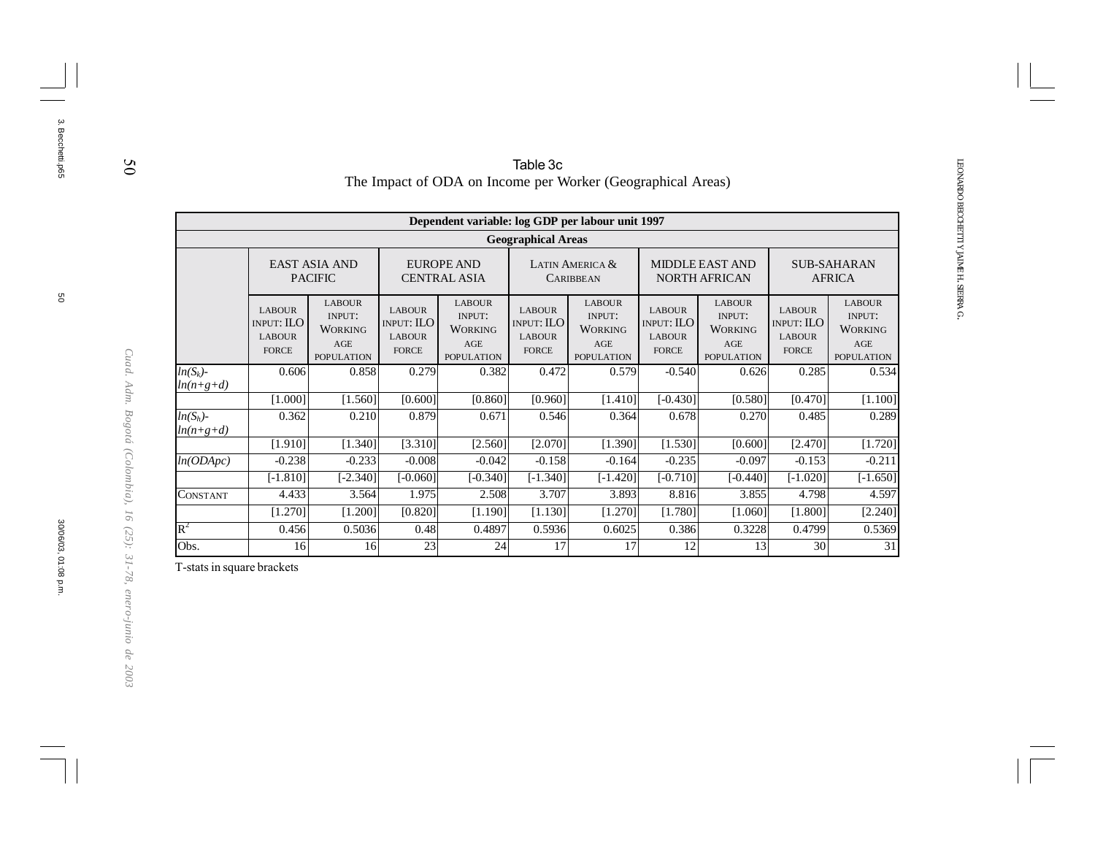|                            |                                                                     |                                                                              |                                                                     | The Impact of ODA on Income per Worker (Geographical Areas)           | Table 3c                                                     |                                                                              |                                                                     |                                                                                     |                                                                     |                                                                              |
|----------------------------|---------------------------------------------------------------------|------------------------------------------------------------------------------|---------------------------------------------------------------------|-----------------------------------------------------------------------|--------------------------------------------------------------|------------------------------------------------------------------------------|---------------------------------------------------------------------|-------------------------------------------------------------------------------------|---------------------------------------------------------------------|------------------------------------------------------------------------------|
|                            |                                                                     |                                                                              |                                                                     |                                                                       |                                                              |                                                                              |                                                                     |                                                                                     |                                                                     |                                                                              |
|                            | Dependent variable: log GDP per labour unit 1997                    |                                                                              |                                                                     |                                                                       |                                                              |                                                                              |                                                                     |                                                                                     |                                                                     |                                                                              |
| <b>Geographical Areas</b>  |                                                                     |                                                                              |                                                                     |                                                                       |                                                              |                                                                              |                                                                     |                                                                                     |                                                                     |                                                                              |
|                            |                                                                     | <b>EAST ASIA AND</b><br><b>PACIFIC</b>                                       |                                                                     | <b>EUROPE AND</b><br><b>CENTRAL ASIA</b>                              |                                                              | LATIN AMERICA &<br><b>CARIBBEAN</b>                                          |                                                                     | <b>MIDDLE EAST AND</b><br><b>NORTH AFRICAN</b>                                      |                                                                     | <b>SUB-SAHARAN</b><br><b>AFRICA</b>                                          |
|                            | <b>LABOUR</b><br><b>INPUT: ILO</b><br><b>LABOUR</b><br><b>FORCE</b> | <b>LABOUR</b><br><b>INPUT:</b><br><b>WORKING</b><br>AGE<br><b>POPULATION</b> | <b>LABOUR</b><br><b>INPUT: ILO</b><br><b>LABOUR</b><br><b>FORCE</b> | <b>LABOUR</b><br>INPUT:<br><b>WORKING</b><br>AGE<br><b>POPULATION</b> | <b>LABOUR</b><br>INPUT: ILO<br><b>LABOUR</b><br><b>FORCE</b> | <b>LABOUR</b><br><b>INPUT:</b><br><b>WORKING</b><br>AGE<br><b>POPULATION</b> | <b>LABOUR</b><br><b>INPUT: ILO</b><br><b>LABOUR</b><br><b>FORCE</b> | <b>LABOUR</b><br><b>INPUT:</b><br><b>WORKING</b><br>$\rm{AGE}$<br><b>POPULATION</b> | <b>LABOUR</b><br><b>INPUT: ILO</b><br><b>LABOUR</b><br><b>FORCE</b> | <b>LABOUR</b><br><b>INPUT:</b><br><b>WORKING</b><br>AGE<br><b>POPULATION</b> |
| $ln(S_k)$ -<br>$ln(n+g+d)$ | 0.606                                                               | 0.858                                                                        | 0.279                                                               | 0.382                                                                 | 0.472                                                        | 0.579                                                                        | $-0.540$                                                            | 0.626                                                                               | 0.285                                                               | 0.534                                                                        |
|                            | [1.000]                                                             | [1.560]                                                                      | [0.600]                                                             | [0.860]                                                               | [0.960]                                                      | [1.410]                                                                      | $[-0.430]$                                                          | [0.580]                                                                             | [0.470]                                                             | [1.100]                                                                      |
| $ln(S_h)$ -<br>$ln(n+g+d)$ | 0.362                                                               | 0.210                                                                        | 0.879                                                               | 0.671                                                                 | 0.546                                                        | 0.364                                                                        | 0.678                                                               | 0.270                                                                               | 0.485                                                               | 0.289                                                                        |
|                            | [1.910]                                                             | [1.340]                                                                      | [3.310]                                                             | [2.560]                                                               | [2.070]                                                      | [1.390]                                                                      | [1.530]                                                             | [0.600]                                                                             | [2.470]                                                             | [1.720]                                                                      |
| ln(ODApc)                  | $-0.238$                                                            | $-0.233$                                                                     | $-0.008$                                                            | $-0.042$                                                              | $-0.158$                                                     | $-0.164$                                                                     | $-0.235$                                                            | $-0.097$                                                                            | $-0.153$                                                            | $-0.211$                                                                     |
|                            | $[-1.810]$                                                          | $[-2.340]$                                                                   | $[-0.060]$                                                          | $[-0.340]$                                                            | $[-1.340]$                                                   | $[-1.420]$                                                                   | $[-0.710]$                                                          | $[-0.440]$                                                                          | $[-1.020]$                                                          | $[-1.650]$                                                                   |
| CONSTANT                   | 4.433                                                               | 3.564                                                                        | 1.975                                                               | 2.508                                                                 | 3.707                                                        | 3.893                                                                        | 8.816                                                               | 3.855                                                                               | 4.798                                                               | 4.597                                                                        |
|                            | [1.270]                                                             | [1.200]                                                                      | [0.820]                                                             | [1.190]                                                               | [1.130]                                                      | [1.270]                                                                      | [1.780]                                                             | [1.060]                                                                             | [1.800]                                                             | [2.240]                                                                      |
| $\mathbf{R}^2$             | 0.456                                                               | 0.5036                                                                       | 0.48                                                                | 0.4897                                                                | 0.5936                                                       | 0.6025                                                                       | 0.386                                                               | 0.3228                                                                              | 0.4799                                                              | 0.5369                                                                       |
| Obs.                       | 16                                                                  | 16                                                                           | 23                                                                  | 24                                                                    | 17                                                           | 17                                                                           | 12                                                                  | 13                                                                                  | 30                                                                  | 31                                                                           |

T-stats in square brackets

50

3. Becchetti.p65

3. Becchetti.p65

*Cuad. Adm. Bogotá (Colombia), 16 (25): 31-78, enero-junio de 2003*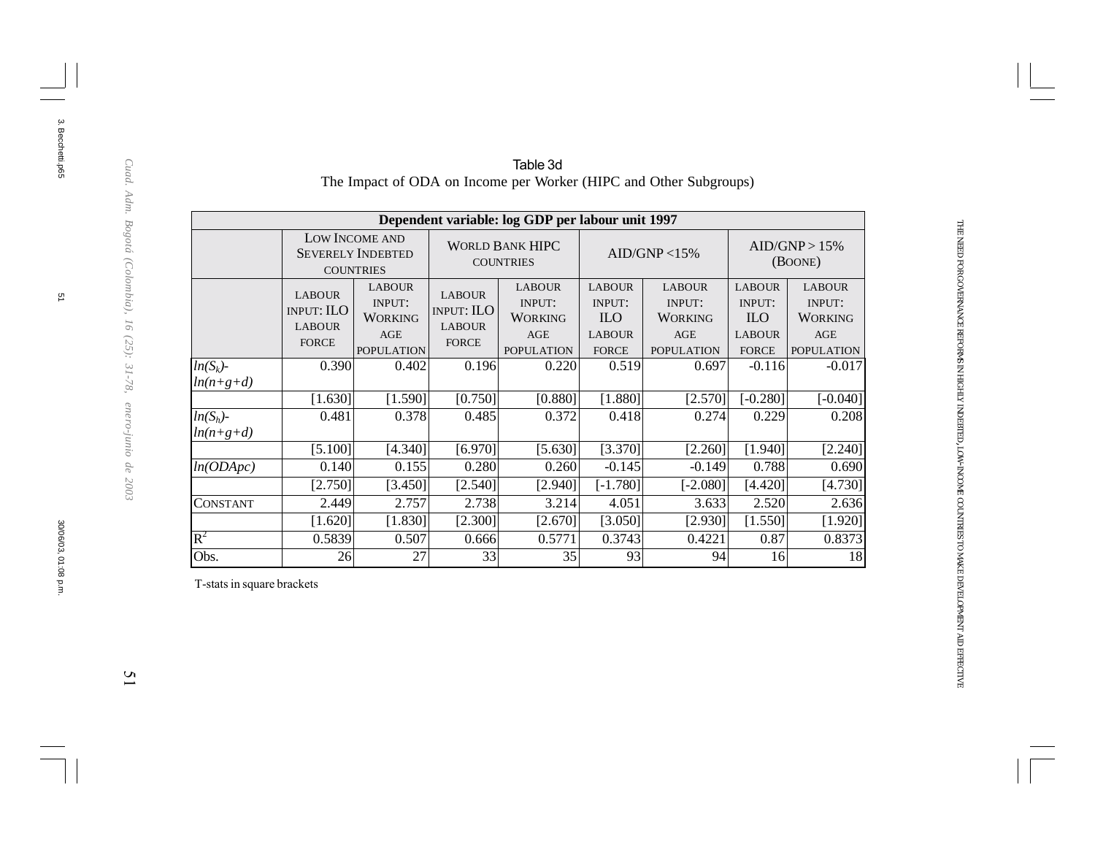|                            |                                                                                                                                              |                                                                |                                                                     | Dependent variable: log GDP per labour unit 1997                             |                                                                               |                                                                       |                                                                               |                                                                              |  |
|----------------------------|----------------------------------------------------------------------------------------------------------------------------------------------|----------------------------------------------------------------|---------------------------------------------------------------------|------------------------------------------------------------------------------|-------------------------------------------------------------------------------|-----------------------------------------------------------------------|-------------------------------------------------------------------------------|------------------------------------------------------------------------------|--|
|                            |                                                                                                                                              | LOW INCOME AND<br><b>SEVERELY INDEBTED</b><br><b>COUNTRIES</b> |                                                                     | <b>WORLD BANK HIPC</b><br><b>COUNTRIES</b>                                   |                                                                               | AID/GNP < 15%                                                         |                                                                               | AID/GNP > 15%<br>(BOONE)                                                     |  |
|                            | <b>LABOUR</b><br><b>LABOUR</b><br><b>INPUT:</b><br><b>INPUT: ILO</b><br><b>WORKING</b><br><b>LABOUR</b><br><b>FORCE</b><br><b>POPULATION</b> |                                                                | <b>LABOUR</b><br><b>INPUT: ILO</b><br><b>LABOUR</b><br><b>FORCE</b> | <b>LABOUR</b><br><b>INPUT:</b><br><b>WORKING</b><br>AGE<br><b>POPULATION</b> | <b>LABOUR</b><br><b>INPUT:</b><br><b>ILO</b><br><b>LABOUR</b><br><b>FORCE</b> | <b>LABOUR</b><br>INPUT:<br><b>WORKING</b><br>AGE<br><b>POPULATION</b> | <b>LABOUR</b><br><b>INPUT:</b><br><b>ILO</b><br><b>LABOUR</b><br><b>FORCE</b> | <b>LABOUR</b><br><b>INPUT:</b><br><b>WORKING</b><br>AGE<br><b>POPULATION</b> |  |
| $ln(S_k)$ -<br>$ln(n+g+d)$ | 0.390                                                                                                                                        | 0.402                                                          | 0.196                                                               | 0.220                                                                        | 0.519                                                                         | 0.697                                                                 | $-0.116$                                                                      | $-0.017$                                                                     |  |
|                            | [1.630]                                                                                                                                      | [1.590]                                                        | [0.750]                                                             | [0.880]                                                                      | [1.880]                                                                       | [2.570]                                                               | $[-0.280]$                                                                    | $[-0.040]$                                                                   |  |
| $ln(S_h)$ -<br>$ln(n+g+d)$ | 0.481                                                                                                                                        | 0.378                                                          | 0.485                                                               | 0.372                                                                        | 0.418                                                                         | 0.274                                                                 | 0.229                                                                         | 0.208                                                                        |  |
|                            | [5.100]                                                                                                                                      | [4.340]                                                        | [6.970]                                                             | [5.630]                                                                      | [3.370]                                                                       | [2.260]                                                               | [1.940]                                                                       | [2.240]                                                                      |  |
| ln(ODApc)                  | 0.140                                                                                                                                        | 0.155                                                          | 0.280                                                               | 0.260                                                                        | $-0.145$                                                                      | $-0.149$                                                              | 0.788                                                                         | 0.690                                                                        |  |
|                            | [2.750]                                                                                                                                      | [3.450]                                                        | [2.540]                                                             | [2.940]                                                                      | $[-1.780]$                                                                    | $[-2.080]$                                                            | [4.420]                                                                       | [4.730]                                                                      |  |
| <b>CONSTANT</b>            | 2.449                                                                                                                                        | 2.757                                                          | 2.738                                                               | 3.214                                                                        | 4.051                                                                         | 3.633                                                                 | 2.520                                                                         | 2.636                                                                        |  |
|                            | [1.620]                                                                                                                                      | [1.830]                                                        | [2.300]                                                             | [2.670]                                                                      | [3.050]                                                                       | [2.930]                                                               | [1.550]                                                                       | [1.920]                                                                      |  |
| $R^2$                      | 0.5839                                                                                                                                       | 0.507                                                          | 0.666                                                               | 0.5771                                                                       | 0.3743                                                                        | 0.4221                                                                | 0.87                                                                          | 0.8373                                                                       |  |
| Obs.                       | 26                                                                                                                                           | 27                                                             | 33                                                                  | 35                                                                           | 93                                                                            | 94                                                                    | 16                                                                            | 18                                                                           |  |

#### Table 3d The Impact of ODA on Income per Worker (HIPC and Other Subgroups)

THE NEED FOR

GOVERNANCE

REFORMS IN HIGHLY

INDEBTED, LOW-INCOME

COUNTRIES TO MAKE

DEVELOPMENT

AID

EFFECTIVE

T-stats in square brackets

 $\overline{\omega}$ 

3. Becchetti.p65

3. Becchetti.p65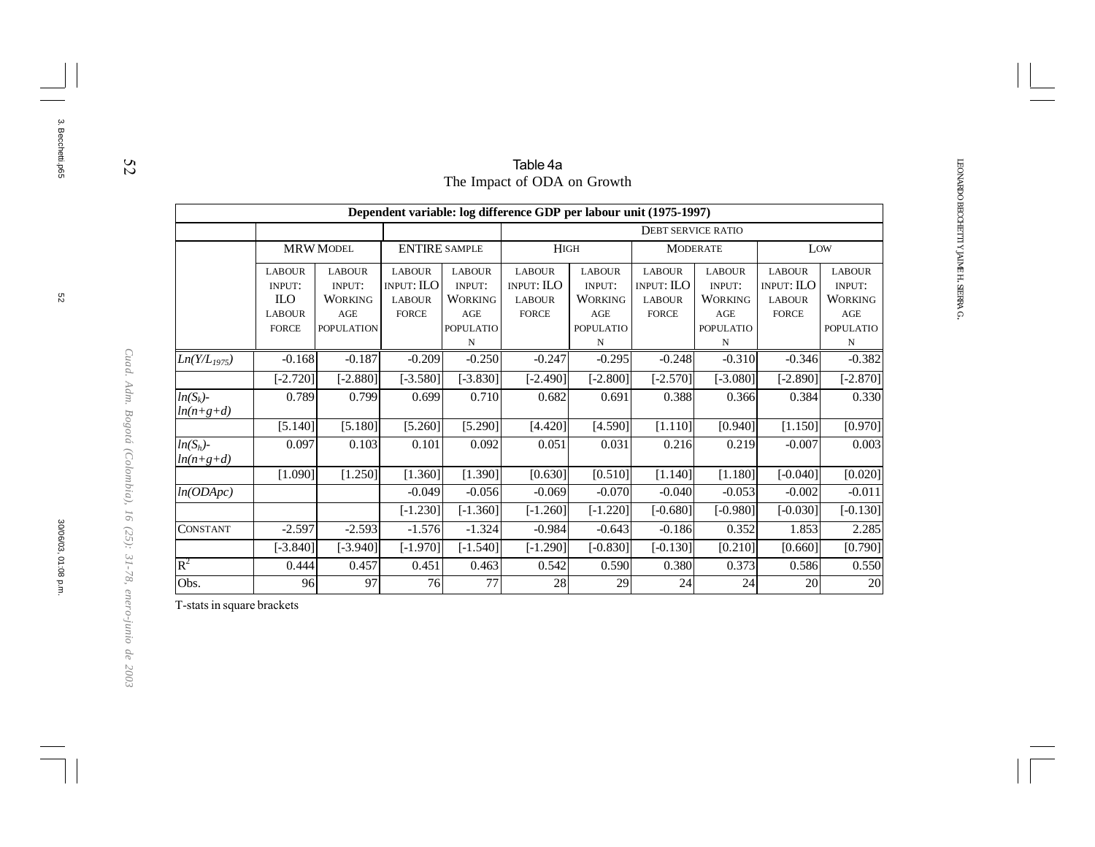|                            |                                              |                                                  |                                                     |                                           | Table 4a                                                           |                                                  |                                                     |                                                  |                                                     |                                                  |
|----------------------------|----------------------------------------------|--------------------------------------------------|-----------------------------------------------------|-------------------------------------------|--------------------------------------------------------------------|--------------------------------------------------|-----------------------------------------------------|--------------------------------------------------|-----------------------------------------------------|--------------------------------------------------|
|                            |                                              |                                                  |                                                     |                                           | The Impact of ODA on Growth                                        |                                                  |                                                     |                                                  |                                                     |                                                  |
|                            |                                              |                                                  |                                                     |                                           | Dependent variable: log difference GDP per labour unit (1975-1997) |                                                  |                                                     |                                                  |                                                     |                                                  |
|                            |                                              |                                                  |                                                     |                                           |                                                                    |                                                  | <b>DEBT SERVICE RATIO</b>                           |                                                  |                                                     |                                                  |
|                            |                                              | <b>MRW MODEL</b>                                 | <b>ENTIRE SAMPLE</b>                                |                                           | <b>HIGH</b>                                                        |                                                  |                                                     | <b>MODERATE</b>                                  |                                                     | Low                                              |
|                            | <b>LABOUR</b><br><b>INPUT:</b><br><b>ILO</b> | <b>LABOUR</b><br><b>INPUT:</b><br><b>WORKING</b> | <b>LABOUR</b><br><b>INPUT: ILO</b><br><b>LABOUR</b> | <b>LABOUR</b><br><b>INPUT:</b><br>WORKING | <b>LABOUR</b><br>INPUT: ILO<br><b>LABOUR</b>                       | <b>LABOUR</b><br><b>INPUT:</b><br><b>WORKING</b> | <b>LABOUR</b><br><b>INPUT: ILO</b><br><b>LABOUR</b> | <b>LABOUR</b><br><b>INPUT:</b><br><b>WORKING</b> | <b>LABOUR</b><br><b>INPUT: ILO</b><br><b>LABOUR</b> | <b>LABOUR</b><br><b>INPUT:</b><br><b>WORKING</b> |
|                            | <b>LABOUR</b><br><b>FORCE</b>                | AGE<br><b>POPULATION</b>                         | <b>FORCE</b>                                        | AGE<br><b>POPULATIO</b><br>N              | <b>FORCE</b>                                                       | AGE<br><b>POPULATIO</b><br>N                     | <b>FORCE</b>                                        | AGE<br><b>POPULATIO</b><br>N                     | <b>FORCE</b>                                        | AGE<br><b>POPULATIO</b><br>N                     |
| $Ln(Y/L_{1975})$           | $-0.168$                                     | $-0.187$                                         | $-0.209$                                            | $-0.250$                                  | $-0.247$                                                           | $-0.295$                                         | $-0.248$                                            | $-0.310$                                         | $-0.346$                                            | $-0.382$                                         |
|                            | $[-2.720]$                                   | $[-2.880]$                                       | $[-3.580]$                                          | $[-3.830]$                                | $[-2.490]$                                                         | $[-2.800]$                                       | $[-2.570]$                                          | $[-3.080]$                                       | $[-2.890]$                                          | $[-2.870]$                                       |
| $ln(S_k)$ -<br>$ln(n+g+d)$ | 0.789                                        | 0.799                                            | 0.699                                               | 0.710                                     | 0.682                                                              | 0.691                                            | 0.388                                               | 0.366                                            | 0.384                                               | 0.330                                            |
|                            | [5.140]                                      | [5.180]                                          | [5.260]                                             | [5.290]                                   | [4.420]                                                            | [4.590]                                          | [1.110]                                             | [0.940]                                          | [1.150]                                             | [0.970]                                          |
| $ln(S_h)$ -<br>$ln(n+g+d)$ | 0.097                                        | 0.103                                            | 0.101                                               | 0.092                                     | 0.051                                                              | 0.031                                            | 0.216                                               | 0.219                                            | $-0.007$                                            | 0.003                                            |
|                            | [1.090]                                      | [1.250]                                          | [1.360]                                             | [1.390]                                   | [0.630]                                                            | [0.510]                                          | [1.140]                                             | [1.180]                                          | $[-0.040]$                                          | [0.020]                                          |
| ln(ODApc)                  |                                              |                                                  | $-0.049$                                            | $-0.056$                                  | $-0.069$                                                           | $-0.070$                                         | $-0.040$                                            | $-0.053$                                         | $-0.002$                                            | $-0.011$                                         |
|                            |                                              |                                                  | $[-1.230]$                                          | $[-1.360]$                                | $[-1.260]$                                                         | $[-1.220]$                                       | $[-0.680]$                                          | $[-0.980]$                                       | $[-0.030]$                                          | $[-0.130]$                                       |
| <b>CONSTANT</b>            | $-2.597$                                     | $-2.593$                                         | $-1.576$                                            | $-1.324$                                  | $-0.984$                                                           | $-0.643$                                         | $-0.186$                                            | 0.352                                            | 1.853                                               | 2.285                                            |
|                            | $[-3.840]$                                   | $[-3.940]$                                       | $[-1.970]$                                          | $[-1.540]$                                | $[-1.290]$                                                         | $[-0.830]$                                       | $[-0.130]$                                          | [0.210]                                          | [0.660]                                             | [0.790]                                          |
| $R^2$                      | 0.444                                        | 0.457                                            | 0.451                                               | 0.463                                     | 0.542                                                              | 0.590                                            | 0.380                                               | 0.373                                            | 0.586                                               | 0.550                                            |
| Obs.                       | 96                                           | 97                                               | 76                                                  | 77                                        | 28                                                                 | 29                                               | 24                                                  | 24                                               | 20                                                  | $\overline{20}$                                  |

T-stats in square brackets

52

3. Becchetti.p65

3. Becchetti.p65

*Cuad. Adm. Bogotá (Colombia), 16 (25): 31-78, enero-junio de 2003*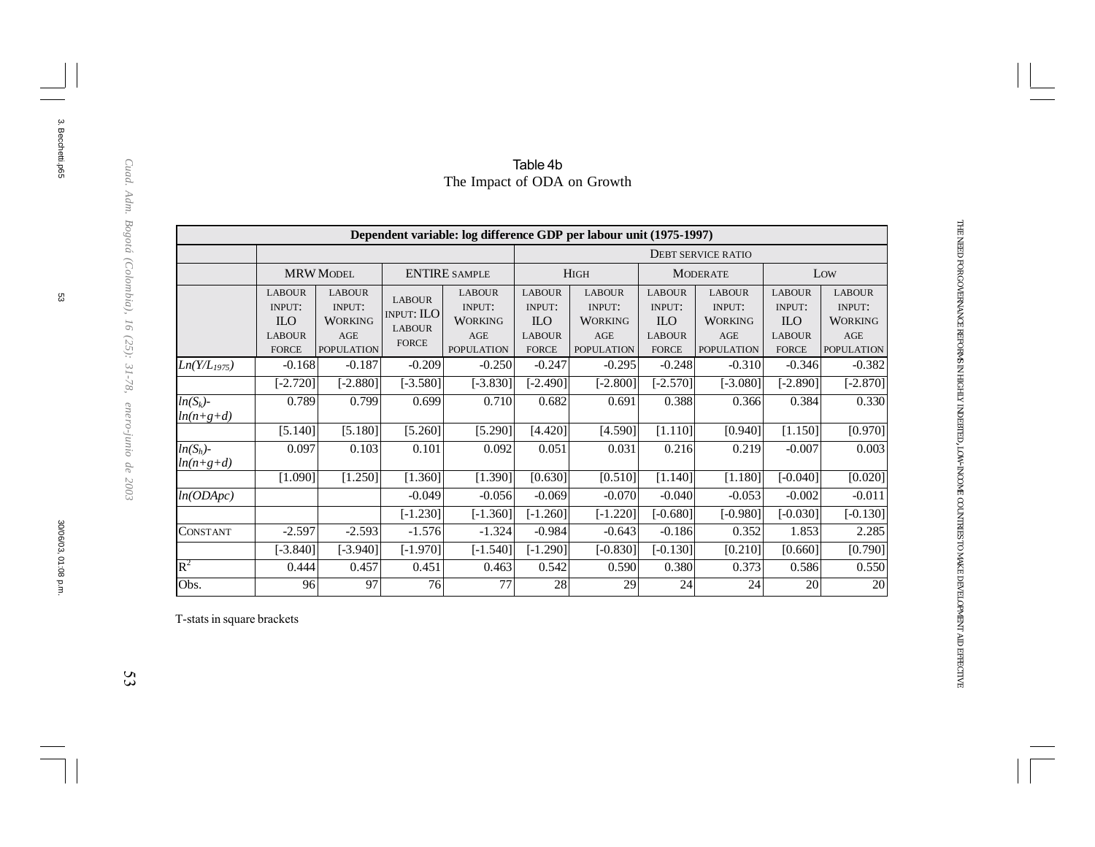|                            |                         | <b>MRW MODEL</b>               |                               | <b>ENTIRE SAMPLE</b>    |                                | <b>HIGH</b><br><b>MODERATE</b> |                                |                                | Low                            |                                |  |
|----------------------------|-------------------------|--------------------------------|-------------------------------|-------------------------|--------------------------------|--------------------------------|--------------------------------|--------------------------------|--------------------------------|--------------------------------|--|
|                            |                         |                                |                               |                         |                                |                                |                                |                                |                                |                                |  |
|                            | <b>LABOUR</b><br>INPUT: | <b>LABOUR</b><br><b>INPUT:</b> | <b>LABOUR</b>                 | <b>LABOUR</b><br>INPUT: | <b>LABOUR</b><br><b>INPUT:</b> | <b>LABOUR</b><br><b>INPUT:</b> | <b>LABOUR</b><br><b>INPUT:</b> | <b>LABOUR</b><br><b>INPUT:</b> | <b>LABOUR</b><br><b>INPUT:</b> | <b>LABOUR</b><br><b>INPUT:</b> |  |
|                            | <b>ILO</b>              | <b>WORKING</b>                 | <b>INPUT: ILO</b>             | <b>WORKING</b>          | <b>ILO</b>                     | <b>WORKING</b>                 | <b>ILO</b>                     | <b>WORKING</b>                 | <b>ILO</b>                     | <b>WORKING</b>                 |  |
|                            | <b>LABOUR</b>           | AGE                            | <b>LABOUR</b><br><b>FORCE</b> | AGE                     | <b>LABOUR</b>                  | AGE                            | <b>LABOUR</b>                  | AGE                            | <b>LABOUR</b>                  | AGE                            |  |
|                            | <b>FORCE</b>            | <b>POPULATION</b>              |                               | <b>POPULATION</b>       | <b>FORCE</b>                   | <b>POPULATION</b>              | <b>FORCE</b>                   | <b>POPULATION</b>              | <b>FORCE</b>                   | <b>POPULATION</b>              |  |
| $Ln(Y/L_{1975})$           | $-0.168$                | $-0.187$                       | $-0.209$                      | $-0.250$                | $-0.247$                       | $-0.295$                       | $-0.248$                       | $-0.310$                       | $-0.346$                       | $-0.382$                       |  |
|                            | $[-2.720]$              | $[-2.880]$                     | $[-3.580]$                    | $[-3.830]$              | $[-2.490]$                     | $[-2.800]$                     | $[-2.570]$                     | $[-3.080]$                     | $[-2.890]$                     | $[-2.870]$                     |  |
| $ln(S_k)$ -<br>$ln(n+g+d)$ | 0.789                   | 0.799                          | 0.699                         | 0.710                   | 0.682                          | 0.691                          | 0.388                          | 0.366                          | 0.384                          | 0.330                          |  |
|                            | [5.140]                 | [5.180]                        | [5.260]                       | [5.290]                 | [4.420]                        | [4.590]                        | [1.110]                        | [0.940]                        | [1.150]                        | [0.970]                        |  |
| $ln(S_h)$ -<br>$ln(n+g+d)$ | 0.097                   | 0.103                          | 0.101                         | 0.092                   | 0.051                          | 0.031                          | 0.216                          | 0.219                          | $-0.007$                       | 0.003                          |  |
|                            | [1.090]                 | [1.250]                        | [1.360]                       | [1.390]                 | [0.630]                        | [0.510]                        | [1.140]                        | [1.180]                        | $[-0.040]$                     | [0.020]                        |  |
| ln(ODADC)                  |                         |                                | $-0.049$                      | $-0.056$                | $-0.069$                       | $-0.070$                       | $-0.040$                       | $-0.053$                       | $-0.002$                       | $-0.011$                       |  |
|                            |                         |                                | $[-1.230]$                    | $[-1.360]$              | $[-1.260]$                     | $[-1.220]$                     | $[-0.680]$                     | $[-0.980]$                     | $[-0.030]$                     | $[-0.130]$                     |  |
| CONSTANT                   | $-2.597$                | $-2.593$                       | $-1.576$                      | $-1.324$                | $-0.984$                       | $-0.643$                       | $-0.186$                       | 0.352                          | 1.853                          | 2.285                          |  |
|                            | $[-3.840]$              | $[-3.940]$                     | $[-1.970]$                    | $[-1.540]$              | $[-1.290]$                     | $[-0.830]$                     | $[-0.130]$                     | [0.210]                        | [0.660]                        | [0.790]                        |  |
| $\rm R^2$                  | 0.444                   | 0.457                          | 0.451                         | 0.463                   | 0.542                          | 0.590                          | 0.380                          | 0.373                          | 0.586                          | 0.550                          |  |
| Obs.                       | 96                      | 97                             | 76                            | 77                      | 28                             | 29                             | 24                             | 24                             | 20                             | 20                             |  |

### Table 4b The Impact of ODA on Growth

INDEBTED, LOW-INCOME

3. Becchetti.p65 3. Becchetti.p65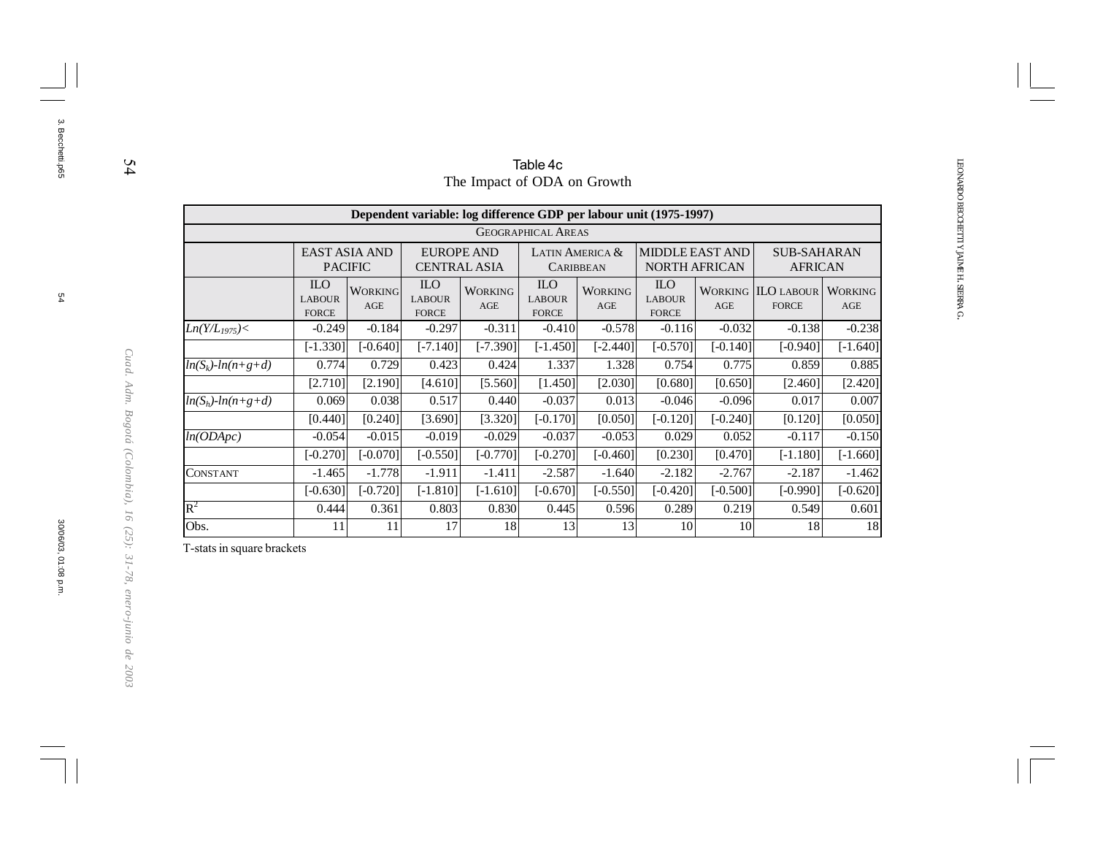|                                                                                                                                          |                                                                                                                                                                                                              |                       |                                                   |                             | Table 4c                                    |                       |                                                                    |            |                                           |                       |
|------------------------------------------------------------------------------------------------------------------------------------------|--------------------------------------------------------------------------------------------------------------------------------------------------------------------------------------------------------------|-----------------------|---------------------------------------------------|-----------------------------|---------------------------------------------|-----------------------|--------------------------------------------------------------------|------------|-------------------------------------------|-----------------------|
|                                                                                                                                          |                                                                                                                                                                                                              |                       |                                                   | The Impact of ODA on Growth |                                             |                       |                                                                    |            |                                           |                       |
|                                                                                                                                          |                                                                                                                                                                                                              |                       |                                                   |                             |                                             |                       | Dependent variable: log difference GDP per labour unit (1975-1997) |            |                                           |                       |
|                                                                                                                                          |                                                                                                                                                                                                              |                       |                                                   |                             | <b>GEOGRAPHICAL AREAS</b>                   |                       |                                                                    |            |                                           |                       |
|                                                                                                                                          | MIDDLE EAST AND<br><b>EAST ASIA AND</b><br><b>EUROPE AND</b><br><b>SUB-SAHARAN</b><br>LATIN AMERICA &<br><b>PACIFIC</b><br><b>CENTRAL ASIA</b><br><b>NORTH AFRICAN</b><br><b>AFRICAN</b><br><b>CARIBBEAN</b> |                       |                                                   |                             |                                             |                       |                                                                    |            |                                           |                       |
|                                                                                                                                          | <b>ILO</b><br><b>LABOUR</b><br><b>FORCE</b>                                                                                                                                                                  | <b>WORKING</b><br>AGE | ILO <sub>.</sub><br><b>LABOUR</b><br><b>FORCE</b> | <b>WORKING</b><br>AGE       | <b>ILO</b><br><b>LABOUR</b><br><b>FORCE</b> | <b>WORKING</b><br>AGE | <b>ILO</b><br><b>LABOUR</b><br><b>FORCE</b>                        | AGE        | <b>WORKING ILO LABOUR</b><br><b>FORCE</b> | <b>WORKING</b><br>AGE |
| $Ln(Y/L_{1975}) <$                                                                                                                       | $-0.249$                                                                                                                                                                                                     | $-0.184$              | $-0.297$                                          | $-0.311$                    | $-0.410$                                    | $-0.578$              | $-0.116$                                                           | $-0.032$   | $-0.138$                                  | $-0.238$              |
|                                                                                                                                          | $[-1.330]$                                                                                                                                                                                                   | $[-0.640]$            | $[-7.140]$                                        | $[-7.390]$                  | $[-1.450]$                                  | $[-2.440]$            | $[-0.570]$                                                         | $[-0.140]$ | $[-0.940]$                                | $[-1.640]$            |
| $ln(S_k)$ - $ln(n+g+d)$                                                                                                                  | 0.774                                                                                                                                                                                                        | 0.729                 | 0.423                                             | 0.424                       | 1.337                                       | 1.328                 | 0.754                                                              | 0.775      | 0.859                                     | 0.885                 |
|                                                                                                                                          | [2.710]                                                                                                                                                                                                      | [2.190]               | [4.610]                                           | [5.560]                     | [1.450]                                     | [2.030]               | [0.680]                                                            | [0.650]    | [2.460]                                   | [2.420]               |
| $ln(S_h)$ - $ln(n+g+d)$                                                                                                                  | 0.069                                                                                                                                                                                                        | 0.038                 | 0.517                                             | 0.440                       | $-0.037$                                    | 0.013                 | $-0.046$                                                           | $-0.096$   | 0.017                                     | 0.007                 |
|                                                                                                                                          | [0.440]                                                                                                                                                                                                      | [0.240]               | [3.690]                                           | [3.320]                     | [-0.170]]                                   | [0.050]               | $[-0.120]$                                                         | $[-0.240]$ | [0.120]                                   | [0.050]               |
| ln(ODApc)                                                                                                                                | $-0.054$                                                                                                                                                                                                     | $-0.015$              | $-0.019$                                          | $-0.029$                    | $-0.037$                                    | $-0.053$              | 0.029                                                              | 0.052      | $-0.117$                                  | $-0.150$              |
|                                                                                                                                          | $[-0.270]$                                                                                                                                                                                                   | $[-0.070]$            | $[-0.550]$                                        | $[-0.770]$                  | $[-0.270]$                                  | $[-0.460]$            | [0.230]                                                            | [0.470]    | $[-1.180]$                                | $[-1.660]$            |
| <b>CONSTANT</b>                                                                                                                          | $-1.465$                                                                                                                                                                                                     | $-1.778$              | $-1.911$                                          | $-1.411$                    | $-2.587$                                    | $-1.640$              | $-2.182$                                                           | $-2.767$   | $-2.187$                                  | $-1.462$              |
| $[-0.630]$<br>$[-0.720]$<br>$[-1.810]$<br>$[-1.610]$<br>$[-0.670]$<br>$[-0.420]$<br>$[-0.500]$<br>$[-0.620]$<br>$[-0.550]$<br>$[-0.990]$ |                                                                                                                                                                                                              |                       |                                                   |                             |                                             |                       |                                                                    |            |                                           |                       |
| $\rm R^2$                                                                                                                                | 0.803<br>0.444<br>0.361<br>0.830<br>0.445<br>0.289<br>0.219<br>0.601<br>0.596<br>0.549                                                                                                                       |                       |                                                   |                             |                                             |                       |                                                                    |            |                                           |                       |
| Obs.                                                                                                                                     | 11                                                                                                                                                                                                           | 11                    | 17                                                | 18                          | 13                                          | 13                    | 10                                                                 | 10         | 18                                        | 18                    |

T-stats in square brackets

54

 $54$ 

3. Becchetti.p65

3. Becchetti.p65

*Cuad. Adm. Bogotá (Colombia), 16 (25): 31-78, enero-junio de 2003*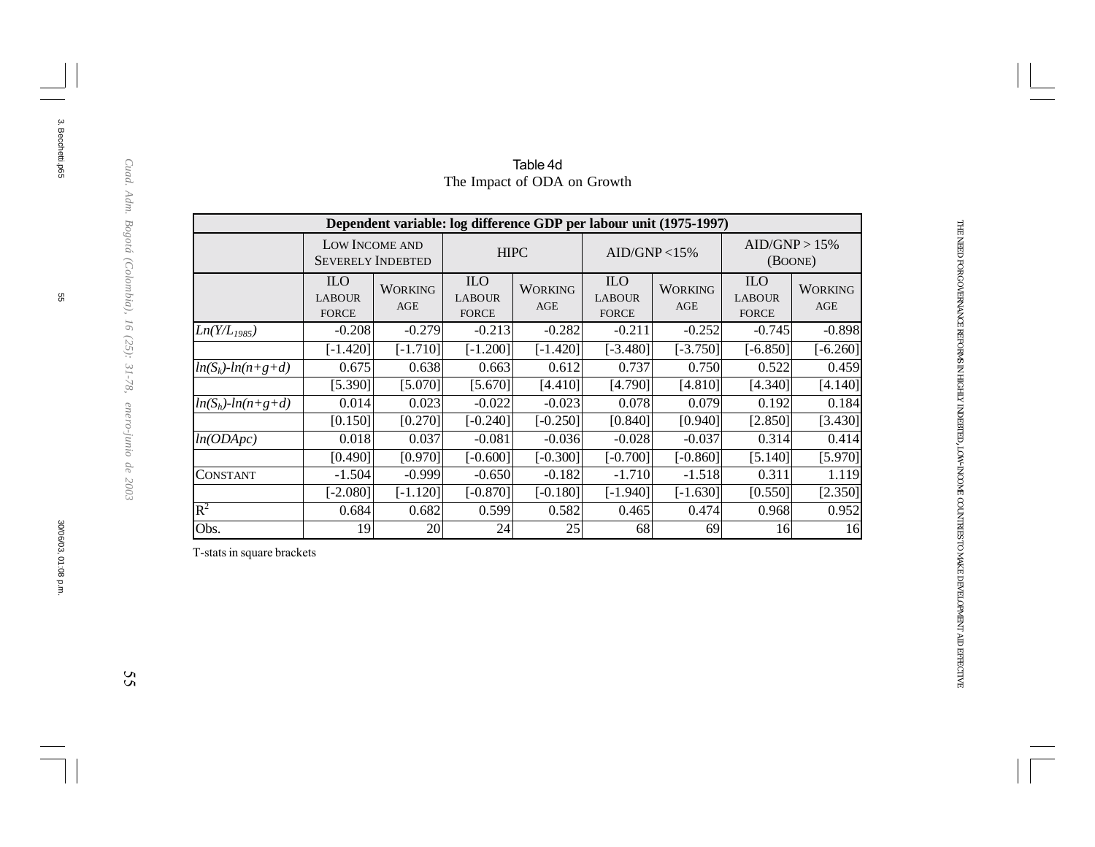|                         |                                             | Dependent variable: log difference GDP per labour unit (1975-1997) |                                             |                       |                                             |                       |                                             |                          |  |
|-------------------------|---------------------------------------------|--------------------------------------------------------------------|---------------------------------------------|-----------------------|---------------------------------------------|-----------------------|---------------------------------------------|--------------------------|--|
|                         |                                             | LOW INCOME AND<br><b>SEVERELY INDEBTED</b>                         | <b>HIPC</b>                                 |                       | AID/GNP < 15%                               |                       |                                             | AID/GNP > 15%<br>(BOONE) |  |
|                         | <b>ILO</b><br><b>LABOUR</b><br><b>FORCE</b> | <b>WORKING</b><br>AGE                                              | <b>ILO</b><br><b>LABOUR</b><br><b>FORCE</b> | <b>WORKING</b><br>AGE | <b>ILO</b><br><b>LABOUR</b><br><b>FORCE</b> | <b>WORKING</b><br>AGE | <b>ILO</b><br><b>LABOUR</b><br><b>FORCE</b> | <b>WORKING</b><br>AGE    |  |
| $Ln(Y/L_{1985})$        | $-0.208$                                    | $-0.279$                                                           | $-0.213$                                    | $-0.282$              | $-0.211$                                    | $-0.252$              | $-0.745$                                    | $-0.898$                 |  |
|                         | $[-1.420]$                                  | $[-1.710]$                                                         | $[-1.200]$                                  | $[-1.420]$            | $[-3.480]$                                  | $[-3.750]$            | $[-6.850]$                                  | $[-6.260]$               |  |
| $ln(S_k)$ - $ln(n+g+d)$ | 0.675                                       | 0.638                                                              | 0.663                                       | 0.612                 | 0.737                                       | 0.750                 | 0.522                                       | 0.459                    |  |
|                         | [5.390]                                     | [5.070]                                                            | [5.670]                                     | [4.410]               | [4.790]                                     | [4.810]               | [4.340]                                     | [4.140]                  |  |
| $ln(S_h)$ - $ln(n+g+d)$ | 0.014                                       | 0.023                                                              | $-0.022$                                    | $-0.023$              | 0.078                                       | 0.079                 | 0.192                                       | 0.184                    |  |
|                         | [0.150]                                     | [0.270]                                                            | $[-0.240]$                                  | $[-0.250]$            | [0.840]                                     | [0.940]               | [2.850]                                     | [3.430]                  |  |
| ln(ODApc)               | 0.018                                       | 0.037                                                              | $-0.081$                                    | $-0.036$              | $-0.028$                                    | $-0.037$              | 0.314                                       | 0.414                    |  |
|                         | [0.490]                                     | [0.970]                                                            | $[-0.600]$                                  | $[-0.300]$            | $[-0.700]$                                  | $[-0.860]$            | [5.140]                                     | [5.970]                  |  |
| CONSTANT                | $-1.504$                                    | $-0.999$                                                           | $-0.650$                                    | $-0.182$              | $-1.710$                                    | $-1.518$              | 0.311                                       | 1.119                    |  |
|                         | $[-2.080]$                                  | $[-1.120]$                                                         | $[-0.870]$                                  | $[-0.180]$            | $[-1.940]$                                  | $[-1.630]$            | [0.550]                                     | [2.350]                  |  |
| $\rm R^2$               | 0.684                                       | 0.682                                                              | 0.599                                       | 0.582                 | 0.465                                       | 0.474                 | 0.968                                       | 0.952                    |  |
| Obs.                    | 19                                          | <b>20</b>                                                          | 24                                          | 25                    | 68                                          | 69                    | 16                                          | 16                       |  |

Table 4d The Impact of ODA on Growth

T-stats in square brackets

Cuad. Adm. Bogotá (Colombia), 16 (25): 31-78, enero-junio de 2003

3. Becchetti.p65

gg

3. Becchetti.p65

THE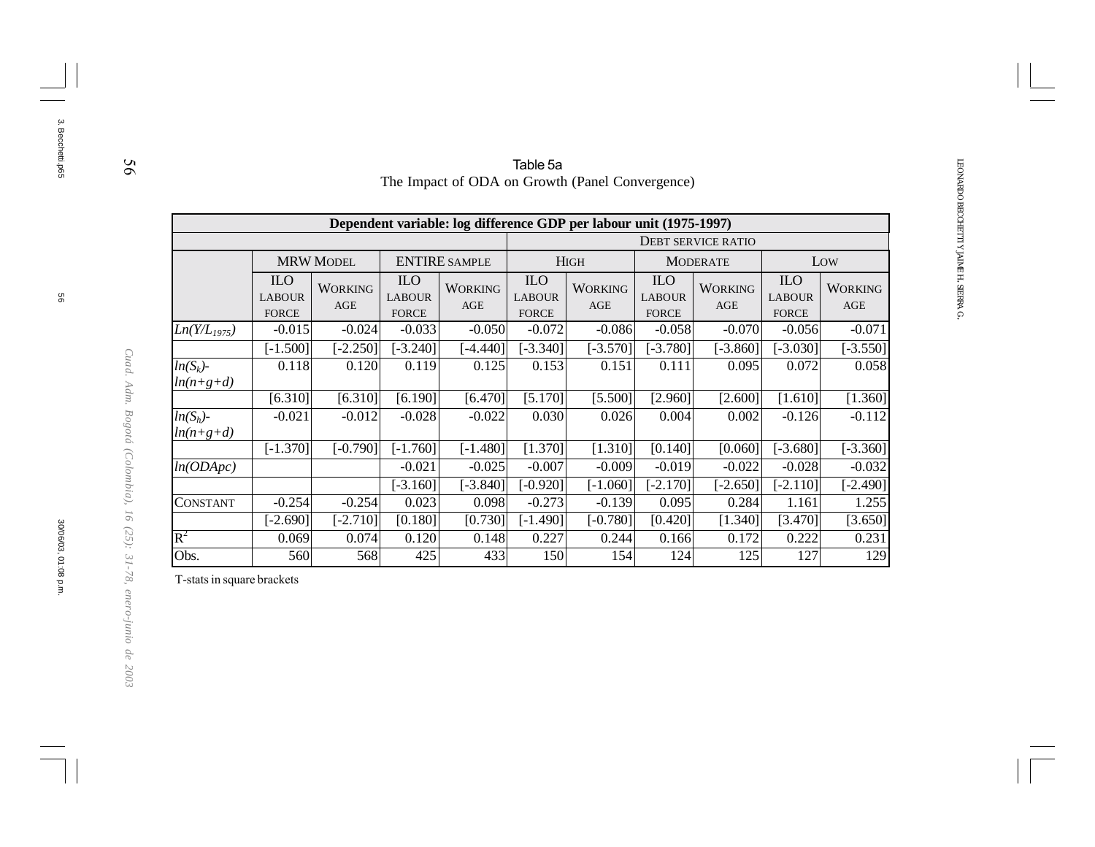|                            |                                             |                       |                                                   |                              | Table 5a                                    |                                                                    |                                             |                           |                                             |                       |
|----------------------------|---------------------------------------------|-----------------------|---------------------------------------------------|------------------------------|---------------------------------------------|--------------------------------------------------------------------|---------------------------------------------|---------------------------|---------------------------------------------|-----------------------|
|                            |                                             |                       |                                                   |                              |                                             | The Impact of ODA on Growth (Panel Convergence)                    |                                             |                           |                                             |                       |
|                            |                                             |                       |                                                   |                              |                                             |                                                                    |                                             |                           |                                             |                       |
|                            |                                             |                       |                                                   |                              |                                             | Dependent variable: log difference GDP per labour unit (1975-1997) |                                             |                           |                                             |                       |
|                            |                                             |                       |                                                   |                              |                                             |                                                                    |                                             | <b>DEBT SERVICE RATIO</b> |                                             |                       |
|                            |                                             | <b>MRW MODEL</b>      |                                                   | <b>ENTIRE SAMPLE</b>         |                                             | <b>HIGH</b>                                                        |                                             | <b>MODERATE</b>           |                                             | Low                   |
|                            | <b>ILO</b><br><b>LABOUR</b><br><b>FORCE</b> | <b>WORKING</b><br>AGE | ILO <sub>.</sub><br><b>LABOUR</b><br><b>FORCE</b> | <b>WORKING</b><br><b>AGE</b> | <b>ILO</b><br><b>LABOUR</b><br><b>FORCE</b> | <b>WORKING</b><br><b>AGE</b>                                       | <b>ILO</b><br><b>LABOUR</b><br><b>FORCE</b> | <b>WORKING</b><br>AGE     | <b>ILO</b><br><b>LABOUR</b><br><b>FORCE</b> | <b>WORKING</b><br>AGE |
| $Ln(Y/L_{1975})$           | $-0.015$                                    | $-0.024$              | $-0.033$                                          | $-0.050$                     | $-0.072$                                    | $-0.086$                                                           | $-0.058$                                    | $-0.070$                  | $-0.056$                                    | $-0.071$              |
|                            | $[-1.500]$                                  | $-2.250$ ]            | $[-3.240]$                                        | $[-4.440]$                   | $[-3.340]$                                  | $[-3.570]$                                                         | $[-3.780]$                                  | $[-3.860]$                | $[-3.030]$                                  | $[-3.550]$            |
| $ln(S_k)$ -<br>$ln(n+g+d)$ | 0.118                                       | 0.120                 | 0.119                                             | 0.125                        | 0.153                                       | 0.151                                                              | 0.111                                       | 0.095                     | 0.072                                       | 0.058                 |
|                            | [6.310]                                     | [6.310]               | [6.190]                                           | [6.470]                      | [5.170]                                     | [5.500]                                                            | [2.960]                                     | [2.600]                   | [1.610]                                     | [1.360]               |
| $ln(S_h)$ -<br>$ln(n+g+d)$ | $-0.021$                                    | $-0.012$              | $-0.028$                                          | $-0.022$                     | 0.030                                       | 0.026                                                              | 0.004                                       | 0.002                     | $-0.126$                                    | $-0.112$              |
|                            | $[-1.370]$                                  | $[-0.790]$            | $[-1.760]$                                        | $[-1.480]$                   | [1.370]                                     | [1.310]                                                            | [0.140]                                     | [0.060]                   | $[-3.680]$                                  | $[-3.360]$            |
| ln(ODApc)                  |                                             |                       | $-0.021$                                          | $-0.025$                     | $-0.007$                                    | $-0.009$                                                           | $-0.019$                                    | $-0.022$                  | $-0.028$                                    | $-0.032$              |
|                            |                                             |                       | $[-3.160]$                                        | $[-3.840]$                   | $[-0.920]$                                  | $[-1.060]$                                                         | $[-2.170]$                                  | $[-2.650]$                | $[-2.110]$                                  | $[-2.490]$            |
| <b>CONSTANT</b>            | $-0.254$                                    | $-0.254$              | 0.023                                             | 0.098                        | $-0.273$                                    | $-0.139$                                                           | 0.095                                       | 0.284                     | 1.161                                       | 1.255                 |
|                            | $[-2.690]$                                  | $[-2.710]$            | [0.180]                                           | [0.730]                      | $[-1.490]$                                  | $[-0.780]$                                                         | [0.420]                                     | [1.340]                   | [3.470]                                     | [3.650]               |
| $\mathbb{R}^2$             | 0.069                                       | 0.074                 | 0.120                                             | 0.148                        | 0.227                                       | 0.244                                                              | 0.166                                       | 0.172                     | 0.222                                       | 0.231                 |
| Obs.                       | 560                                         | 568                   | 425                                               | 433                          | 150                                         | 154                                                                | 124                                         | 125                       | 127                                         | 129                   |

T-stats in square brackets

56

3. Becchetti.p65

3. Becchetti.p65

30/06/03, 01:08 p.m.

*Cuad. Adm. Bogotá (Colombia), 16 (25): 31-78, enero-junio de 2003*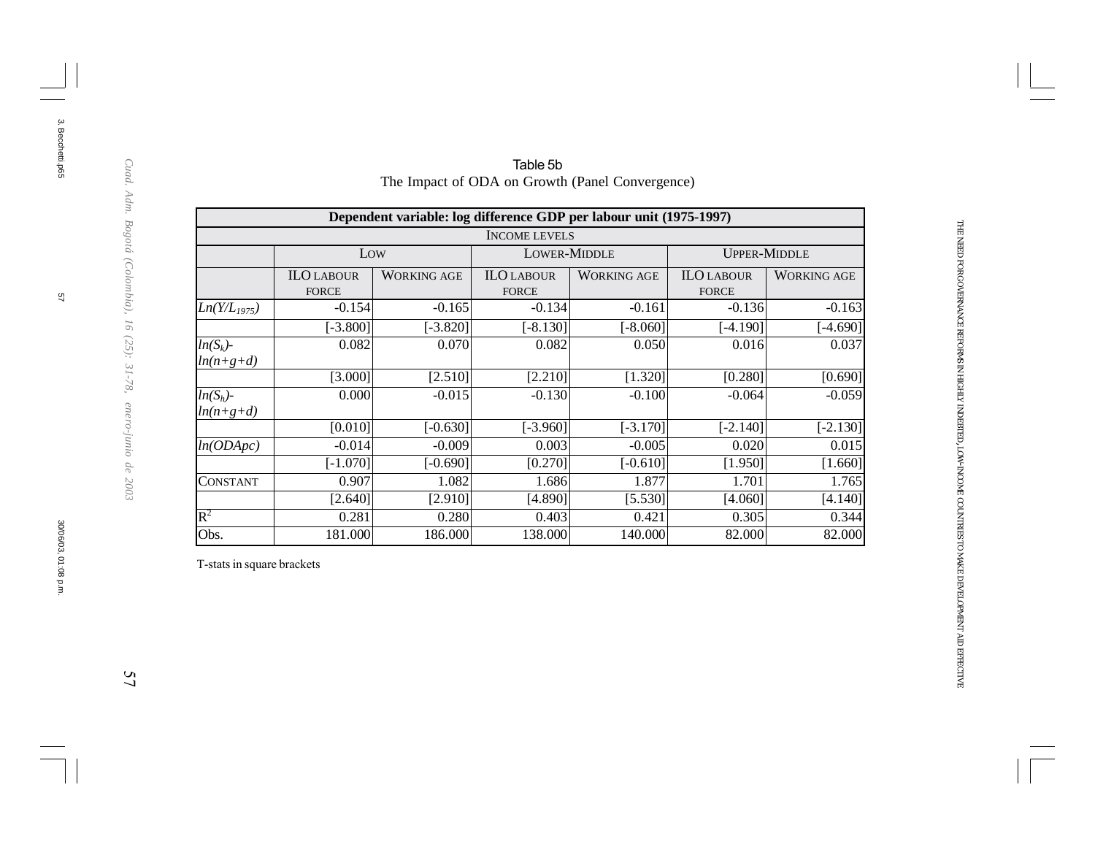|                            |                                   |                    |                                   | Dependent variable: log difference GDP per labour unit (1975-1997) |                                   |                    |
|----------------------------|-----------------------------------|--------------------|-----------------------------------|--------------------------------------------------------------------|-----------------------------------|--------------------|
|                            |                                   |                    | <b>INCOME LEVELS</b>              |                                                                    |                                   |                    |
|                            | Low                               |                    | <b>LOWER-MIDDLE</b>               |                                                                    | <b>UPPER-MIDDLE</b>               |                    |
|                            | <b>ILO LABOUR</b><br><b>FORCE</b> | <b>WORKING AGE</b> | <b>ILO LABOUR</b><br><b>FORCE</b> | <b>WORKING AGE</b>                                                 | <b>ILO LABOUR</b><br><b>FORCE</b> | <b>WORKING AGE</b> |
| $Ln(Y/L_{1975})$           | $-0.154$                          | $-0.165$           | $-0.134$                          | $-0.161$                                                           | $-0.136$                          | $-0.163$           |
|                            | $[-3.800]$                        | $[-3.820]$         | $[-8.130]$                        | $[-8.060]$                                                         | $[-4.190]$                        | $[-4.690]$         |
| $ln(S_k)$ -<br>$ln(n+g+d)$ | 0.082                             | 0.070              | 0.082                             | 0.050                                                              | 0.016                             | 0.037              |
|                            | [3.000]                           | [2.510]            | [2.210]                           | [1.320]                                                            | [0.280]                           | [0.690]            |
| $ln(S_h)$ -<br>$ln(n+g+d)$ | 0.000                             | $-0.015$           | $-0.130$                          | $-0.100$                                                           | $-0.064$                          | $-0.059$           |
|                            | [0.010]                           | $[-0.630]$         | $[-3.960]$                        | $[-3.170]$                                                         | $[-2.140]$                        | $[-2.130]$         |
| ln(ODApc)                  | $-0.014$                          | $-0.009$           | 0.003                             | $-0.005$                                                           | 0.020                             | 0.015              |
|                            | $[-1.070]$                        | $[-0.690]$         | [0.270]                           | $[-0.610]$                                                         | [1.950]                           | [1.660]            |
| CONSTANT                   | 0.907                             | 1.082              | 1.686                             | 1.877                                                              | 1.701                             | 1.765              |
|                            | [2.640]                           | [2.910]            | [4.890]                           | [5.530]                                                            | [4.060]                           | [4.140]            |
| $R^2$                      | 0.281                             | 0.280              | 0.403                             | 0.421                                                              | 0.305                             | 0.344              |
| Obs.                       | 181.000                           | 186.000            | 138.000                           | 140.000                                                            | 82.000                            | 82.000             |

Table 5b The Impact of ODA on Growth (Panel Convergence)

T-stats in square brackets

Cuad. Adm. Bogotá (Colombia), 16 (25): 31-78, enero-junio de 2003

3. Becchetti.p65

 $\overline{\mathbb{S}}$ 

3. Becchetti.p65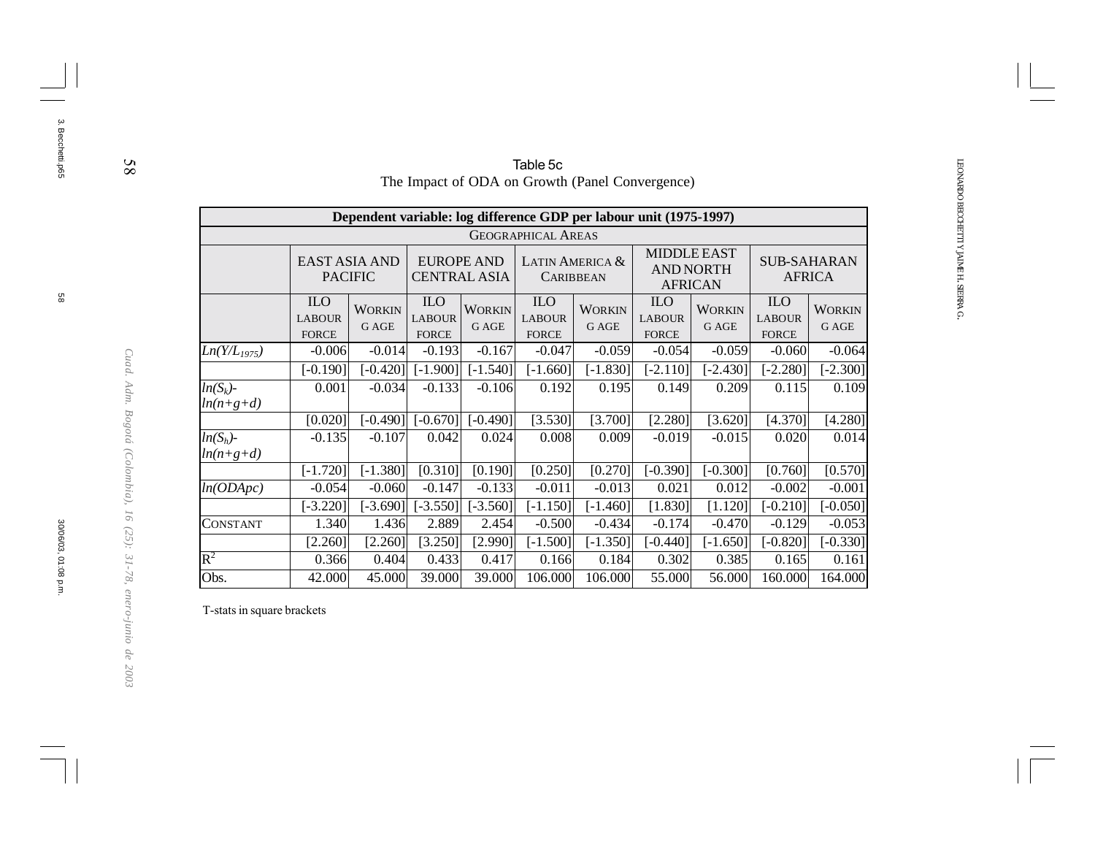| The Impact of ODA on Growth (Panel Convergence)<br>Dependent variable: log difference GDP per labour unit (1975-1997)<br><b>GEOGRAPHICAL AREAS</b><br><b>MIDDLE EAST</b><br><b>EAST ASIA AND</b><br><b>EUROPE AND</b><br>LATIN AMERICA &<br><b>SUB-SAHARAN</b><br><b>AND NORTH</b><br><b>PACIFIC</b><br><b>CENTRAL ASIA</b><br><b>AFRICA</b><br><b>CARIBBEAN</b><br><b>AFRICAN</b><br><b>ILO</b><br><b>ILO</b><br><b>ILO</b><br><b>ILO</b><br><b>ILO</b><br><b>WORKIN</b><br><b>WORKIN</b><br><b>WORKIN</b><br><b>WORKIN</b><br><b>LABOUR</b><br><b>LABOUR</b><br><b>LABOUR</b><br><b>LABOUR</b><br><b>LABOUR</b> |                        |  |  |  |  |  |  |  |
|-------------------------------------------------------------------------------------------------------------------------------------------------------------------------------------------------------------------------------------------------------------------------------------------------------------------------------------------------------------------------------------------------------------------------------------------------------------------------------------------------------------------------------------------------------------------------------------------------------------------|------------------------|--|--|--|--|--|--|--|
|                                                                                                                                                                                                                                                                                                                                                                                                                                                                                                                                                                                                                   |                        |  |  |  |  |  |  |  |
|                                                                                                                                                                                                                                                                                                                                                                                                                                                                                                                                                                                                                   |                        |  |  |  |  |  |  |  |
|                                                                                                                                                                                                                                                                                                                                                                                                                                                                                                                                                                                                                   |                        |  |  |  |  |  |  |  |
|                                                                                                                                                                                                                                                                                                                                                                                                                                                                                                                                                                                                                   |                        |  |  |  |  |  |  |  |
| G AGE<br><b>G AGE</b><br><b>GAGE</b><br>G AGE<br><b>FORCE</b><br><b>FORCE</b><br><b>FORCE</b><br><b>FORCE</b><br><b>FORCE</b>                                                                                                                                                                                                                                                                                                                                                                                                                                                                                     | <b>WORKIN</b><br>G AGE |  |  |  |  |  |  |  |
| $-0.014$<br>$-0.193$<br>$-0.167$<br>$-0.059$<br>$-0.006$<br>$-0.047$<br>$-0.054$<br>$-0.059$<br>$-0.060$<br>$Ln(Y/L_{1975})$                                                                                                                                                                                                                                                                                                                                                                                                                                                                                      | $-0.064$               |  |  |  |  |  |  |  |
| $-0.420$<br>$[-1.540]$<br>$-2.280$ ]<br>$-0.190]$<br>$[-1.900]$<br>$[-1.660]$<br>$[-1.830]$<br>$[-2.110]$<br>$-2.430$ ]                                                                                                                                                                                                                                                                                                                                                                                                                                                                                           | $[-2.300]$             |  |  |  |  |  |  |  |
| $-0.034$<br>$-0.133$<br>$ln(S_k)$ -<br>0.001<br>$-0.106$<br>0.192<br>0.195<br>0.149<br>0.209<br>0.115<br>$ln(n+g+d)$                                                                                                                                                                                                                                                                                                                                                                                                                                                                                              | 0.109                  |  |  |  |  |  |  |  |
| $[-0.670]$<br>[3.530]<br>[3.700]<br>[0.020]<br>$[-0.490]$<br>$[-0.490]$<br>[2.280]<br>[3.620]<br>[4.370]                                                                                                                                                                                                                                                                                                                                                                                                                                                                                                          | [4.280]                |  |  |  |  |  |  |  |
| $ln(S_h)$ -<br>$-0.135$<br>$-0.107$<br>0.042<br>0.024<br>0.008<br>0.009<br>$-0.019$<br>$-0.015$<br>0.020<br>$ln(n+g+d)$                                                                                                                                                                                                                                                                                                                                                                                                                                                                                           | 0.014                  |  |  |  |  |  |  |  |
| $[-1.720]$<br>$[-1.380]$<br>[0.310]<br>[0.250]<br>[0.270]<br>$[-0.390]$<br>$[-0.300]$<br>[0.190]<br>[0.760]                                                                                                                                                                                                                                                                                                                                                                                                                                                                                                       | [0.570]                |  |  |  |  |  |  |  |
| $-0.133$<br>$-0.054$<br>$-0.147$<br>$-0.011$<br>$-0.013$<br>0.021<br>0.012<br>$-0.002$<br>ln(ODApc)<br>$-0.060$                                                                                                                                                                                                                                                                                                                                                                                                                                                                                                   | $-0.001$               |  |  |  |  |  |  |  |
| $[-3.560]$<br>[1.830]<br>$[-0.210]$<br>$[-3.220]$<br>$[-3.690]$<br>$[-3.550]$<br>$[-1.150]$<br>$[-1.460]$<br>[1.120]                                                                                                                                                                                                                                                                                                                                                                                                                                                                                              | $[-0.050]$             |  |  |  |  |  |  |  |
| 1.436<br>2.889<br>2.454<br>$-0.500$<br>$-0.434$<br>$-0.174$<br>$-0.470$<br>$-0.129$<br>1.340<br><b>CONSTANT</b>                                                                                                                                                                                                                                                                                                                                                                                                                                                                                                   | $-0.053$               |  |  |  |  |  |  |  |
| [3.250]<br>[2.990]<br>$[-1.350]$<br>$[-0.440]$<br>$[-1.650]$<br>$[-0.820]$<br>$[-0.330]$<br>[2.260]<br>[2.260]<br>$[-1.500]$                                                                                                                                                                                                                                                                                                                                                                                                                                                                                      |                        |  |  |  |  |  |  |  |
| $\mathbf{R}^2$<br>0.433<br>0.417<br>0.302<br>0.385<br>0.366<br>0.404<br>0.166<br>0.184<br>0.165                                                                                                                                                                                                                                                                                                                                                                                                                                                                                                                   | 0.161                  |  |  |  |  |  |  |  |
| Obs.<br>45.000<br>39.000<br>106.000<br>106.000<br>55.000<br>56.000<br>160.000<br>164.000<br>42.000<br>39.000                                                                                                                                                                                                                                                                                                                                                                                                                                                                                                      |                        |  |  |  |  |  |  |  |

| Table 5c                                        |  |
|-------------------------------------------------|--|
| The Impact of ODA on Growth (Panel Convergence) |  |

T-stats in square brackets

58

3. Becchetti.p65

3. Becchetti.p65

30/06/03, 01:08 p.m.

*Cuad. Adm. Bogotá (Colombia), 16 (25): 31-78, enero-junio de 2003*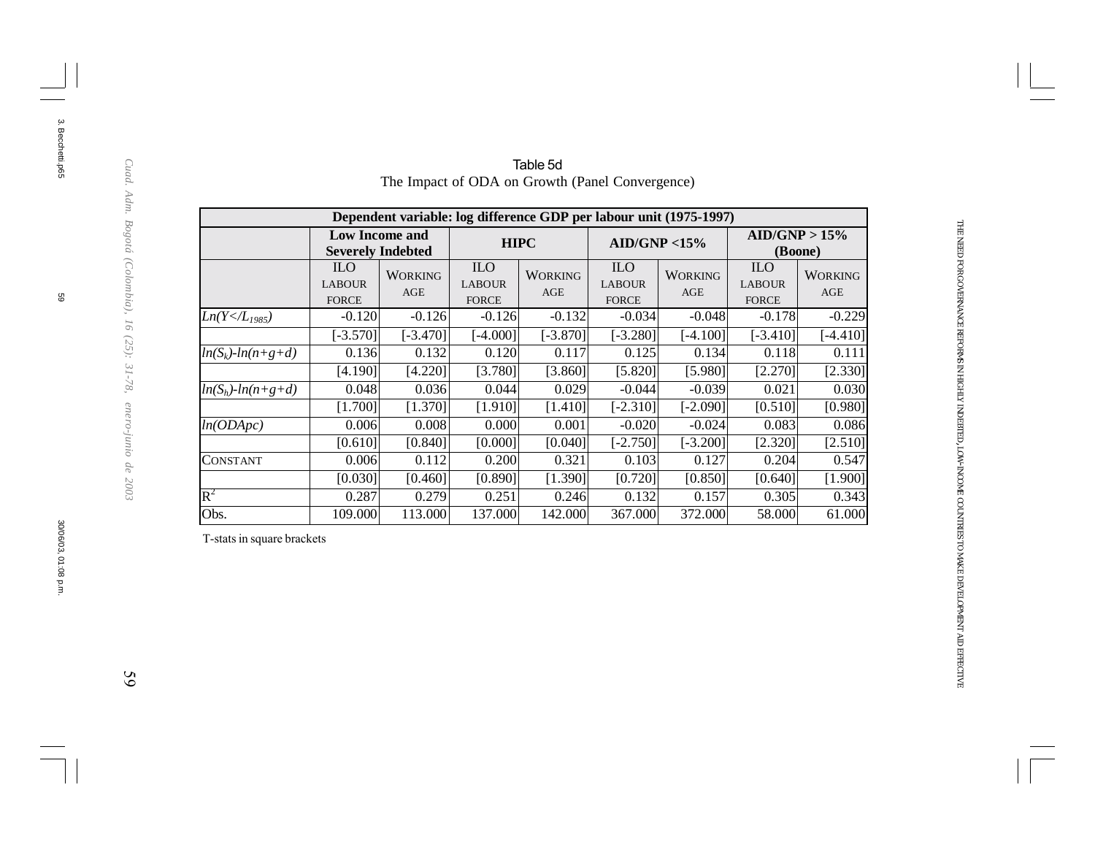|                          | Dependent variable: log difference GDP per labour unit (1975-1997) |                                                   |                                             |                       |                                             |                       |                                             |                       |  |  |  |  |  |  |
|--------------------------|--------------------------------------------------------------------|---------------------------------------------------|---------------------------------------------|-----------------------|---------------------------------------------|-----------------------|---------------------------------------------|-----------------------|--|--|--|--|--|--|
|                          |                                                                    | <b>Low Income and</b><br><b>Severely Indebted</b> |                                             | <b>HIPC</b>           | AID/GNP < 15%                               |                       | AID/GNP > 15%<br>(Boone)                    |                       |  |  |  |  |  |  |
|                          | <b>ILO</b><br><b>LABOUR</b><br><b>FORCE</b>                        | <b>WORKING</b><br>AGE                             | <b>ILO</b><br><b>LABOUR</b><br><b>FORCE</b> | <b>WORKING</b><br>AGE | <b>ILO</b><br><b>LABOUR</b><br><b>FORCE</b> | <b>WORKING</b><br>AGE | <b>ILO</b><br><b>LABOUR</b><br><b>FORCE</b> | <b>WORKING</b><br>AGE |  |  |  |  |  |  |
| $Ln(Y < \frac{1}{1985})$ | $-0.120$                                                           | $-0.126$                                          | $-0.126$                                    | $-0.132$              | $-0.034$                                    | $-0.048$              | $-0.178$                                    | $-0.229$              |  |  |  |  |  |  |
|                          | $[-3.570]$                                                         | $[-3.470]$                                        | $[-4.000]$                                  | $[-3.870]$            | $[-3.280]$                                  | [-4.100]              | $[-3.410]$                                  | $[-4.410]$            |  |  |  |  |  |  |
| $ln(S_k)$ - $ln(n+g+d)$  | 0.136                                                              | 0.132                                             | 0.120                                       | 0.117                 | 0.125                                       | 0.134                 | 0.118                                       | 0.111                 |  |  |  |  |  |  |
|                          | [4.190]                                                            | [4.220]                                           | [3.780]                                     | [3.860]               | [5.820]                                     | [5.980]               | [2.270]                                     | [2.330]               |  |  |  |  |  |  |
| $ln(S_h)$ - $ln(n+g+d)$  | 0.048                                                              | 0.036                                             | 0.044                                       | 0.029                 | $-0.044$                                    | $-0.039$              | 0.021                                       | 0.030                 |  |  |  |  |  |  |
|                          | [1.700]                                                            | [1.370]                                           | [1.910]                                     | [1.410]               | $[-2.310]$                                  | $[-2.090]$            | [0.510]                                     | [0.980]               |  |  |  |  |  |  |
| ln(ODApc)                | 0.006                                                              | 0.008                                             | 0.000                                       | 0.001                 | $-0.020$                                    | $-0.024$              | 0.083                                       | 0.086                 |  |  |  |  |  |  |
|                          | [0.610]                                                            | [0.840]                                           | [0.000]                                     | [0.040]               | $[-2.750]$                                  | $[-3.200]$            | [2.320]                                     | [2.510]               |  |  |  |  |  |  |
| CONSTANT                 | 0.006                                                              | 0.112                                             | 0.200                                       | 0.321                 | 0.103                                       | 0.127                 | 0.204                                       | 0.547                 |  |  |  |  |  |  |
|                          | [0.030]                                                            | [0.460]                                           | [0.890]                                     | [1.390]               | [0.720]                                     | [0.850]               | [0.640]                                     | [1.900]               |  |  |  |  |  |  |
| $\rm R^2$                | 0.287                                                              | 0.279                                             | 0.251                                       | 0.246                 | 0.132                                       | 0.157                 | 0.305                                       | 0.343                 |  |  |  |  |  |  |
| Obs.                     | 109.000                                                            | 113.000                                           | 137.000                                     | 142.000               | 367.000                                     | 372.000               | 58.000                                      | 61.000                |  |  |  |  |  |  |

Table 5d The Impact of ODA on Growth (Panel Convergence)

T-stats in square brackets

 $59$ 

THE

69

3. Becchetti.p65

3. Becchetti.p65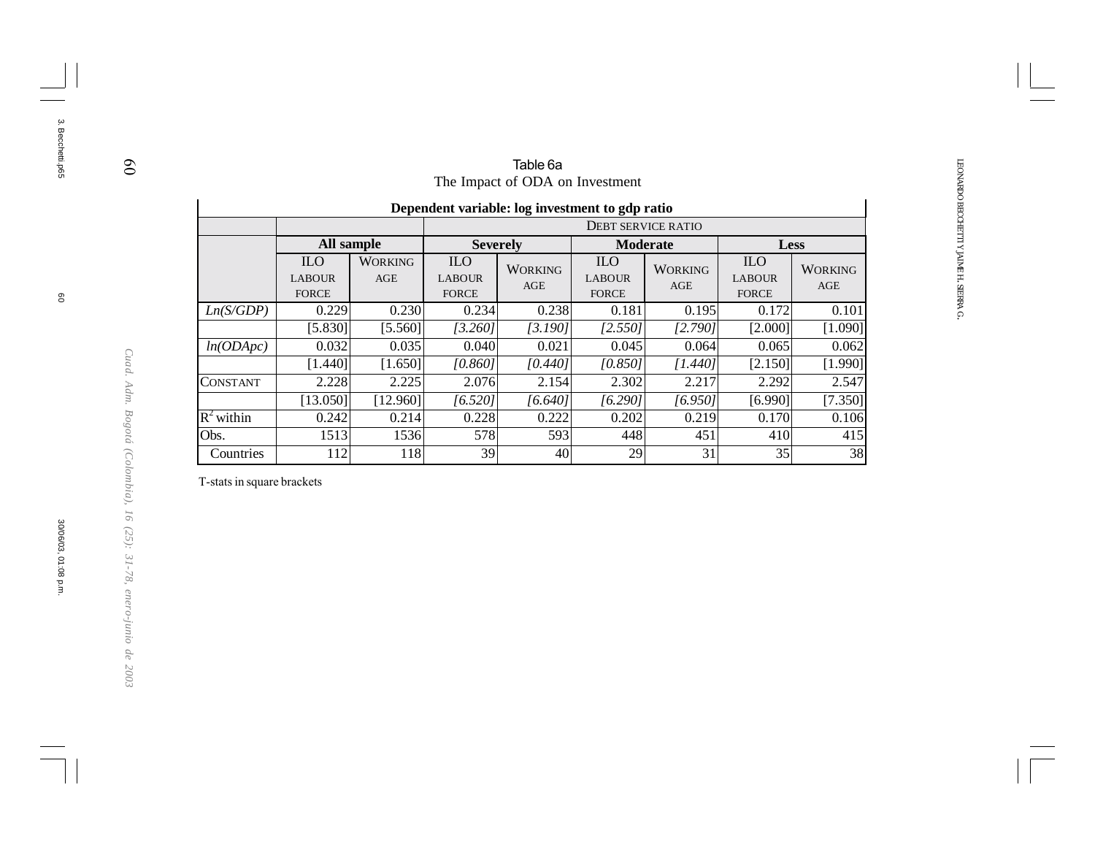|                 | The Impact of ODA on Investment                   |                       |                                             |                                 |                                             |                       |                                             |                       |  |  |  |  |  |
|-----------------|---------------------------------------------------|-----------------------|---------------------------------------------|---------------------------------|---------------------------------------------|-----------------------|---------------------------------------------|-----------------------|--|--|--|--|--|
|                 | Dependent variable: log investment to gdp ratio   |                       |                                             |                                 |                                             |                       |                                             |                       |  |  |  |  |  |
|                 | <b>DEBT SERVICE RATIO</b>                         |                       |                                             |                                 |                                             |                       |                                             |                       |  |  |  |  |  |
|                 | All sample                                        |                       | <b>Severely</b>                             |                                 | <b>Moderate</b>                             |                       | <b>Less</b>                                 |                       |  |  |  |  |  |
|                 | ILO <sub>1</sub><br><b>LABOUR</b><br><b>FORCE</b> | <b>WORKING</b><br>AGE | <b>ILO</b><br><b>LABOUR</b><br><b>FORCE</b> | <b>WORKING</b><br>AGE           | <b>ILO</b><br><b>LABOUR</b><br><b>FORCE</b> | <b>WORKING</b><br>AGE | <b>ILO</b><br><b>LABOUR</b><br><b>FORCE</b> | <b>WORKING</b><br>AGE |  |  |  |  |  |
| Ln(S/GDP)       | 0.229                                             | 0.230                 | 0.234                                       | 0.238                           | 0.181                                       | 0.195                 | 0.172                                       | 0.101                 |  |  |  |  |  |
|                 | [5.830]                                           | [5.560]               | [3.260]                                     | [3.190]                         | [2.550]                                     | [2.790]               | [2.000]                                     | [1.090]               |  |  |  |  |  |
| ln(ODApc)       | 0.032                                             | 0.035                 | 0.040                                       | 0.021                           | 0.045                                       | 0.064                 | 0.065                                       | 0.062                 |  |  |  |  |  |
|                 | [1.440]                                           | [1.650]               | [0.860]                                     | [0.440]                         | [0.850]                                     | [1.440]               | [2.150]                                     | [1.990]               |  |  |  |  |  |
| <b>CONSTANT</b> | 2.228                                             | 2.225                 | 2.076                                       | 2.154                           | 2.302                                       | 2.217                 | 2.292                                       | 2.547                 |  |  |  |  |  |
|                 | [13.050]                                          | [12.960]              | [6.520]                                     | [6.640]                         | [6.290]                                     | [6.950]               | [6.990]                                     | [7.350]               |  |  |  |  |  |
| $R^2$ within    | 0.242                                             | 0.214                 | 0.228                                       | 0.222                           | 0.202                                       | 0.219                 | 0.170                                       | 0.106                 |  |  |  |  |  |
| Obs.            | 1513                                              | 1536                  | 578                                         | 593<br>451<br>448<br>410<br>415 |                                             |                       |                                             |                       |  |  |  |  |  |
| Countries       | 112                                               | 118                   | 39                                          | 40                              | 29                                          | 31                    | 35                                          | 38                    |  |  |  |  |  |

T-stats in square brackets

60

3. Becchetti.p65

3. Becchetti.p65

30/06/03, 01:08 p.m.

*Cuad. Adm. Bogotá (Colombia), 16 (25): 31-78, enero-junio de 2003*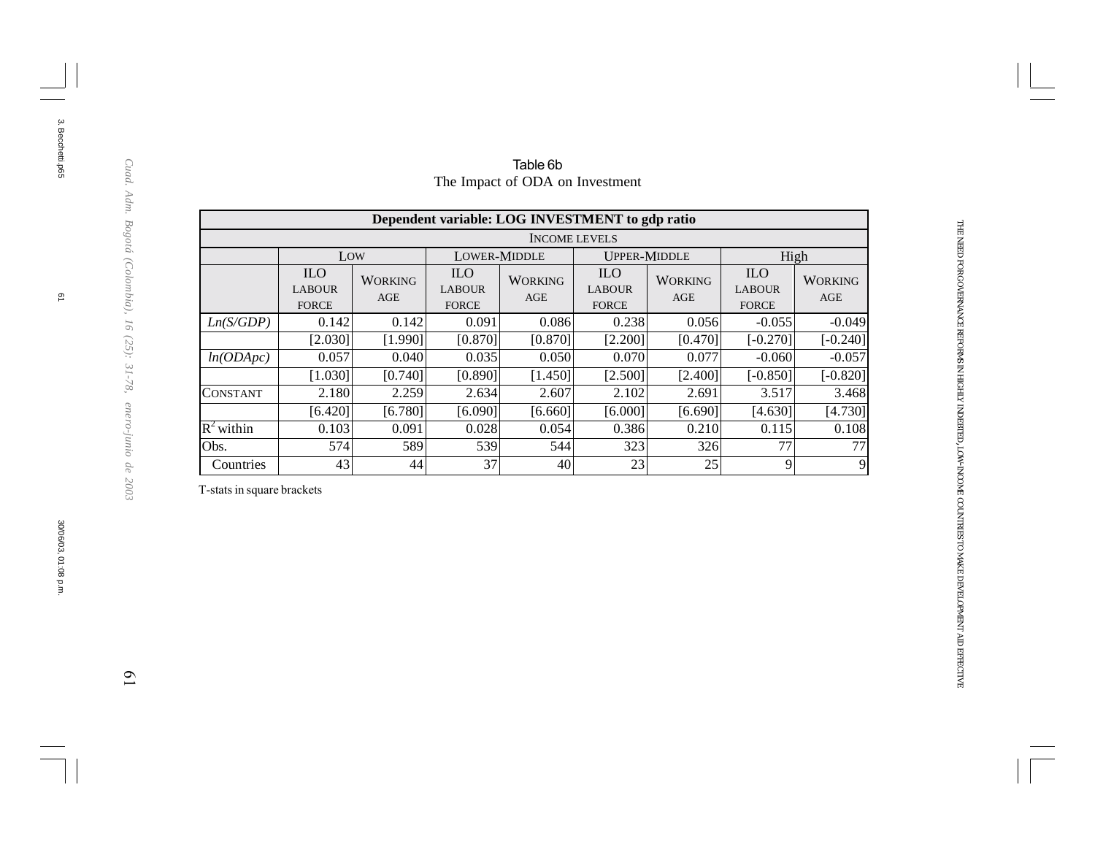|                         | Dependent variable: LOG INVESTMENT to gdp ratio |                       |                                             |                       |                                             |                       |                                             |                       |  |  |  |  |  |  |
|-------------------------|-------------------------------------------------|-----------------------|---------------------------------------------|-----------------------|---------------------------------------------|-----------------------|---------------------------------------------|-----------------------|--|--|--|--|--|--|
|                         | <b>INCOME LEVELS</b>                            |                       |                                             |                       |                                             |                       |                                             |                       |  |  |  |  |  |  |
|                         | Low                                             |                       | LOWER-MIDDLE                                |                       | <b>UPPER-MIDDLE</b>                         |                       | High                                        |                       |  |  |  |  |  |  |
|                         | <b>ILO</b><br><b>LABOUR</b><br><b>FORCE</b>     | <b>WORKING</b><br>AGE | <b>ILO</b><br><b>LABOUR</b><br><b>FORCE</b> | <b>WORKING</b><br>AGE | <b>ILO</b><br><b>LABOUR</b><br><b>FORCE</b> | <b>WORKING</b><br>AGE | <b>ILO</b><br><b>LABOUR</b><br><b>FORCE</b> | <b>WORKING</b><br>AGE |  |  |  |  |  |  |
| Ln(S/GDP)               | 0.142                                           | 0.142                 | 0.091                                       | 0.086                 | 0.238                                       | 0.056                 | $-0.055$                                    | $-0.049$              |  |  |  |  |  |  |
|                         | [2.030]                                         | [1.990]               | [0.870]                                     | [0.870]               | [2.200]                                     | [0.470]               | $[-0.270]$                                  | $[-0.240]$            |  |  |  |  |  |  |
| ln(ODApc)               | 0.057                                           | 0.040                 | 0.035                                       | 0.050                 | 0.070                                       | 0.077                 | $-0.060$                                    | $-0.057$              |  |  |  |  |  |  |
|                         | [1.030]                                         | [0.740]               | [0.890]                                     | [1.450]               | [2.500]                                     | [2.400]               | $[-0.850]$                                  | $[-0.820]$            |  |  |  |  |  |  |
| <b>CONSTANT</b>         | 2.180                                           | 2.259                 | 2.634                                       | 2.607                 | 2.102                                       | 2.691                 | 3.517                                       | 3.468                 |  |  |  |  |  |  |
|                         | [6.420]                                         | [6.780]               | [6.090]                                     | [6.660]               | [6.000]                                     | [6.690]               | [4.630]                                     | [4.730]               |  |  |  |  |  |  |
| $\overline{R^2}$ within | 0.103                                           | 0.091                 | 0.028                                       | 0.054                 | 0.386                                       | 0.210                 | 0.115                                       | 0.108                 |  |  |  |  |  |  |
| Obs.                    | 574                                             | 589                   | 539                                         | 544                   | 323                                         | 326                   | 77                                          | 77                    |  |  |  |  |  |  |
| Countries               | 43                                              | 44                    | 37                                          | 40                    | 23                                          | 25                    | 9                                           | 9                     |  |  |  |  |  |  |

#### Table 6b The Impact of ODA on Investment

T-stats in square brackets

THE NEED FOR

GOVERNANCE

REFORMS IN HIGHLY

INDEBTED, LOW-INCOME

COUNTRIES TO MAKE

DEVELOPMENT

AID

EFFECTIVE

 $\overline{0}$ 

3. Becchetti.p65 3. Becchetti.p65

 $\overline{\omega}$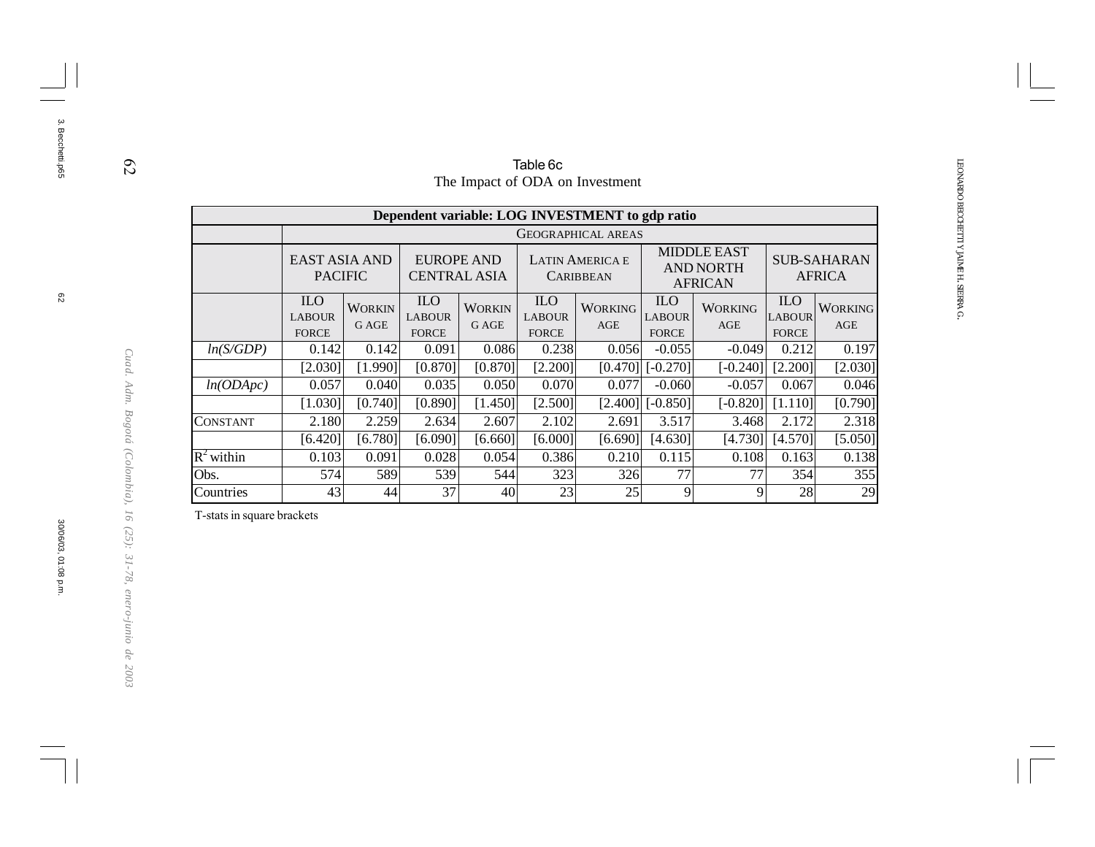|              |                                                 |                                                                                                                                                                                                                              |                                             |                        | Table 6c                                    |                       |                                             |                       |                                             |                       |  |  |  |  |
|--------------|-------------------------------------------------|------------------------------------------------------------------------------------------------------------------------------------------------------------------------------------------------------------------------------|---------------------------------------------|------------------------|---------------------------------------------|-----------------------|---------------------------------------------|-----------------------|---------------------------------------------|-----------------------|--|--|--|--|
|              | The Impact of ODA on Investment                 |                                                                                                                                                                                                                              |                                             |                        |                                             |                       |                                             |                       |                                             |                       |  |  |  |  |
|              | Dependent variable: LOG INVESTMENT to gdp ratio |                                                                                                                                                                                                                              |                                             |                        |                                             |                       |                                             |                       |                                             |                       |  |  |  |  |
|              |                                                 | <b>GEOGRAPHICAL AREAS</b>                                                                                                                                                                                                    |                                             |                        |                                             |                       |                                             |                       |                                             |                       |  |  |  |  |
|              |                                                 | <b>MIDDLE EAST</b><br>EAST ASIA AND<br><b>EUROPE AND</b><br><b>SUB-SAHARAN</b><br><b>LATIN AMERICA E</b><br><b>AND NORTH</b><br><b>PACIFIC</b><br><b>CENTRAL ASIA</b><br><b>AFRICA</b><br><b>CARIBBEAN</b><br><b>AFRICAN</b> |                                             |                        |                                             |                       |                                             |                       |                                             |                       |  |  |  |  |
|              | <b>ILO</b><br><b>LABOUR</b><br><b>FORCE</b>     | <b>WORKIN</b><br>G AGE                                                                                                                                                                                                       | <b>ILO</b><br><b>LABOUR</b><br><b>FORCE</b> | <b>WORKIN</b><br>G AGE | <b>ILO</b><br><b>LABOUR</b><br><b>FORCE</b> | <b>WORKING</b><br>AGE | <b>ILO</b><br><b>LABOUR</b><br><b>FORCE</b> | <b>WORKING</b><br>AGE | <b>ILO</b><br><b>LABOUR</b><br><b>FORCE</b> | <b>WORKING</b><br>AGE |  |  |  |  |
| ln(S/GDP)    | 0.142                                           | 0.142                                                                                                                                                                                                                        | 0.091                                       | 0.086                  | 0.238                                       | 0.056                 | $-0.055$                                    | $-0.049$              | 0.212                                       | 0.197                 |  |  |  |  |
|              | [2.030]                                         | 1.990]                                                                                                                                                                                                                       | [0.870]                                     | [0.870]                | [2.200]                                     | [0.470]               | $[-0.270]$                                  | $[-0.240]$            | [2.200]                                     | [2.030]               |  |  |  |  |
| ln(ODApc)    | 0.057                                           | 0.040                                                                                                                                                                                                                        | 0.035                                       | 0.050                  | 0.070                                       | 0.077                 | $-0.060$                                    | $-0.057$              | 0.067                                       | 0.046                 |  |  |  |  |
|              | [1.030]                                         | [0.740]                                                                                                                                                                                                                      | [0.890]                                     | [1.450]                | [2.500]                                     | [2.400]               | $[-0.850]$                                  | $[-0.820]$            | [1.110]                                     | [0.790]               |  |  |  |  |
| CONSTANT     | 2.180                                           | 2.259                                                                                                                                                                                                                        | 2.634                                       | 2.607                  | 2.102                                       | 2.691                 | 3.517                                       | 3.468                 | 2.172                                       | 2.318                 |  |  |  |  |
|              | [6.420]                                         | [6.780]                                                                                                                                                                                                                      | [6.090]                                     | [6.660]                | [6.000]                                     | [6.690]               | [4.630]                                     | [4.730]               | [4.570]                                     | [5.050]               |  |  |  |  |
| $R^2$ within |                                                 | 0.138<br>0.103<br>0.091<br>0.028<br>0.054<br>0.386<br>0.210<br>0.115<br>0.108<br>0.163                                                                                                                                       |                                             |                        |                                             |                       |                                             |                       |                                             |                       |  |  |  |  |
| Obs.         | 574                                             | 589                                                                                                                                                                                                                          | 539                                         | 544                    | 323                                         | 326                   | 77                                          | 77                    | 354                                         | 355                   |  |  |  |  |
| Countries    | 43                                              | 44                                                                                                                                                                                                                           | 37                                          | 40                     | 23                                          | 25                    | 9                                           | 9                     | 28                                          | 29                    |  |  |  |  |

T-stats in square brackets

3. Becchetti.p65

3. Becchetti.p65

30/06/03, 01:08 p.m.

*Cuad. Adm. Bogotá (Colombia), 16 (25): 31-78, enero-junio de 2003*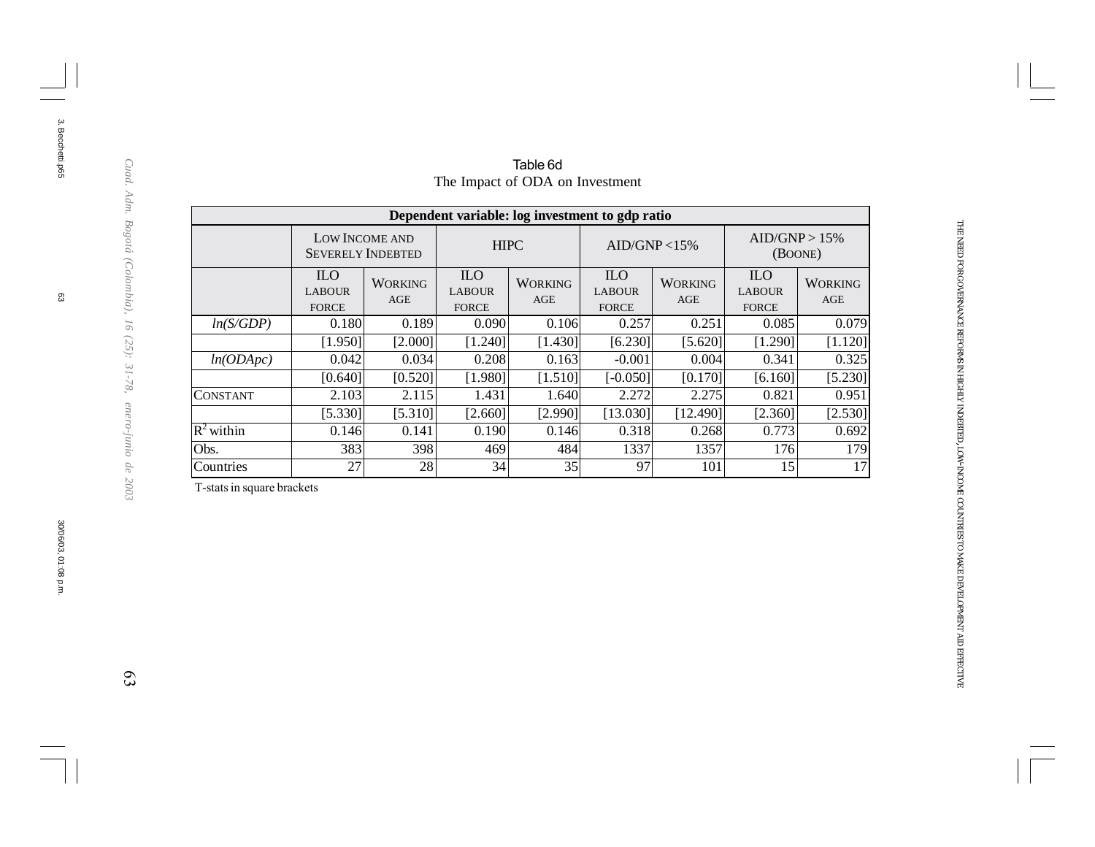| Dependent variable: log investment to gdp ratio |                                             |                                            |                                             |                       |                                             |                       |                                             |                       |  |  |  |  |  |
|-------------------------------------------------|---------------------------------------------|--------------------------------------------|---------------------------------------------|-----------------------|---------------------------------------------|-----------------------|---------------------------------------------|-----------------------|--|--|--|--|--|
|                                                 |                                             | LOW INCOME AND<br><b>SEVERELY INDEBTED</b> |                                             | <b>HIPC</b>           | AID/GNP < 15%                               |                       | AID/GNP > 15%<br>(BOONE)                    |                       |  |  |  |  |  |
|                                                 | <b>ILO</b><br><b>LABOUR</b><br><b>FORCE</b> | <b>WORKING</b><br>AGE                      | <b>ILO</b><br><b>LABOUR</b><br><b>FORCE</b> | <b>WORKING</b><br>AGE | <b>ILO</b><br><b>LABOUR</b><br><b>FORCE</b> | <b>WORKING</b><br>AGE | <b>ILO</b><br><b>LABOUR</b><br><b>FORCE</b> | <b>WORKING</b><br>AGE |  |  |  |  |  |
| ln(S/GDP)                                       | 0.180                                       | 0.189                                      | 0.090                                       | 0.106                 | 0.257                                       | 0.251                 | 0.085                                       | 0.079                 |  |  |  |  |  |
|                                                 | [1.950]                                     | [2.000]                                    | [1.240]                                     | [1.430]               | [6.230]                                     | [5.620]               | [1.290]                                     | [1.120]               |  |  |  |  |  |
| ln(ODApc)                                       | 0.042                                       | 0.034                                      | 0.208                                       | 0.163                 | $-0.001$                                    | 0.004                 | 0.341                                       | 0.325                 |  |  |  |  |  |
|                                                 | [0.640]                                     | [0.520]                                    | [1.980]                                     | [1.510]               | $[-0.050]$                                  | [0.170]               | [6.160]                                     | [5.230]               |  |  |  |  |  |
| <b>CONSTANT</b>                                 | 2.103                                       | 2.115                                      | 1.431                                       | 1.640                 | 2.272                                       | 2.275                 | 0.821                                       | 0.951                 |  |  |  |  |  |
|                                                 | [5.330]                                     | [5.310]                                    | [2.660]                                     | [2.990]               | [13.030]                                    | [12.490]              | [2.360]                                     | [2.530]               |  |  |  |  |  |
| $R^2$ within                                    | 0.146                                       | 0.141                                      | 0.190                                       | 0.146                 | 0.318                                       | 0.268                 | 0.773                                       | 0.692                 |  |  |  |  |  |
| Obs.                                            | 383                                         | 398                                        | 469                                         | 484                   | 1337                                        | 1357                  | 176                                         | 179                   |  |  |  |  |  |
| Countries                                       | 27                                          | 28                                         | 34                                          | 35                    | 97                                          | 101                   | 15                                          | 17                    |  |  |  |  |  |

#### Table 6d The Impact of ODA on Investment

T-stats in square brackets

සූ

3. Becchetti.p65

3. Becchetti.p65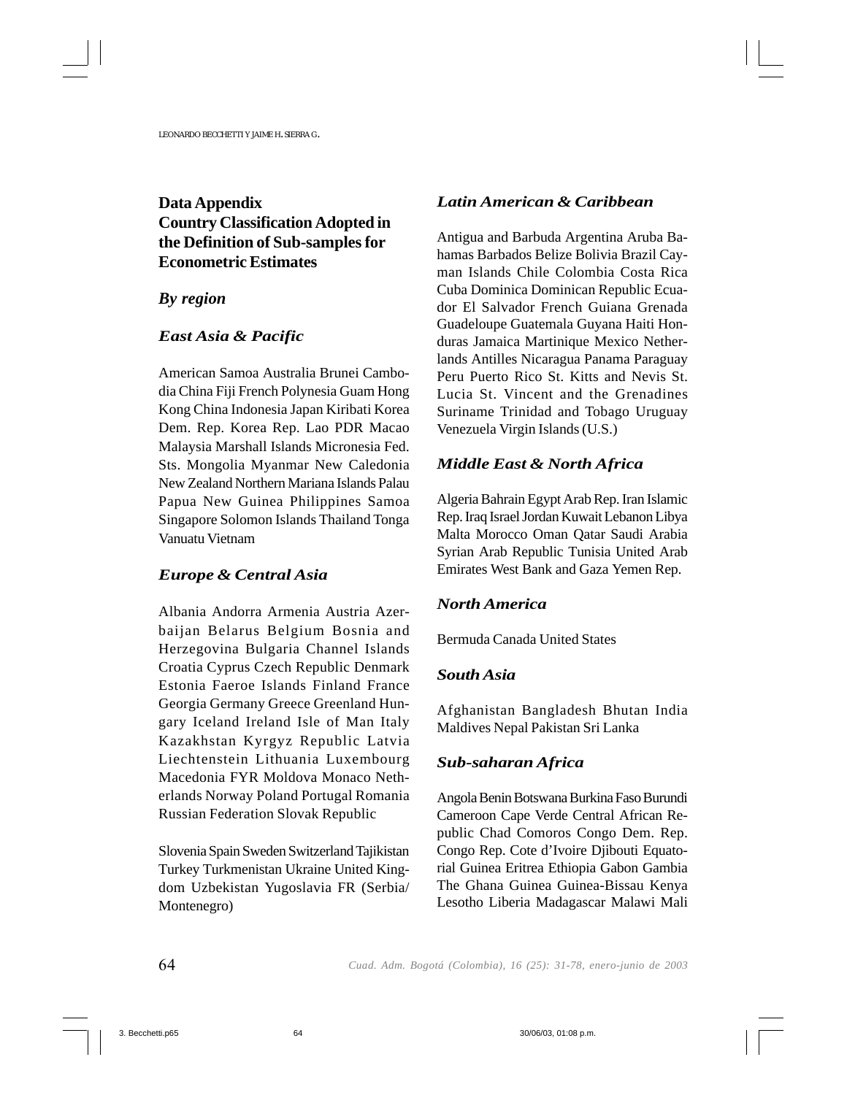# **Data Appendix Country Classification Adopted in the Definition of Sub-samples for Econometric Estimates**

#### *By region*

#### *East Asia & Pacific*

American Samoa Australia Brunei Cambodia China Fiji French Polynesia Guam Hong Kong China Indonesia Japan Kiribati Korea Dem. Rep. Korea Rep. Lao PDR Macao Malaysia Marshall Islands Micronesia Fed. Sts. Mongolia Myanmar New Caledonia New Zealand Northern Mariana Islands Palau Papua New Guinea Philippines Samoa Singapore Solomon Islands Thailand Tonga Vanuatu Vietnam

#### *Europe & Central Asia*

Albania Andorra Armenia Austria Azerbaijan Belarus Belgium Bosnia and Herzegovina Bulgaria Channel Islands Croatia Cyprus Czech Republic Denmark Estonia Faeroe Islands Finland France Georgia Germany Greece Greenland Hungary Iceland Ireland Isle of Man Italy Kazakhstan Kyrgyz Republic Latvia Liechtenstein Lithuania Luxembourg Macedonia FYR Moldova Monaco Netherlands Norway Poland Portugal Romania Russian Federation Slovak Republic

Slovenia Spain Sweden Switzerland Tajikistan Turkey Turkmenistan Ukraine United Kingdom Uzbekistan Yugoslavia FR (Serbia/ Montenegro)

#### *Latin American & Caribbean*

Antigua and Barbuda Argentina Aruba Bahamas Barbados Belize Bolivia Brazil Cayman Islands Chile Colombia Costa Rica Cuba Dominica Dominican Republic Ecuador El Salvador French Guiana Grenada Guadeloupe Guatemala Guyana Haiti Honduras Jamaica Martinique Mexico Netherlands Antilles Nicaragua Panama Paraguay Peru Puerto Rico St. Kitts and Nevis St. Lucia St. Vincent and the Grenadines Suriname Trinidad and Tobago Uruguay Venezuela Virgin Islands (U.S.)

### *Middle East & North Africa*

Algeria Bahrain Egypt Arab Rep. Iran Islamic Rep. Iraq Israel Jordan Kuwait Lebanon Libya Malta Morocco Oman Qatar Saudi Arabia Syrian Arab Republic Tunisia United Arab Emirates West Bank and Gaza Yemen Rep.

#### *North America*

Bermuda Canada United States

#### *South Asia*

Afghanistan Bangladesh Bhutan India Maldives Nepal Pakistan Sri Lanka

#### *Sub-saharan Africa*

Angola Benin Botswana Burkina Faso Burundi Cameroon Cape Verde Central African Republic Chad Comoros Congo Dem. Rep. Congo Rep. Cote d'Ivoire Djibouti Equatorial Guinea Eritrea Ethiopia Gabon Gambia The Ghana Guinea Guinea-Bissau Kenya Lesotho Liberia Madagascar Malawi Mali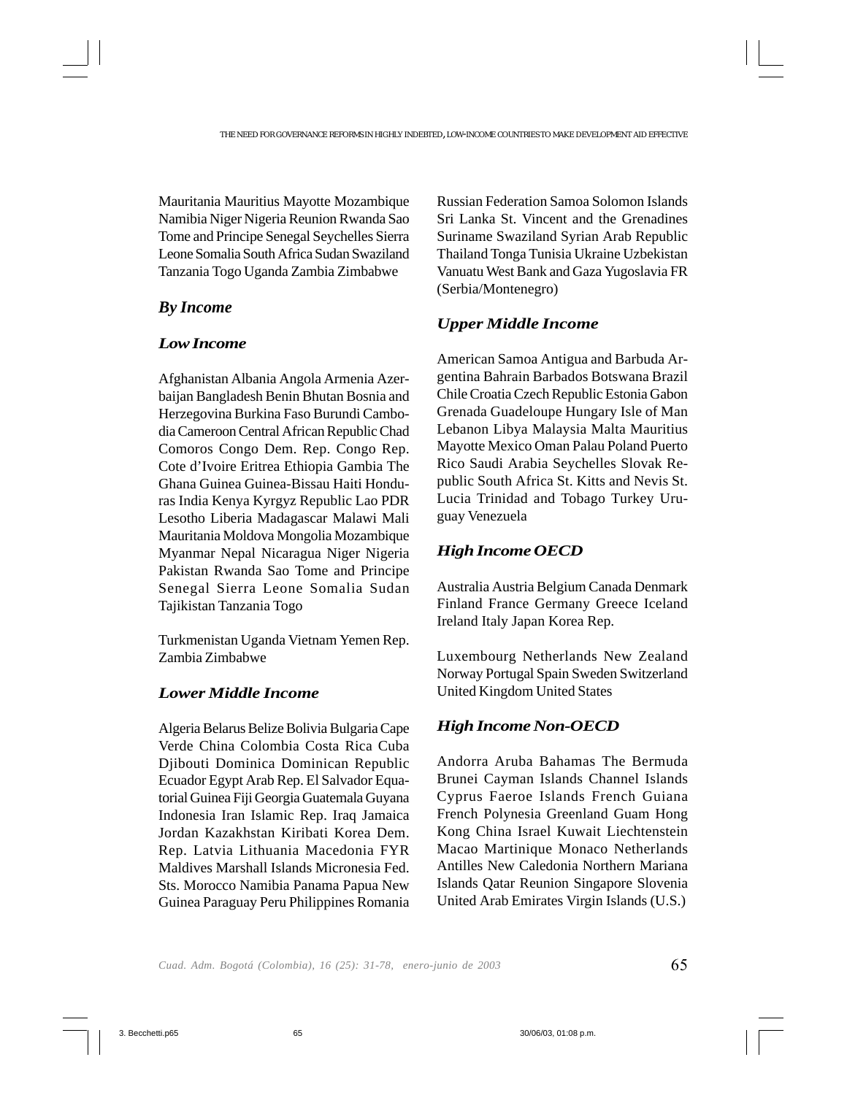Mauritania Mauritius Mayotte Mozambique Namibia Niger Nigeria Reunion Rwanda Sao Tome and Principe Senegal Seychelles Sierra Leone Somalia South Africa Sudan Swaziland Tanzania Togo Uganda Zambia Zimbabwe

### *By Income*

#### *Low Income*

Afghanistan Albania Angola Armenia Azerbaijan Bangladesh Benin Bhutan Bosnia and Herzegovina Burkina Faso Burundi Cambodia Cameroon Central African Republic Chad Comoros Congo Dem. Rep. Congo Rep. Cote d'Ivoire Eritrea Ethiopia Gambia The Ghana Guinea Guinea-Bissau Haiti Honduras India Kenya Kyrgyz Republic Lao PDR Lesotho Liberia Madagascar Malawi Mali Mauritania Moldova Mongolia Mozambique Myanmar Nepal Nicaragua Niger Nigeria Pakistan Rwanda Sao Tome and Principe Senegal Sierra Leone Somalia Sudan Tajikistan Tanzania Togo

Turkmenistan Uganda Vietnam Yemen Rep. Zambia Zimbabwe

### *Lower Middle Income*

Algeria Belarus Belize Bolivia Bulgaria Cape Verde China Colombia Costa Rica Cuba Djibouti Dominica Dominican Republic Ecuador Egypt Arab Rep. El Salvador Equatorial Guinea Fiji Georgia Guatemala Guyana Indonesia Iran Islamic Rep. Iraq Jamaica Jordan Kazakhstan Kiribati Korea Dem. Rep. Latvia Lithuania Macedonia FYR Maldives Marshall Islands Micronesia Fed. Sts. Morocco Namibia Panama Papua New Guinea Paraguay Peru Philippines Romania Russian Federation Samoa Solomon Islands Sri Lanka St. Vincent and the Grenadines Suriname Swaziland Syrian Arab Republic Thailand Tonga Tunisia Ukraine Uzbekistan Vanuatu West Bank and Gaza Yugoslavia FR (Serbia/Montenegro)

### *Upper Middle Income*

American Samoa Antigua and Barbuda Argentina Bahrain Barbados Botswana Brazil Chile Croatia Czech Republic Estonia Gabon Grenada Guadeloupe Hungary Isle of Man Lebanon Libya Malaysia Malta Mauritius Mayotte Mexico Oman Palau Poland Puerto Rico Saudi Arabia Seychelles Slovak Republic South Africa St. Kitts and Nevis St. Lucia Trinidad and Tobago Turkey Uruguay Venezuela

#### *High Income OECD*

Australia Austria Belgium Canada Denmark Finland France Germany Greece Iceland Ireland Italy Japan Korea Rep.

Luxembourg Netherlands New Zealand Norway Portugal Spain Sweden Switzerland United Kingdom United States

### *High Income Non-OECD*

Andorra Aruba Bahamas The Bermuda Brunei Cayman Islands Channel Islands Cyprus Faeroe Islands French Guiana French Polynesia Greenland Guam Hong Kong China Israel Kuwait Liechtenstein Macao Martinique Monaco Netherlands Antilles New Caledonia Northern Mariana Islands Qatar Reunion Singapore Slovenia United Arab Emirates Virgin Islands (U.S.)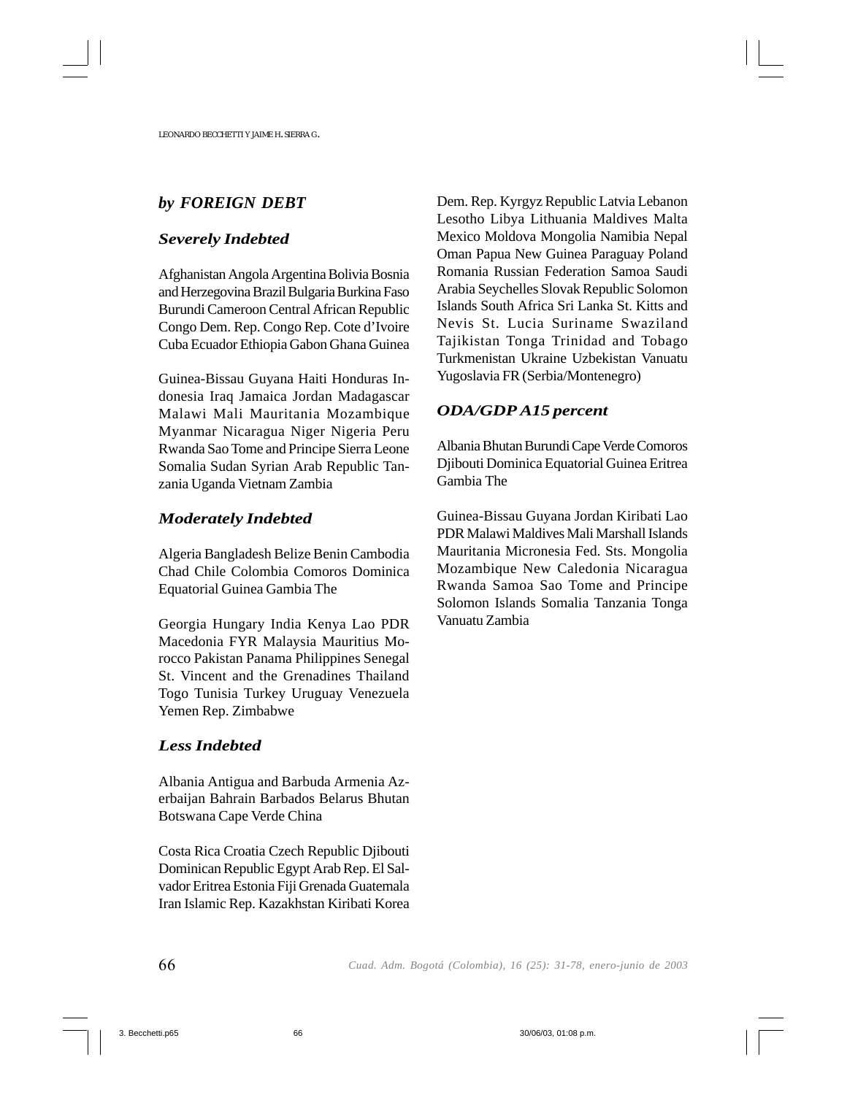# *by FOREIGN DEBT*

#### *Severely Indebted*

Afghanistan Angola Argentina Bolivia Bosnia and Herzegovina Brazil Bulgaria Burkina Faso Burundi Cameroon Central African Republic Congo Dem. Rep. Congo Rep. Cote d'Ivoire Cuba Ecuador Ethiopia Gabon Ghana Guinea

Guinea-Bissau Guyana Haiti Honduras Indonesia Iraq Jamaica Jordan Madagascar Malawi Mali Mauritania Mozambique Myanmar Nicaragua Niger Nigeria Peru Rwanda Sao Tome and Principe Sierra Leone Somalia Sudan Syrian Arab Republic Tanzania Uganda Vietnam Zambia

#### *Moderately Indebted*

Algeria Bangladesh Belize Benin Cambodia Chad Chile Colombia Comoros Dominica Equatorial Guinea Gambia The

Georgia Hungary India Kenya Lao PDR Macedonia FYR Malaysia Mauritius Morocco Pakistan Panama Philippines Senegal St. Vincent and the Grenadines Thailand Togo Tunisia Turkey Uruguay Venezuela Yemen Rep. Zimbabwe

### *Less Indebted*

Albania Antigua and Barbuda Armenia Azerbaijan Bahrain Barbados Belarus Bhutan Botswana Cape Verde China

Costa Rica Croatia Czech Republic Djibouti Dominican Republic Egypt Arab Rep. El Salvador Eritrea Estonia Fiji Grenada Guatemala Iran Islamic Rep. Kazakhstan Kiribati Korea Dem. Rep. Kyrgyz Republic Latvia Lebanon Lesotho Libya Lithuania Maldives Malta Mexico Moldova Mongolia Namibia Nepal Oman Papua New Guinea Paraguay Poland Romania Russian Federation Samoa Saudi Arabia Seychelles Slovak Republic Solomon Islands South Africa Sri Lanka St. Kitts and Nevis St. Lucia Suriname Swaziland Tajikistan Tonga Trinidad and Tobago Turkmenistan Ukraine Uzbekistan Vanuatu Yugoslavia FR (Serbia/Montenegro)

### *ODA/GDP A15 percent*

Albania Bhutan Burundi Cape Verde Comoros Djibouti Dominica Equatorial Guinea Eritrea Gambia The

Guinea-Bissau Guyana Jordan Kiribati Lao PDR Malawi Maldives Mali Marshall Islands Mauritania Micronesia Fed. Sts. Mongolia Mozambique New Caledonia Nicaragua Rwanda Samoa Sao Tome and Principe Solomon Islands Somalia Tanzania Tonga Vanuatu Zambia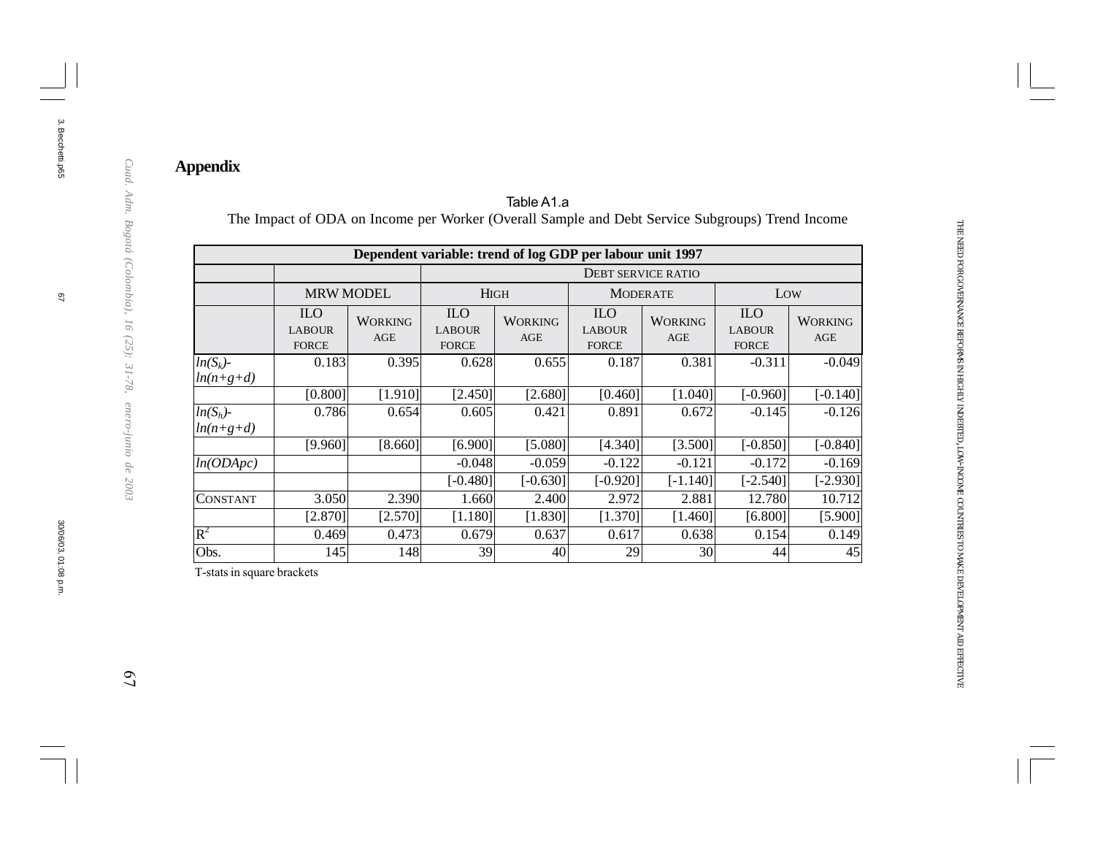# **Appendix**

|                            | Dependent variable: trend of log GDP per labour unit 1997 |                              |                                             |                           |                                             |                       |                                             |                       |  |  |  |  |  |  |
|----------------------------|-----------------------------------------------------------|------------------------------|---------------------------------------------|---------------------------|---------------------------------------------|-----------------------|---------------------------------------------|-----------------------|--|--|--|--|--|--|
|                            |                                                           |                              |                                             | <b>DEBT SERVICE RATIO</b> |                                             |                       |                                             |                       |  |  |  |  |  |  |
|                            | <b>MRW MODEL</b>                                          |                              | <b>HIGH</b>                                 |                           | <b>MODERATE</b>                             |                       | Low                                         |                       |  |  |  |  |  |  |
|                            | <b>ILO</b><br><b>LABOUR</b><br><b>FORCE</b>               | <b>WORKING</b><br><b>AGE</b> | <b>ILO</b><br><b>LABOUR</b><br><b>FORCE</b> | <b>WORKING</b><br>AGE     | <b>ILO</b><br><b>LABOUR</b><br><b>FORCE</b> | <b>WORKING</b><br>AGE | <b>ILO</b><br><b>LABOUR</b><br><b>FORCE</b> | <b>WORKING</b><br>AGE |  |  |  |  |  |  |
| $ln(S_k)$ -<br>$ln(n+g+d)$ | 0.183                                                     | 0.395                        | 0.628                                       | 0.655                     | 0.187                                       | 0.381                 | $-0.311$                                    | $-0.049$              |  |  |  |  |  |  |
|                            | [0.800]                                                   | [1.910]                      | [2.450]                                     | [2.680]                   | [0.460]                                     | [1.040]               | $[-0.960]$                                  | $[-0.140]$            |  |  |  |  |  |  |
| $ln(S_h)$ -<br>$ln(n+g+d)$ | 0.786                                                     | 0.654                        | 0.605                                       | 0.421                     | 0.891                                       | 0.672                 | $-0.145$                                    | $-0.126$              |  |  |  |  |  |  |
|                            | [9.960]                                                   | [8.660]                      | [6.900]                                     | [5.080]                   | [4.340]                                     | [3.500]               | $[-0.850]$                                  | $[-0.840]$            |  |  |  |  |  |  |
| ln(ODApc)                  |                                                           |                              | $-0.048$                                    | $-0.059$                  | $-0.122$                                    | $-0.121$              | $-0.172$                                    | $-0.169$              |  |  |  |  |  |  |
|                            |                                                           |                              | $[-0.480]$                                  | $[-0.630]$                | $[-0.920]$                                  | $[-1.140]$            | $[-2.540]$                                  | $[-2.930]$            |  |  |  |  |  |  |
| CONSTANT                   | 3.050                                                     | 2.390                        | 1.660                                       | 2.400                     | 2.972                                       | 2.881                 | 12.780                                      | 10.712                |  |  |  |  |  |  |
|                            | [2.870]                                                   | [2.570]                      | [1.180]                                     | [1.830]                   | [1.370]                                     | [1.460]               | [6.800]                                     | [5.900]               |  |  |  |  |  |  |
| $R^2$                      | 0.469                                                     | 0.473                        | 0.679                                       | 0.637                     | 0.617                                       | 0.638                 | 0.154                                       | 0.149                 |  |  |  |  |  |  |
| Obs.                       | 145                                                       | 148                          | 39                                          | 40                        | 29                                          | 30                    | 44                                          | 45                    |  |  |  |  |  |  |

#### Table A1.a The Impact of ODA on Income per Worker (Overall Sample and Debt Service Subgroups) Trend Income

T-stats in square brackets

 $\mathcal{Q}$ 

Cuad. Adm. Bogotá (Colombia), 16 (25): 31-78, enero-junio de 2003

3. Becchetti.p65

3. Becchetti.p65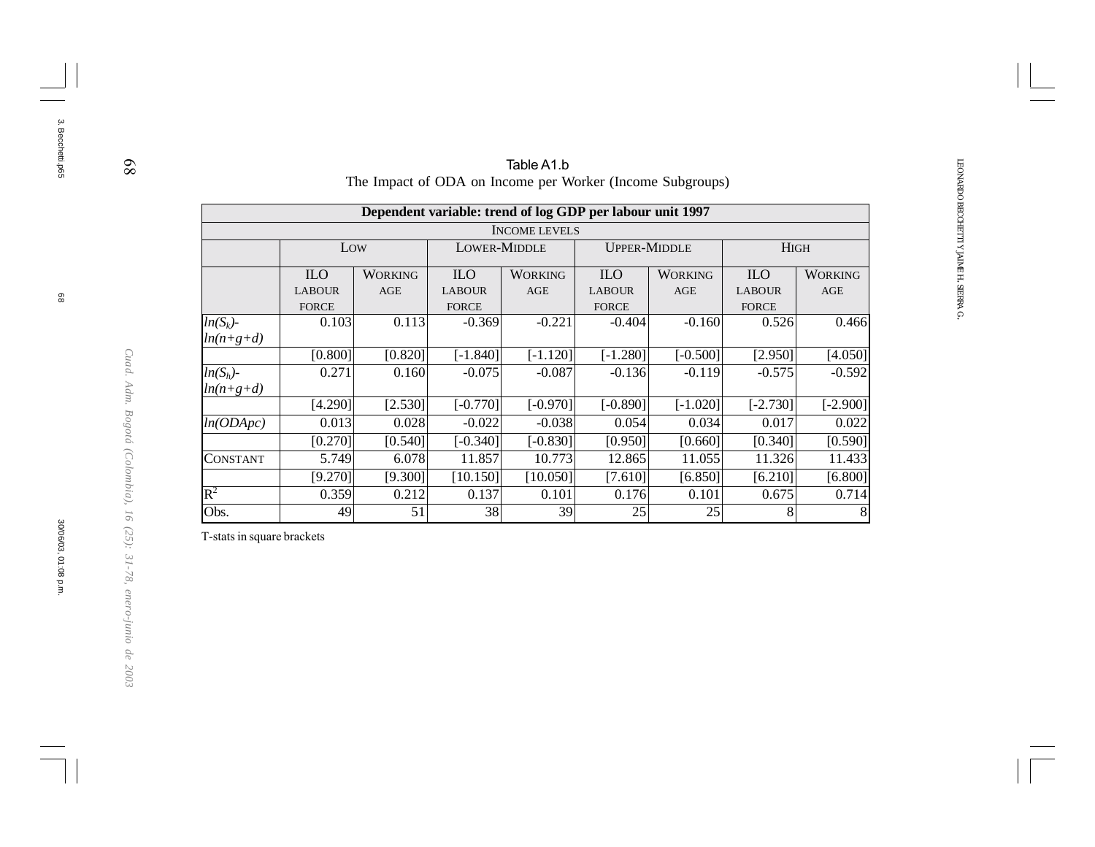|                 |                  |                                                                  |                                                           | Table A1.b           |               |                |               |                |  |  |  |
|-----------------|------------------|------------------------------------------------------------------|-----------------------------------------------------------|----------------------|---------------|----------------|---------------|----------------|--|--|--|
|                 |                  | The Impact of ODA on Income per Worker (Income Subgroups)        |                                                           |                      |               |                |               |                |  |  |  |
|                 |                  |                                                                  | Dependent variable: trend of log GDP per labour unit 1997 |                      |               |                |               |                |  |  |  |
|                 |                  |                                                                  |                                                           | <b>INCOME LEVELS</b> |               |                |               |                |  |  |  |
|                 |                  | <b>LOWER-MIDDLE</b><br><b>HIGH</b><br>Low<br><b>UPPER-MIDDLE</b> |                                                           |                      |               |                |               |                |  |  |  |
|                 | ILO <sub>.</sub> | <b>WORKING</b>                                                   | <b>ILO</b>                                                | <b>WORKING</b>       | <b>ILO</b>    | <b>WORKING</b> | <b>ILO</b>    | <b>WORKING</b> |  |  |  |
|                 | <b>LABOUR</b>    | <b>AGE</b>                                                       | <b>LABOUR</b>                                             | AGE                  | <b>LABOUR</b> | AGE            | <b>LABOUR</b> | AGE            |  |  |  |
|                 | <b>FORCE</b>     |                                                                  | <b>FORCE</b>                                              |                      | <b>FORCE</b>  |                | <b>FORCE</b>  |                |  |  |  |
| $ln(S_k)$ -     | 0.103            | 0.113                                                            | $-0.369$                                                  | $-0.221$             | $-0.404$      | $-0.160$       | 0.526         | 0.466          |  |  |  |
| $ln(n+g+d)$     |                  |                                                                  |                                                           |                      |               |                |               |                |  |  |  |
|                 | [0.800]          | [0.820]                                                          | $[-1.840]$                                                | $[-1.120]$           | $[-1.280]$    | $[-0.500]$     | [2.950]       | [4.050]        |  |  |  |
| $ln(S_h)$ -     | 0.271            | 0.160                                                            | $-0.075$                                                  | $-0.087$             | $-0.136$      | $-0.119$       | $-0.575$      | $-0.592$       |  |  |  |
| $ln(n+g+d)$     |                  |                                                                  |                                                           |                      |               |                |               |                |  |  |  |
|                 | [4.290]          | [2.530]                                                          | $[-0.770]$                                                | $[-0.970]$           | $[-0.890]$    | $[-1.020]$     | $[-2.730]$    | $[-2.900]$     |  |  |  |
| ln(ODApc)       | 0.013            | 0.028                                                            | $-0.022$                                                  | $-0.038$             | 0.054         | 0.034          | 0.017         | 0.022          |  |  |  |
|                 | [0.270]          | [0.540]                                                          | $[-0.340]$                                                | $[-0.830]$           | [0.950]       | [0.660]        | [0.340]       | [0.590]        |  |  |  |
| <b>CONSTANT</b> | 5.749            | 6.078                                                            | 11.857                                                    | 10.773               | 12.865        | 11.055         | 11.326        | 11.433         |  |  |  |
|                 | [9.270]          | [9.300]                                                          | [10.150]                                                  | [10.050]             | $[7.610]$     | [6.850]        | $[6.210]$     | [6.800]        |  |  |  |
| $\rm R^2$       | 0.359            | 0.212                                                            | 0.137                                                     | 0.101                | 0.176         | 0.101          | 0.675         | 0.714          |  |  |  |
| Obs.            | 49               | 51                                                               | 38                                                        | 39                   | 25            | 25             | 8             |                |  |  |  |

T-stats in square brackets

3. Becchetti.p65

3. Becchetti.p65

*Cuad. Adm. Bogotá (Colombia), 16 (25): 31-78, enero-junio de 2003*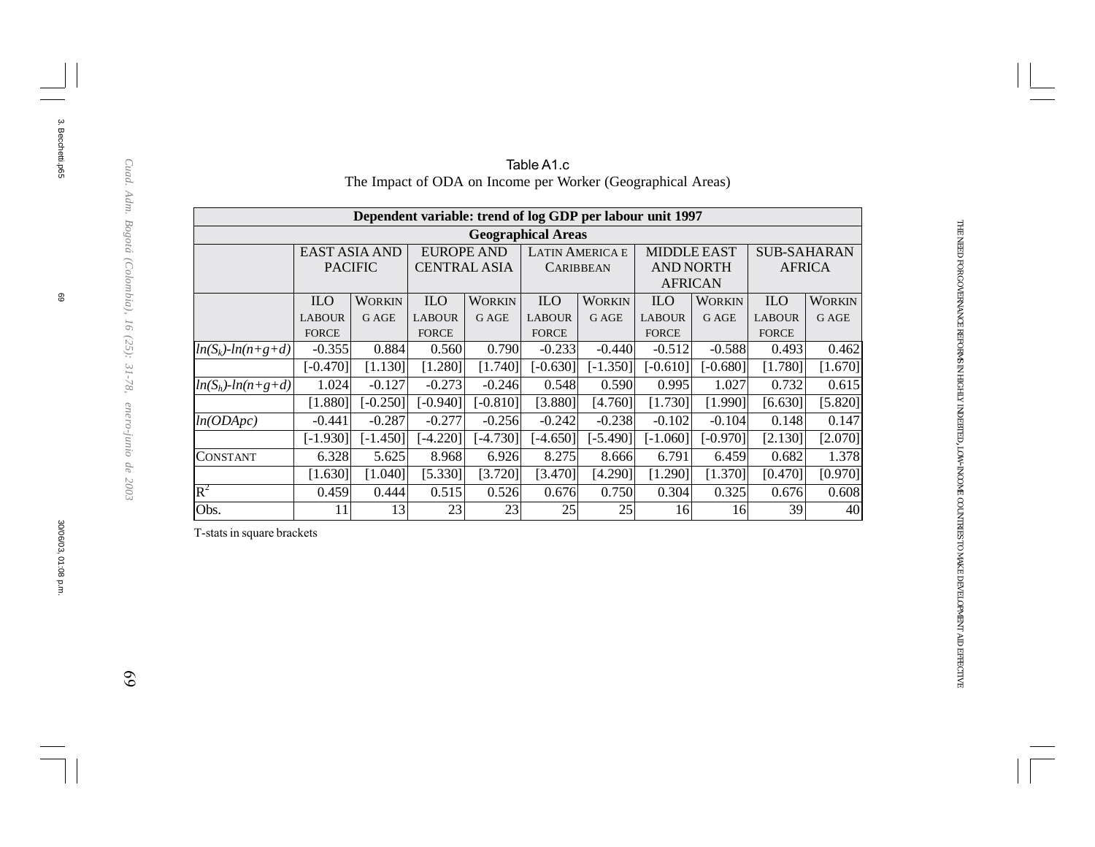|                           | Dependent variable: trend of log GDP per labour unit 1997 |            |                   |                     |                  |                        |                    |                  |                    |               |  |  |  |  |
|---------------------------|-----------------------------------------------------------|------------|-------------------|---------------------|------------------|------------------------|--------------------|------------------|--------------------|---------------|--|--|--|--|
| <b>Geographical Areas</b> |                                                           |            |                   |                     |                  |                        |                    |                  |                    |               |  |  |  |  |
|                           | EAST ASIA AND                                             |            | <b>EUROPE AND</b> |                     |                  | <b>LATIN AMERICA E</b> | <b>MIDDLE EAST</b> |                  | <b>SUB-SAHARAN</b> |               |  |  |  |  |
|                           | <b>PACIFIC</b>                                            |            |                   | <b>CENTRAL ASIA</b> | <b>CARIBBEAN</b> |                        |                    | <b>AND NORTH</b> |                    | <b>AFRICA</b> |  |  |  |  |
|                           |                                                           |            |                   |                     |                  |                        | <b>AFRICAN</b>     |                  |                    |               |  |  |  |  |
|                           | <b>ILO</b>                                                | WORKIN     | <b>ILO</b>        | <b>WORKIN</b>       | <b>ILO</b>       | <b>WORKIN</b>          | <b>ILO</b>         | <b>WORKIN</b>    | <b>ILO</b>         | <b>WORKIN</b> |  |  |  |  |
|                           | <b>LABOUR</b>                                             | G AGE      | <b>LABOUR</b>     | <b>G AGE</b>        | <b>LABOUR</b>    | <b>GAGE</b>            | <b>LABOUR</b>      | G AGE            | <b>LABOUR</b>      | G AGE         |  |  |  |  |
|                           | <b>FORCE</b>                                              |            | <b>FORCE</b>      |                     | <b>FORCE</b>     |                        | <b>FORCE</b>       |                  | <b>FORCE</b>       |               |  |  |  |  |
| $ln(S_k)$ - $ln(n+g+d)$   | $-0.355$                                                  | 0.884      | 0.560             | 0.790               | $-0.233$         | $-0.440$               | $-0.512$           | $-0.588$         | 0.493              | 0.462         |  |  |  |  |
|                           | $[-0.470]$                                                | [1.130]    | [1.280]           | [1.740]             | $[-0.630]$       | $[-1.350]$             | $[-0.610]$         | $[-0.680]$       | [1.780]            | [1.670]       |  |  |  |  |
| $ln(S_h)$ - $ln(n+g+d)$   | 1.024                                                     | $-0.127$   | $-0.273$          | $-0.246$            | 0.548            | 0.590                  | 0.995              | 1.027            | 0.732              | 0.615         |  |  |  |  |
|                           | [1.880]                                                   | $[-0.250]$ | $[-0.940]$        | $[-0.810]$          | [3.880]          | [4.760]                | [1.730]            | [1.990]          | [6.630]            | [5.820]       |  |  |  |  |
| ln(ODApc)                 | $-0.441$                                                  | $-0.287$   | $-0.277$          | $-0.256$            | $-0.242$         | $-0.238$               | $-0.102$           | $-0.104$         | 0.148              | 0.147         |  |  |  |  |
|                           | $[-1.930]$                                                | $[-1.450]$ | $[-4.220]$        | $[-4.730]$          | [-4.650]]        | $[-5.490]$             | $[-1.060]$         | $[-0.970]$       | [2.130]            | [2.070]       |  |  |  |  |
| CONSTANT                  | 6.328                                                     | 5.625      | 8.968             | 6.926               | 8.275            | 8.666                  | 6.791              | 6.459            | 0.682              | 1.378         |  |  |  |  |
|                           | [1.630]                                                   | [1.040]    | [5.330]           | [3.720]             | [3.470]          | [4.290]                | [1.290]            | [1.370]          | [0.470]            | [0.970]       |  |  |  |  |
| $\overline{\mathrm{R}}^2$ | 0.459                                                     | 0.444      | 0.515             | 0.526               | 0.676            | 0.750                  | 0.304              | 0.325            | 0.676              | 0.608         |  |  |  |  |
| Obs.                      | 11                                                        | 13         | 23                | 23                  | 25               | 25                     | 16                 | 16               | 39                 | 40            |  |  |  |  |

#### Table A1.c The Impact of ODA on Income per Worker (Geographical Areas)

THE NEED FOR

GOVERNANCE

REFORMS IN HIGHLY

INDEBTED, LOW-INCOME

COUNTRIES TO MAKE

DEVELOPMENT

AID

EFFECTIVE

T-stats in square brackets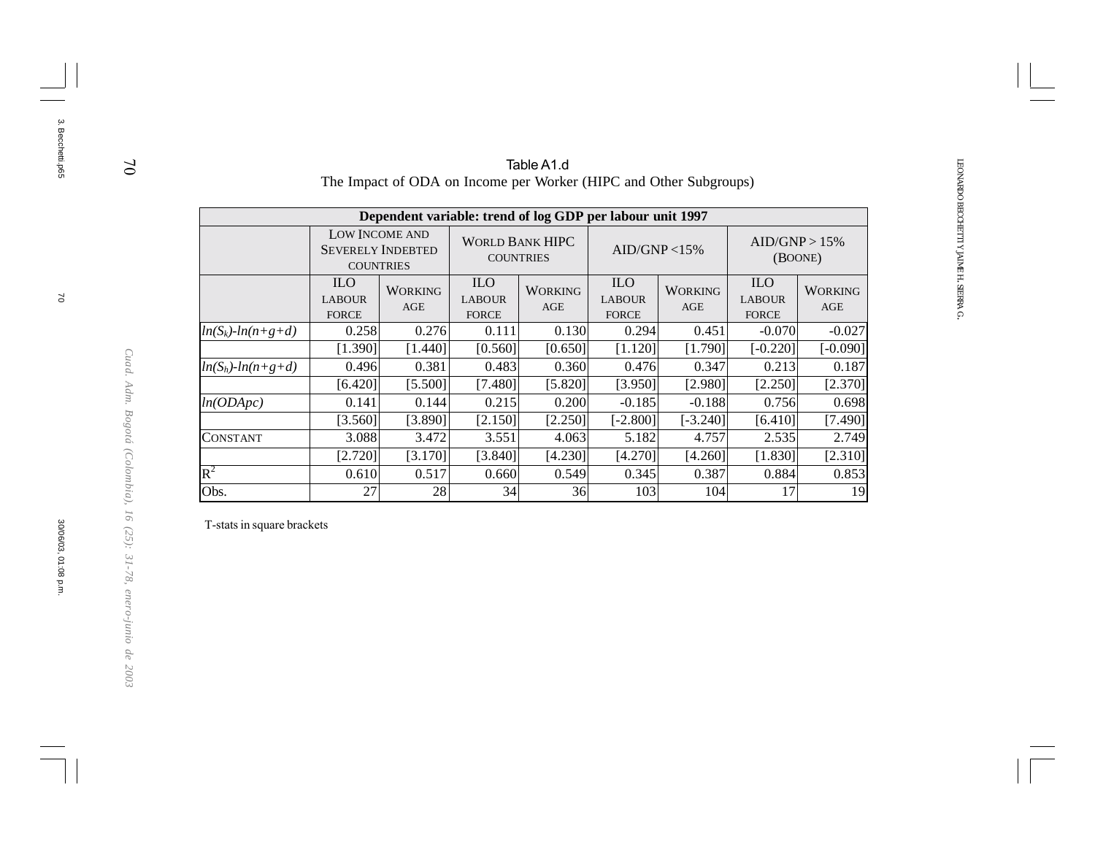|                         |                                             |                                                                |                                             | Table A1.d             |                                                   | The Impact of ODA on Income per Worker (HIPC and Other Subgroups) |                                             |                       |  |
|-------------------------|---------------------------------------------|----------------------------------------------------------------|---------------------------------------------|------------------------|---------------------------------------------------|-------------------------------------------------------------------|---------------------------------------------|-----------------------|--|
|                         |                                             | Dependent variable: trend of log GDP per labour unit 1997      |                                             |                        |                                                   |                                                                   |                                             |                       |  |
|                         |                                             | LOW INCOME AND<br><b>SEVERELY INDEBTED</b><br><b>COUNTRIES</b> | <b>COUNTRIES</b>                            | <b>WORLD BANK HIPC</b> |                                                   | AID/GNP < 15%                                                     | AID/GNP > 15%<br>(BOONE)                    |                       |  |
|                         | <b>ILO</b><br><b>LABOUR</b><br><b>FORCE</b> | <b>WORKING</b><br>AGE                                          | <b>ILO</b><br><b>LABOUR</b><br><b>FORCE</b> | <b>WORKING</b><br>AGE  | ILO <sub>1</sub><br><b>LABOUR</b><br><b>FORCE</b> | <b>WORKING</b><br>AGE                                             | <b>ILO</b><br><b>LABOUR</b><br><b>FORCE</b> | <b>WORKING</b><br>AGE |  |
| $ln(S_k)$ - $ln(n+g+d)$ | 0.258                                       | 0.276                                                          | 0.111                                       | 0.130                  | 0.294                                             | 0.451                                                             | $-0.070$                                    | $-0.027$              |  |
|                         | [1.390]                                     | [1.440]                                                        | [0.560]                                     | [0.650]                | [1.120]                                           | [1.790]                                                           | $[-0.220]$                                  | $[-0.090]$            |  |
| $ln(S_h)$ - $ln(n+g+d)$ | 0.496                                       | 0.381                                                          | 0.483                                       | 0.360                  | 0.476                                             | 0.347                                                             | 0.213                                       | 0.187                 |  |
|                         | [6.420]                                     | [5.500]                                                        | [7.480]                                     | [5.820]                | [3.950]                                           | [2.980]                                                           | [2.250]                                     | [2.370]               |  |
| ln(ODApc)               | 0.141                                       | 0.144                                                          | 0.215                                       | 0.200                  | $-0.185$                                          | $-0.188$                                                          | 0.756                                       | 0.698                 |  |
|                         | [3.560]                                     | [3.890]                                                        | [2.150]                                     | [2.250]                | $[-2.800]$                                        | $[-3.240]$                                                        | [6.410]                                     | [7.490]               |  |
| <b>CONSTANT</b>         | 3.088                                       | 3.472                                                          | 3.551                                       | 4.063                  | 5.182                                             | 4.757                                                             | 2.535                                       | 2.749                 |  |
|                         | [2.720]                                     | [3.170]                                                        | [3.840]                                     | [4.230]                | [4.270]                                           | [4.260]                                                           | [1.830]                                     | [2.310]               |  |
| $\mathbf{R}^2$          | 0.610                                       | 0.517                                                          | 0.660                                       | 0.549                  | 0.345                                             | 0.387                                                             | 0.884                                       | 0.853                 |  |
| Obs.                    | 27                                          | 28                                                             | 34                                          | 36                     | 103                                               | 104                                                               | 17                                          | 19                    |  |

T-stats in square brackets

70

3. Becchetti.p65

3. Becchetti.p65

*Cuad. Adm. Bogotá (Colombia), 16 (25): 31-78, enero-junio de 2003*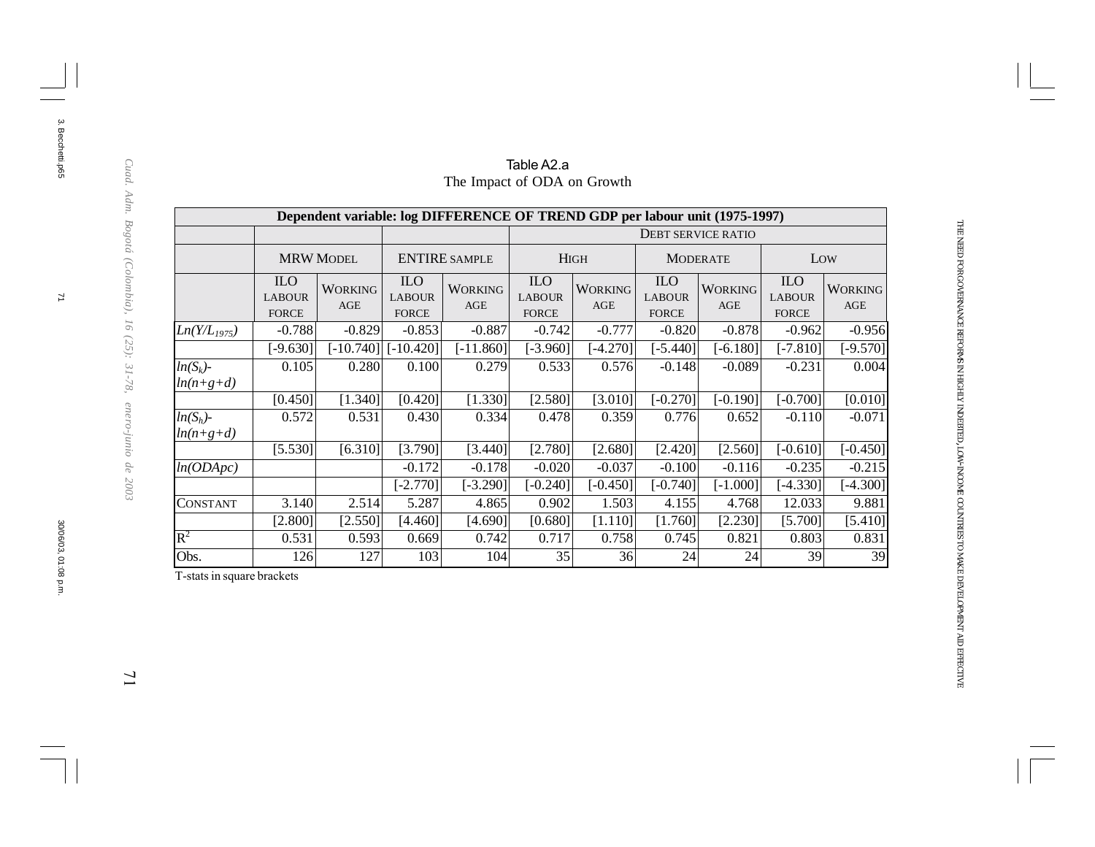|                            |                                             |                       |                                             | Dependent variable: log DIFFERENCE OF TREND GDP per labour unit (1975-1997) |                                             |                       |                                             |                              |                                             |                       |
|----------------------------|---------------------------------------------|-----------------------|---------------------------------------------|-----------------------------------------------------------------------------|---------------------------------------------|-----------------------|---------------------------------------------|------------------------------|---------------------------------------------|-----------------------|
|                            |                                             |                       |                                             |                                                                             |                                             |                       |                                             | <b>DEBT SERVICE RATIO</b>    |                                             |                       |
|                            |                                             | <b>MRW MODEL</b>      |                                             | <b>ENTIRE SAMPLE</b>                                                        |                                             | <b>HIGH</b>           |                                             | <b>MODERATE</b>              |                                             | Low                   |
|                            | <b>ILO</b><br><b>LABOUR</b><br><b>FORCE</b> | <b>WORKING</b><br>AGE | <b>ILO</b><br><b>LABOUR</b><br><b>FORCE</b> | <b>WORKING</b><br>AGE                                                       | <b>ILO</b><br><b>LABOUR</b><br><b>FORCE</b> | <b>WORKING</b><br>AGE | <b>ILO</b><br><b>LABOUR</b><br><b>FORCE</b> | <b>WORKING</b><br><b>AGE</b> | <b>ILO</b><br><b>LABOUR</b><br><b>FORCE</b> | <b>WORKING</b><br>AGE |
| $Ln(Y/L_{1975})$           | $-0.788$                                    | $-0.829$              | $-0.853$                                    | $-0.887$                                                                    | $-0.742$                                    | $-0.777$              | $-0.820$                                    | $-0.878$                     | $-0.962$                                    | $-0.956$              |
|                            | $[-9.630]$                                  | $[-10.740]$           | $[-10.420]$                                 | $[-11.860]$                                                                 | $[-3.960]$                                  | $[-4.270]$            | $[-5.440]$                                  | $[-6.180]$                   | $[-7.810]$                                  | $[-9.570]$            |
| $ln(S_k)$ -<br>$ln(n+g+d)$ | 0.105                                       | 0.280                 | 0.100                                       | 0.279                                                                       | 0.533                                       | 0.576                 | $-0.148$                                    | $-0.089$                     | $-0.231$                                    | 0.004                 |
|                            | [0.450]                                     | [1.340]               | [0.420]                                     | [1.330]                                                                     | [2.580]                                     | [3.010]               | $[-0.270]$                                  | $[-0.190]$                   | $[-0.700]$                                  | [0.010]               |
| $ln(S_h)$ -<br>$ln(n+g+d)$ | 0.572                                       | 0.531                 | 0.430                                       | 0.334                                                                       | 0.478                                       | 0.359                 | 0.776                                       | 0.652                        | $-0.110$                                    | $-0.071$              |
|                            | [5.530]                                     | [6.310]               | [3.790]                                     | [3.440]                                                                     | [2.780]                                     | [2.680]               | [2.420]                                     | [2.560]                      | $[-0.610]$                                  | $[-0.450]$            |
| ln(ODApc)                  |                                             |                       | $-0.172$                                    | $-0.178$                                                                    | $-0.020$                                    | $-0.037$              | $-0.100$                                    | $-0.116$                     | $-0.235$                                    | $-0.215$              |
|                            |                                             |                       | $[-2.770]$                                  | $[-3.290]$                                                                  | $[-0.240]$                                  | $[-0.450]$            | $[-0.740]$                                  | $[-1.000]$                   | $[-4.330]$                                  | $[-4.300]$            |
| <b>CONSTANT</b>            | 3.140                                       | 2.514                 | 5.287                                       | 4.865                                                                       | 0.902                                       | 1.503                 | 4.155                                       | 4.768                        | 12.033                                      | 9.881                 |
|                            | [2.800]                                     | [2.550]               | [4.460]                                     | [4.690]                                                                     | [0.680]                                     | [1.110]               | [1.760]                                     | [2.230]                      | [5.700]                                     | [5.410]               |
| $\rm R^2$                  | 0.531                                       | 0.593                 | 0.669                                       | 0.742                                                                       | 0.717                                       | 0.758                 | 0.745                                       | 0.821                        | 0.803                                       | 0.831                 |
| Obs.                       | 126                                         | 127                   | 103                                         | 104                                                                         | 35                                          | 36                    | 24                                          | 24                           | 39                                          | 39                    |

### Table A2.a The Impact of ODA on Growth

THE NEED FOR

GOVERNANCE

REFORMS IN HIGHLY

INDEBTED, LOW-INCOME

COUNTRIES TO MAKE

DEVELOPMENT

AID

EFFECTIVE

T-stats in square brackets

3. Becchetti.p65

 $\mathbb Z$ 

3. Becchetti.p65

 $\overline{11}$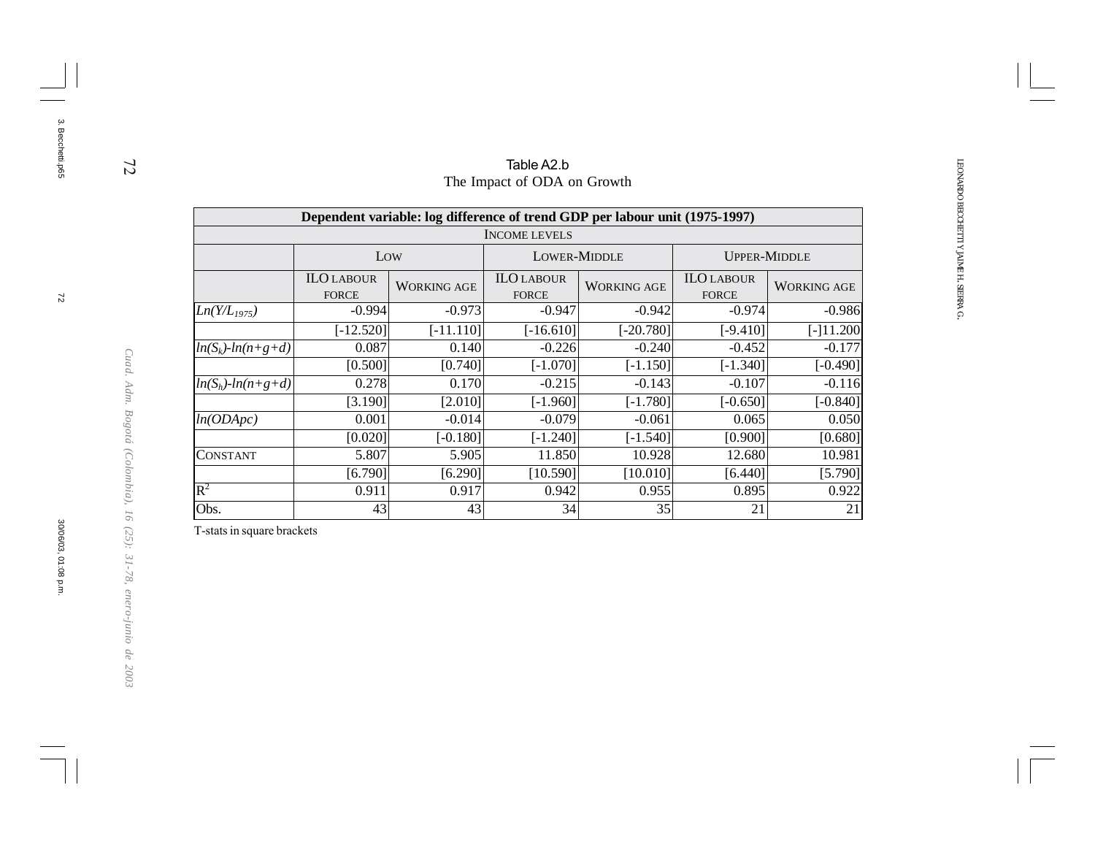|                         | Table A2.b                        |                                                                             |                                   |                    |                                   |                    |  |  |  |  |  |  |
|-------------------------|-----------------------------------|-----------------------------------------------------------------------------|-----------------------------------|--------------------|-----------------------------------|--------------------|--|--|--|--|--|--|
|                         |                                   |                                                                             | The Impact of ODA on Growth       |                    |                                   |                    |  |  |  |  |  |  |
|                         |                                   | Dependent variable: log difference of trend GDP per labour unit (1975-1997) |                                   |                    |                                   |                    |  |  |  |  |  |  |
|                         |                                   |                                                                             | <b>INCOME LEVELS</b>              |                    |                                   |                    |  |  |  |  |  |  |
|                         |                                   | Low                                                                         | <b>LOWER-MIDDLE</b>               |                    | <b>UPPER-MIDDLE</b>               |                    |  |  |  |  |  |  |
|                         | <b>ILO LABOUR</b><br><b>FORCE</b> | <b>WORKING AGE</b>                                                          | <b>ILO LABOUR</b><br><b>FORCE</b> | <b>WORKING AGE</b> | <b>ILO LABOUR</b><br><b>FORCE</b> | <b>WORKING AGE</b> |  |  |  |  |  |  |
| $Ln(Y/L_{1975})$        | $-0.994$                          | $-0.973$                                                                    | $-0.947$                          | $-0.942$           | $-0.974$                          | $-0.986$           |  |  |  |  |  |  |
|                         | $[-12.520]$                       | $[-11.110]$                                                                 | $[-16.610]$                       | $[-20.780]$        | $[-9.410]$                        | $[-]11.200$        |  |  |  |  |  |  |
| $ln(S_k)$ - $ln(n+g+d)$ | 0.087                             | 0.140                                                                       | $-0.226$                          | $-0.240$           | $-0.452$                          | $-0.177$           |  |  |  |  |  |  |
|                         | [0.500]                           | [0.740]                                                                     | $[-1.070]$                        | $[-1.150]$         | $[-1.340]$                        | $[-0.490]$         |  |  |  |  |  |  |
| $ln(S_h)$ - $ln(n+g+d)$ | 0.278                             | 0.170                                                                       | $-0.215$                          | $-0.143$           | $-0.107$                          | $-0.116$           |  |  |  |  |  |  |
|                         | [3.190]                           | [2.010]                                                                     | $[ -1.960]$                       | $[-1.780]$         | $[-0.650]$                        | $[-0.840]$         |  |  |  |  |  |  |
| ln(ODApc)               | 0.001                             | $-0.014$                                                                    | $-0.079$                          | $-0.061$           | 0.065                             | 0.050              |  |  |  |  |  |  |
|                         | [0.020]                           | $[-0.180]$                                                                  | $[-1.240]$                        | $[-1.540]$         | [0.900]                           | [0.680]            |  |  |  |  |  |  |
| <b>CONSTANT</b>         | 5.807                             | 5.905                                                                       | 11.850                            | 10.928             | 12.680                            | 10.981             |  |  |  |  |  |  |
|                         | [6.790]                           | [6.290]                                                                     | [10.590]                          | [10.010]           | [6.440]                           | [5.790]            |  |  |  |  |  |  |
| $\mathbf{R}^2$          | 0.911                             | 0.917                                                                       | 0.942                             | 0.955              | 0.895                             | 0.922              |  |  |  |  |  |  |
| Obs.                    | 43                                | 43                                                                          | 34                                | 35                 | 21                                | 21                 |  |  |  |  |  |  |
|                         |                                   |                                                                             |                                   |                    |                                   |                    |  |  |  |  |  |  |

T-stats in square brackets

3. Becchetti.p65

3. Becchetti.p65

30/06/03, 01:08 p.m.

*Cuad. Adm. Bogotá (Colombia), 16 (25): 31-78, enero-junio de 2003*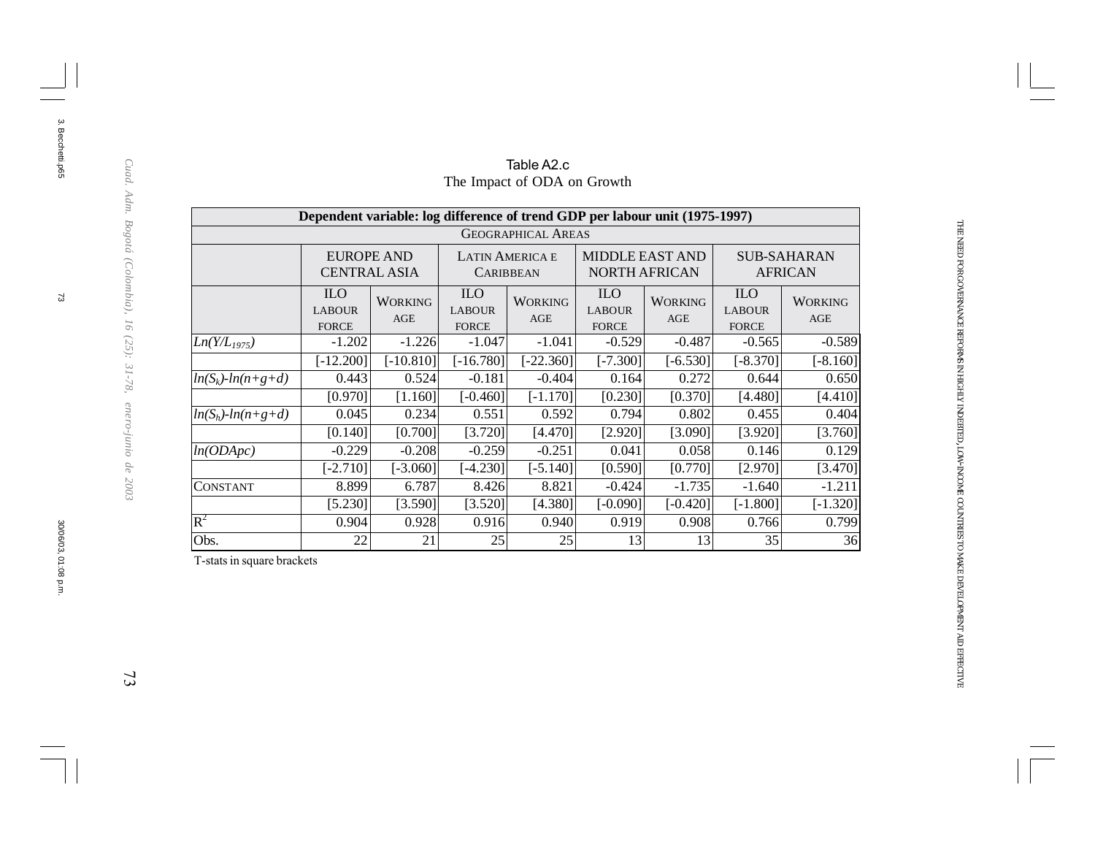|                         | Dependent variable: log difference of trend GDP per labour unit (1975-1997) |                       |                                             |                           |                                                |                       |                                             |                       |  |  |
|-------------------------|-----------------------------------------------------------------------------|-----------------------|---------------------------------------------|---------------------------|------------------------------------------------|-----------------------|---------------------------------------------|-----------------------|--|--|
|                         |                                                                             |                       |                                             | <b>GEOGRAPHICAL AREAS</b> |                                                |                       |                                             |                       |  |  |
|                         | <b>EUROPE AND</b>                                                           | <b>CENTRAL ASIA</b>   | <b>LATIN AMERICA E</b><br><b>CARIBBEAN</b>  |                           | <b>MIDDLE EAST AND</b><br><b>NORTH AFRICAN</b> |                       | <b>SUB-SAHARAN</b><br><b>AFRICAN</b>        |                       |  |  |
|                         | <b>ILO</b><br><b>LABOUR</b><br><b>FORCE</b>                                 | <b>WORKING</b><br>AGE | <b>ILO</b><br><b>LABOUR</b><br><b>FORCE</b> | <b>WORKING</b><br>AGE     | <b>ILO</b><br><b>LABOUR</b><br><b>FORCE</b>    | <b>WORKING</b><br>AGE | <b>ILO</b><br><b>LABOUR</b><br><b>FORCE</b> | <b>WORKING</b><br>AGE |  |  |
| $Ln(Y/L_{1975})$        | $-1.202$                                                                    | $-1.226$              | $-1.047$                                    | $-1.041$                  | $-0.529$                                       | $-0.487$              | $-0.565$                                    | $-0.589$              |  |  |
|                         | $[-12.200]$                                                                 | $[-10.810]$           | $[-16.780]$                                 | $[-22.360]$               | $[-7.300]$                                     | $[-6.530]$            | $[-8.370]$                                  | $[-8.160]$            |  |  |
| $ln(S_k)$ - $ln(n+g+d)$ | 0.443                                                                       | 0.524                 | $-0.181$                                    | $-0.404$                  | 0.164                                          | 0.272                 | 0.644                                       | 0.650                 |  |  |
|                         | [0.970]                                                                     | [1.160]               | $[-0.460]$                                  | $[-1.170]$                | [0.230]                                        | [0.370]               | [4.480]                                     | [4.410]               |  |  |
| $ln(S_h)$ - $ln(n+g+d)$ | 0.045                                                                       | 0.234                 | 0.551                                       | 0.592                     | 0.794                                          | 0.802                 | 0.455                                       | 0.404                 |  |  |
|                         | [0.140]                                                                     | [0.700]               | [3.720]                                     | [4.470]                   | [2.920]                                        | [3.090]               | [3.920]                                     | [3.760]               |  |  |
| ln(ODApc)               | $-0.229$                                                                    | $-0.208$              | $-0.259$                                    | $-0.251$                  | 0.041                                          | 0.058                 | 0.146                                       | 0.129                 |  |  |
|                         | $[-2.710]$                                                                  | [-3.060]              | $[-4.230]$                                  | $[-5.140]$                | [0.590]                                        | [0.770]               | [2.970]                                     | [3.470]               |  |  |
| CONSTANT                | 8.899                                                                       | 6.787                 | 8.426                                       | 8.821                     | $-0.424$                                       | $-1.735$              | $-1.640$                                    | $-1.211$              |  |  |
|                         | [5.230]                                                                     | [3.590]               | [3.520]                                     | [4.380]                   | $[-0.090]$                                     | $[-0.420]$            | $[-1.800]$                                  | $[-1.320]$            |  |  |
| $R^2$                   | 0.904                                                                       | 0.928                 | 0.916                                       | 0.940                     | 0.919                                          | 0.908                 | 0.766                                       | 0.799                 |  |  |
| Obs.                    | 22                                                                          | 21                    | 25                                          | 25                        | 13                                             | 13                    | 35                                          | 36                    |  |  |

#### Table A2.c The Impact of ODA on Growth

T-stats in square brackets

Cuad. Adm. Bogotá (Colombia), 16 (25): 31-78, enero-junio de 2003

3. Becchetti.p65

 $\mathfrak{B}$ 

3. Becchetti.p65

THE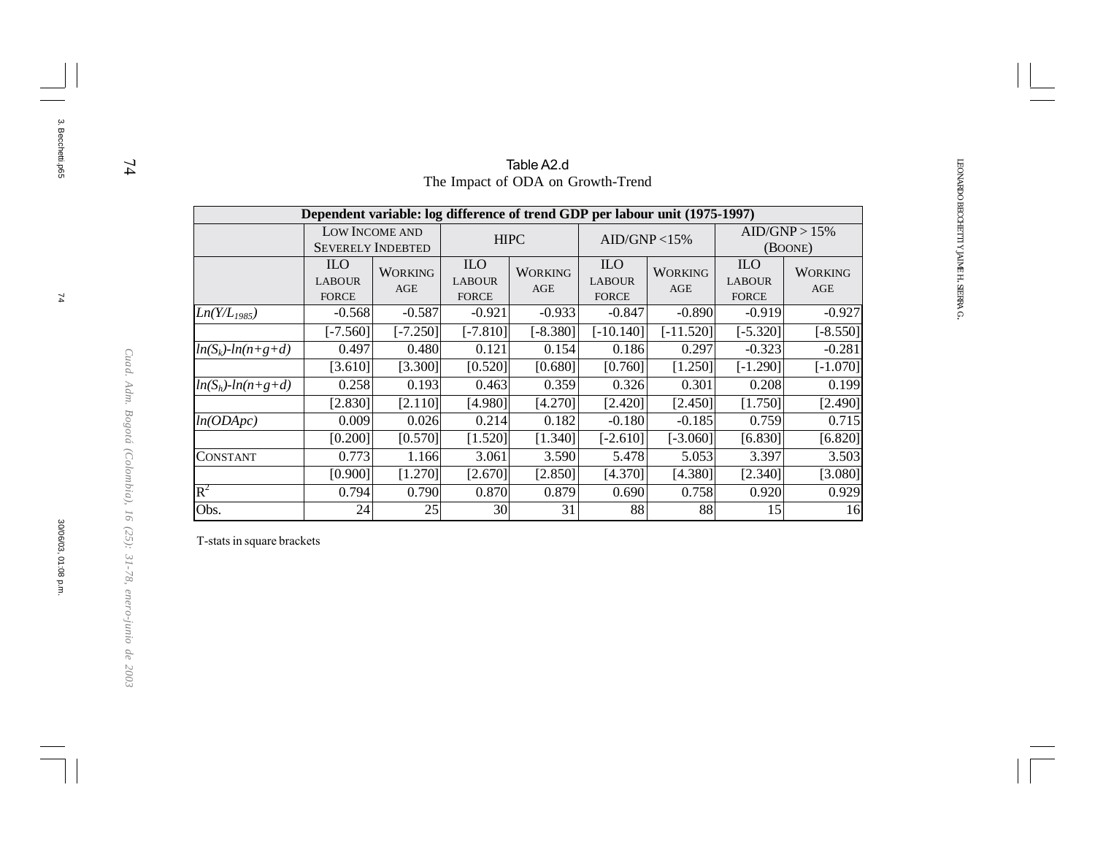|                         | Table A2.d                                                                  |                                            |                                             |                                   |                                             |                       |                                             |                          |  |  |  |  |
|-------------------------|-----------------------------------------------------------------------------|--------------------------------------------|---------------------------------------------|-----------------------------------|---------------------------------------------|-----------------------|---------------------------------------------|--------------------------|--|--|--|--|
|                         |                                                                             |                                            |                                             | The Impact of ODA on Growth-Trend |                                             |                       |                                             |                          |  |  |  |  |
|                         | Dependent variable: log difference of trend GDP per labour unit (1975-1997) |                                            |                                             |                                   |                                             |                       |                                             |                          |  |  |  |  |
|                         |                                                                             | LOW INCOME AND<br><b>SEVERELY INDEBTED</b> | <b>HIPC</b>                                 |                                   | AID/GNP < 15%                               |                       |                                             | AID/GNP > 15%<br>(BOONE) |  |  |  |  |
|                         | <b>ILO</b><br><b>LABOUR</b><br><b>FORCE</b>                                 | <b>WORKING</b><br><b>AGE</b>               | <b>ILO</b><br><b>LABOUR</b><br><b>FORCE</b> | <b>WORKING</b><br>AGE             | <b>ILO</b><br><b>LABOUR</b><br><b>FORCE</b> | <b>WORKING</b><br>AGE | <b>ILO</b><br><b>LABOUR</b><br><b>FORCE</b> | <b>WORKING</b><br>AGE    |  |  |  |  |
| $Ln(Y/L_{1985})$        | $-0.568$                                                                    | $-0.587$                                   | $-0.921$                                    | $-0.933$                          | $-0.847$                                    | $-0.890$              | $-0.919$                                    | $-0.927$                 |  |  |  |  |
|                         | $[-7.560]$                                                                  | $[-7.250]$                                 | $[-7.810]$                                  | $[-8.380]$                        | $[-10.140]$                                 | $[-11.520]$           | $[-5.320]$                                  | $[-8.550]$               |  |  |  |  |
| $ln(S_k)$ - $ln(n+g+d)$ | 0.497                                                                       | 0.480                                      | 0.121                                       | 0.154                             | 0.186                                       | 0.297                 | $-0.323$                                    | $-0.281$                 |  |  |  |  |
|                         | [3.610]                                                                     | [3.300]                                    | [0.520]                                     | [0.680]                           | [0.760]                                     | [1.250]               | $[-1.290]$                                  | $[-1.070]$               |  |  |  |  |
| $ln(S_h)$ - $ln(n+g+d)$ | 0.258                                                                       | 0.193                                      | 0.463                                       | 0.359                             | 0.326                                       | 0.301                 | 0.208                                       | 0.199                    |  |  |  |  |
|                         | [2.830]                                                                     | [2.110]                                    | [4.980]                                     | [4.270]                           | [2.420]                                     | [2.450]               | [1.750]                                     | [2.490]                  |  |  |  |  |
| ln(ODApc)               | 0.009                                                                       | 0.026                                      | 0.214                                       | 0.182                             | $-0.180$                                    | $-0.185$              | 0.759                                       | 0.715                    |  |  |  |  |
|                         | [0.200]                                                                     | [0.570]                                    | [1.520]                                     | [1.340]                           | $[-2.610]$                                  | $[-3.060]$            | [6.830]                                     | [6.820]                  |  |  |  |  |
| <b>CONSTANT</b>         | 0.773                                                                       | 1.166                                      | 3.061                                       | 3.590                             | 5.478                                       | 5.053                 | 3.397                                       | 3.503                    |  |  |  |  |
|                         | [0.900]                                                                     | [1.270]                                    | [2.670]                                     | [2.850]                           | [4.370]                                     | [4.380]               | [2.340]                                     | [3.080]                  |  |  |  |  |
| $\mathbb{R}^2$          | 0.794                                                                       | 0.790                                      | 0.870                                       | 0.879                             | 0.690                                       | 0.758                 | 0.920                                       | 0.929                    |  |  |  |  |
| Obs.                    | 24                                                                          | 25                                         | 30                                          | 31                                | 88                                          | 88                    | 15                                          | 16                       |  |  |  |  |

T-stats in square brackets

3. Becchetti.p65

3. Becchetti.p65

30/06/03, 01:08 p.m.

*Cuad. Adm. Bogotá (Colombia), 16 (25): 31-78, enero-junio de 2003*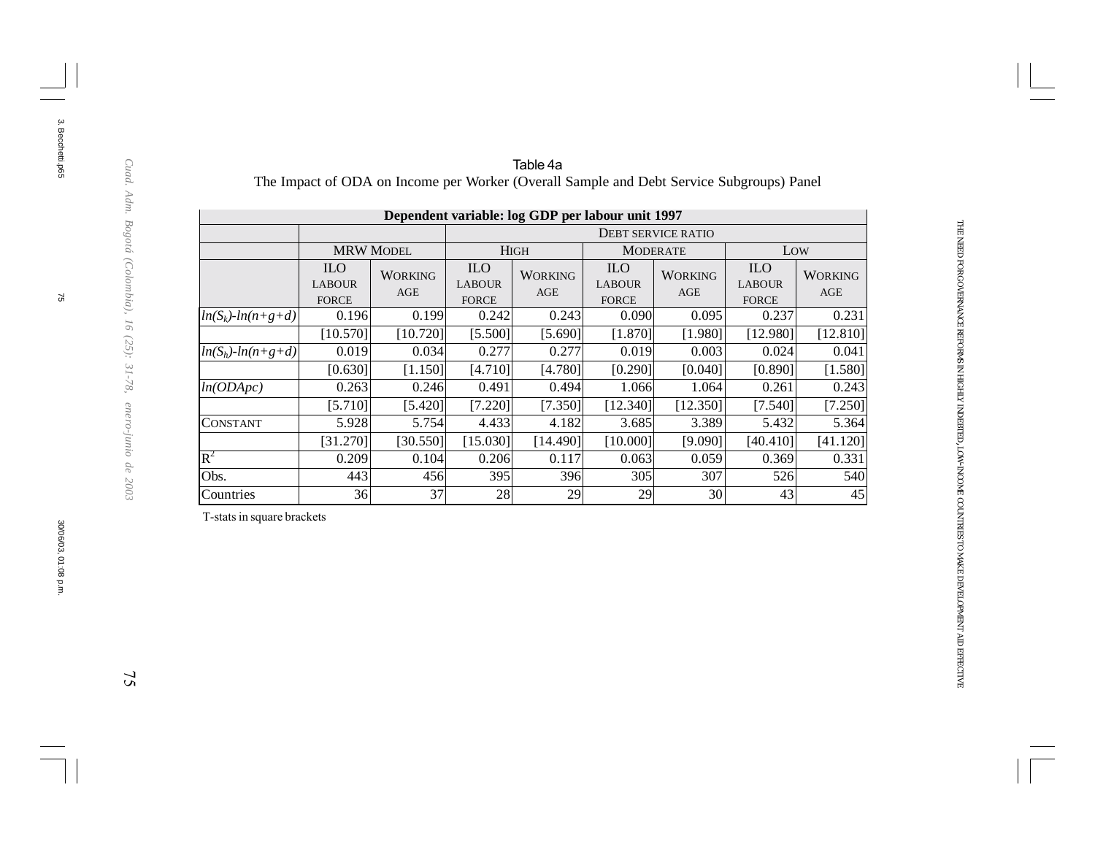|                         |                                             |                       |                                             | Dependent variable: log GDP per labour unit 1997 |                                             |                           |                                             |                       |
|-------------------------|---------------------------------------------|-----------------------|---------------------------------------------|--------------------------------------------------|---------------------------------------------|---------------------------|---------------------------------------------|-----------------------|
|                         |                                             |                       |                                             |                                                  |                                             | <b>DEBT SERVICE RATIO</b> |                                             |                       |
|                         |                                             | <b>MRW MODEL</b>      |                                             | <b>HIGH</b>                                      |                                             | <b>MODERATE</b>           | Low                                         |                       |
|                         | <b>ILO</b><br><b>LABOUR</b><br><b>FORCE</b> | <b>WORKING</b><br>AGE | <b>ILO</b><br><b>LABOUR</b><br><b>FORCE</b> | <b>WORKING</b><br>AGE                            | <b>ILO</b><br><b>LABOUR</b><br><b>FORCE</b> | <b>WORKING</b><br>AGE     | <b>ILO</b><br><b>LABOUR</b><br><b>FORCE</b> | <b>WORKING</b><br>AGE |
| $ln(S_k)$ - $ln(n+g+d)$ | 0.196                                       | 0.199                 | 0.242                                       | 0.243                                            | 0.090                                       | 0.095                     | 0.237                                       | 0.231                 |
|                         | [10.570]                                    | [10.720]              | [5.500]                                     | [5.690]                                          | [1.870]                                     | [1.980]                   | [12.980]                                    | [12.810]              |
| $ln(S_h)$ - $ln(n+g+d)$ | 0.019                                       | 0.034                 | 0.277                                       | 0.277                                            | 0.019                                       | 0.003                     | 0.024                                       | 0.041                 |
|                         | [0.630]                                     | [1.150]               | [4.710]                                     | [4.780]                                          | [0.290]                                     | [0.040]                   | [0.890]                                     | [1.580]               |
| ln(ODApc)               | 0.263                                       | 0.246                 | 0.491                                       | 0.494                                            | 1.066                                       | 1.064                     | 0.261                                       | 0.243                 |
|                         | [5.710]                                     | [5.420]               | [7.220]                                     | [7.350]                                          | [12.340]                                    | [12.350]                  | [7.540]                                     | [7.250]               |
| CONSTANT                | 5.928                                       | 5.754                 | 4.433                                       | 4.182                                            | 3.685                                       | 3.389                     | 5.432                                       | 5.364                 |
|                         | [31.270]                                    | [30.550]              | [15.030]                                    | [14.490]                                         | [10.000]                                    | [9.090]                   | [40.410]                                    | [41.120]              |
| $R^2$                   | 0.209                                       | 0.104                 | 0.206                                       | 0.117                                            | 0.063                                       | 0.059                     | 0.369                                       | 0.331                 |
| Obs.                    | 443                                         | 456                   | 395                                         | 396                                              | 305                                         | 307                       | 526                                         | 540                   |
| Countries               | 36                                          | 37                    | 28                                          | 29                                               | 29                                          | 30                        | 43                                          | 45                    |

#### Table 4a The Impact of ODA on Income per Worker (Overall Sample and Debt Service Subgroups) Panel

T-stats in square brackets

3. Becchetti.p65

 $\mathfrak{F}$ 

3. Becchetti.p65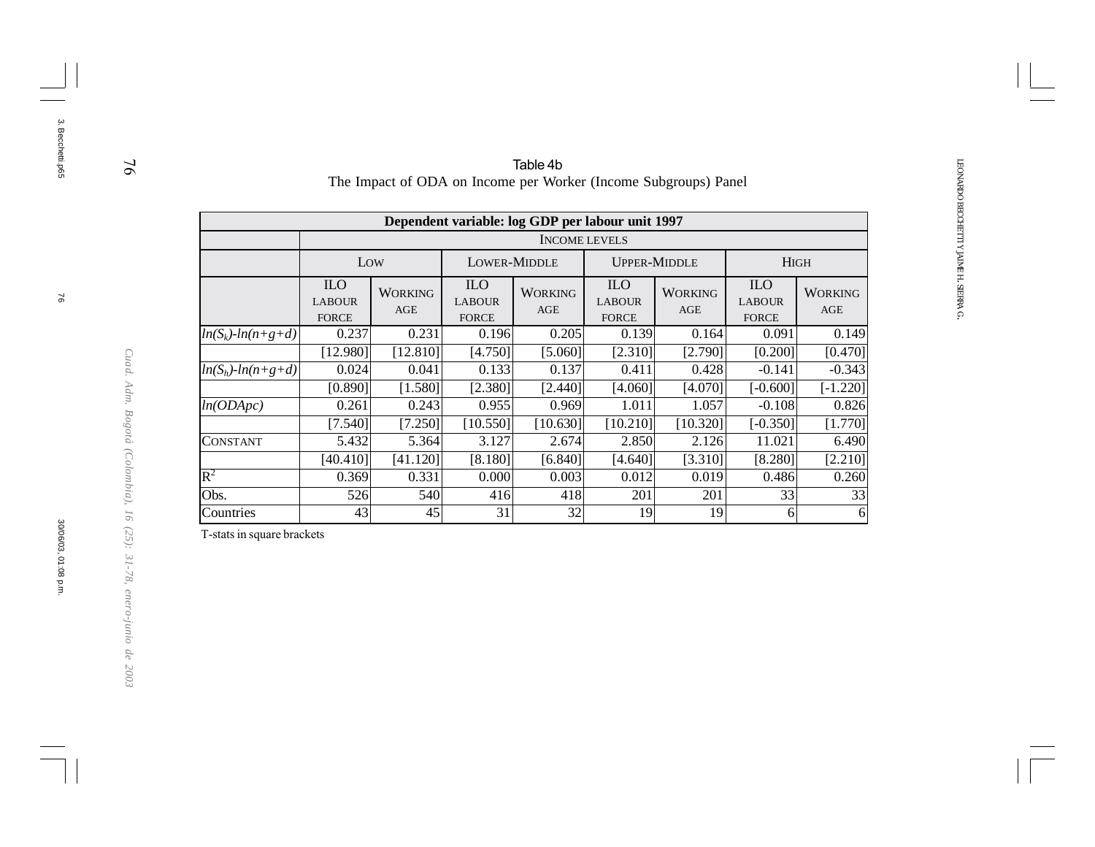|                         |                                             |                       |                                                  | Table 4b              |                                             | The Impact of ODA on Income per Worker (Income Subgroups) Panel |                                             |                                                                                                  |  |
|-------------------------|---------------------------------------------|-----------------------|--------------------------------------------------|-----------------------|---------------------------------------------|-----------------------------------------------------------------|---------------------------------------------|--------------------------------------------------------------------------------------------------|--|
|                         |                                             |                       | Dependent variable: log GDP per labour unit 1997 | <b>INCOME LEVELS</b>  |                                             |                                                                 |                                             |                                                                                                  |  |
|                         | Low                                         |                       | LOWER-MIDDLE                                     |                       | <b>UPPER-MIDDLE</b>                         |                                                                 | <b>HIGH</b>                                 | <b>AGE</b><br>0.149<br>[0.470]<br>$-0.343$<br>$[-1.220]$<br>0.826<br>[1.770]<br>6.490<br>[2.210] |  |
|                         | <b>ILO</b><br><b>LABOUR</b><br><b>FORCE</b> | <b>WORKING</b><br>AGE | <b>ILO</b><br><b>LABOUR</b><br><b>FORCE</b>      | <b>WORKING</b><br>AGE | <b>ILO</b><br><b>LABOUR</b><br><b>FORCE</b> | <b>WORKING</b><br>AGE                                           | <b>ILO</b><br><b>LABOUR</b><br><b>FORCE</b> | <b>WORKING</b>                                                                                   |  |
| $ln(S_k)$ - $ln(n+g+d)$ | 0.237                                       | 0.231                 | 0.196                                            | 0.205                 | 0.139                                       | 0.164                                                           | 0.091                                       |                                                                                                  |  |
|                         | [12.980]                                    | [12.810]              | [4.750]                                          | [5.060]               | [2.310]                                     | [2.790]                                                         | [0.200]                                     |                                                                                                  |  |
| $ln(S_h)$ - $ln(n+g+d)$ | 0.024                                       | 0.041                 | 0.133                                            | 0.137                 | 0.411                                       | 0.428                                                           | $-0.141$                                    |                                                                                                  |  |
|                         | [0.890]                                     | [1.580]               | [2.380]                                          | [2.440]               | [4.060]                                     | [4.070]                                                         | $[-0.600]$                                  |                                                                                                  |  |
| ln(ODApc)               | 0.261                                       | 0.243                 | 0.955                                            | 0.969                 | 1.011                                       | 1.057                                                           | $-0.108$                                    |                                                                                                  |  |
|                         | [7.540]                                     | [7.250]               | [10.550]                                         | [10.630]              | [10.210]                                    | [10.320]                                                        | $[-0.350]$                                  |                                                                                                  |  |
| <b>CONSTANT</b>         | 5.432                                       | 5.364                 | 3.127                                            | 2.674                 | 2.850                                       | 2.126                                                           | 11.021                                      |                                                                                                  |  |
|                         | [40.410]                                    | [41.120]              | [8.180]                                          | [6.840]               | [4.640]                                     | [3.310]                                                         | [8.280]                                     |                                                                                                  |  |
| $\mathbf{R}^2$          | 0.369                                       | 0.331                 | 0.000                                            | 0.003                 | 0.012                                       | 0.019                                                           | 0.486                                       | 0.260                                                                                            |  |
| Obs.                    | 526                                         | 540                   | 416                                              | 418                   | 201                                         | 201                                                             | 33                                          | 33                                                                                               |  |
| Countries               | 43                                          | 45                    | 31                                               | 32                    | 19                                          | 19                                                              | 61                                          | 6                                                                                                |  |

T-stats in square brackets

76

3. Becchetti.p65

3. Becchetti.p65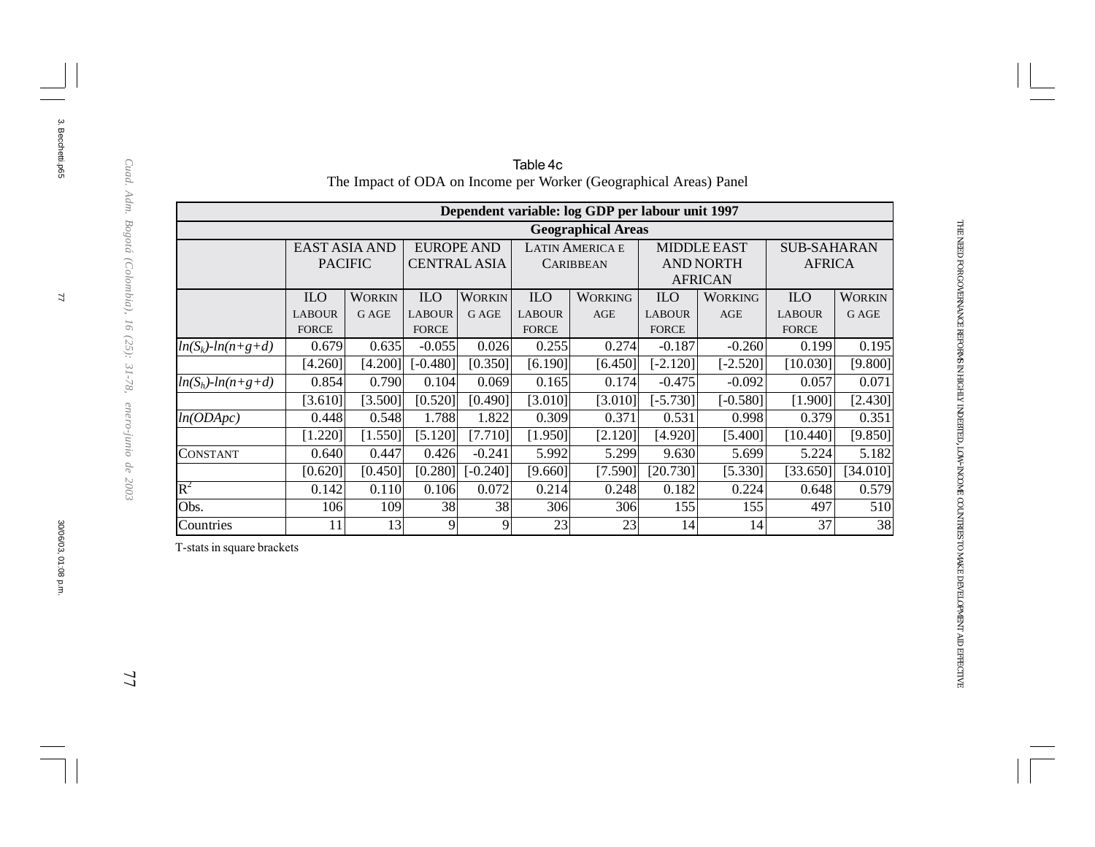|                         |                                             |                              |                                             |                               |                                             | Dependent variable: log GDP per labour unit 1997 |                                             |                                                          |                                             |                        |
|-------------------------|---------------------------------------------|------------------------------|---------------------------------------------|-------------------------------|---------------------------------------------|--------------------------------------------------|---------------------------------------------|----------------------------------------------------------|---------------------------------------------|------------------------|
|                         |                                             |                              |                                             |                               |                                             | <b>Geographical Areas</b>                        |                                             |                                                          |                                             |                        |
|                         | <b>EAST ASIA AND</b>                        | <b>PACIFIC</b>               | <b>EUROPE AND</b><br><b>CENTRAL ASIA</b>    |                               |                                             | <b>LATIN AMERICA E</b><br><b>CARIBBEAN</b>       |                                             | <b>MIDDLE EAST</b><br><b>AND NORTH</b><br><b>AFRICAN</b> | <b>SUB-SAHARAN</b><br><b>AFRICA</b>         |                        |
|                         | <b>ILO</b><br><b>LABOUR</b><br><b>FORCE</b> | <b>WORKIN</b><br><b>GAGE</b> | <b>ILO</b><br><b>LABOUR</b><br><b>FORCE</b> | <b>WORKIN</b><br>G AGE        | <b>ILO</b><br><b>LABOUR</b><br><b>FORCE</b> | <b>WORKING</b><br>AGE                            | <b>ILO</b><br><b>LABOUR</b><br><b>FORCE</b> | <b>WORKING</b><br>AGE                                    | <b>ILO</b><br><b>LABOUR</b><br><b>FORCE</b> | <b>WORKIN</b><br>G AGE |
| $ln(S_k)$ - $ln(n+g+d)$ | 0.679<br>[4.260]                            | 0.635<br>[4.200]             | $-0.055$<br>$[-0.480]$                      | 0.026<br>[0.350]              | 0.255<br>[6.190]                            | 0.274<br>[6.450]                                 | $-0.187$<br>$[-2.120]$                      | $-0.260$<br>$[-2.520]$                                   | 0.199<br>[10.030]                           | 0.195<br>[9.800]       |
| $ln(S_h)$ - $ln(n+g+d)$ | 0.854<br>[3.610]                            | 0.790<br>[3.500]             | 0.104<br>[0.520]                            | 0.069<br>[0.490]              | 0.165<br>[3.010]                            | 0.174<br>[3.010]                                 | $-0.475$<br>$[-5.730]$                      | $-0.092$<br>$[-0.580]$                                   | 0.057<br>[1.900]                            | 0.071<br>[2.430]       |
| ln(ODApc)               | 0.448<br>[1.220]                            | 0.548<br>[1.550]             | 1.788<br>[5.120]                            | 1.822<br>[7.710]              | 0.309<br>[1.950]                            | 0.371<br>[2.120]                                 | 0.531<br>[4.920]                            | 0.998<br>[5.400]                                         | 0.379<br>[10.440]                           | 0.351<br>[9.850]       |
| CONSTANT                | 0.640                                       | 0.447                        | 0.426                                       | $-0.241$                      | 5.992                                       | 5.299                                            | 9.630                                       | 5.699                                                    | 5.224                                       | 5.182                  |
| $\mathbf{R}^2$          | [0.620]<br>0.142                            | [0.450]<br>0.110             | 0.106                                       | $[0.280]$ $[-0.240]$<br>0.072 | [9.660]<br>0.214                            | [7.590]<br>0.248                                 | [20.730]<br>0.182                           | [5.330]<br>0.224                                         | [33.650]<br>0.648                           | [34.010]<br>0.579      |
| Obs.<br>Countries       | 106<br>11                                   | 109<br>13                    | 38<br>9                                     | 38<br>9                       | 306<br>23                                   | 306<br>23                                        | 155<br>14                                   | 155<br>14                                                | 497<br>37                                   | 510<br>38              |

#### Table 4c The Impact of ODA on Income per Worker (Geographical Areas) Panel

T-stats in square brackets

Cuad. Adm. Bogotá (Colombia), 16 (25): 31-78, enero-junio de 2003